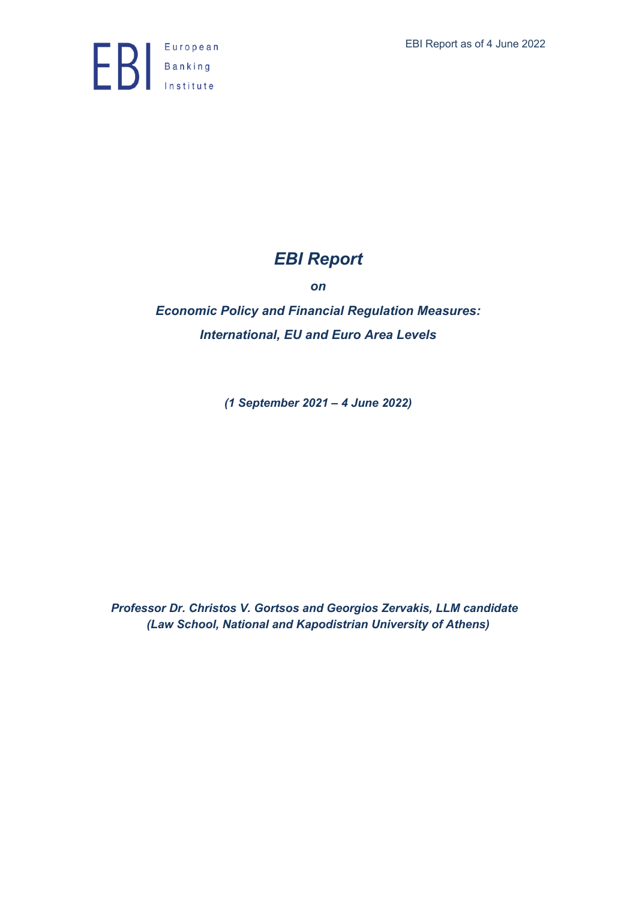

# *EBI Report*

*on*

*Economic Policy and Financial Regulation Measures: International, EU and Euro Area Levels*

*(1 September 2021 – 4 June 2022)*

*Professor Dr. Christos V. Gortsos and Georgios Zervakis, LLM candidate (Law School, National and Kapodistrian University of Athens)*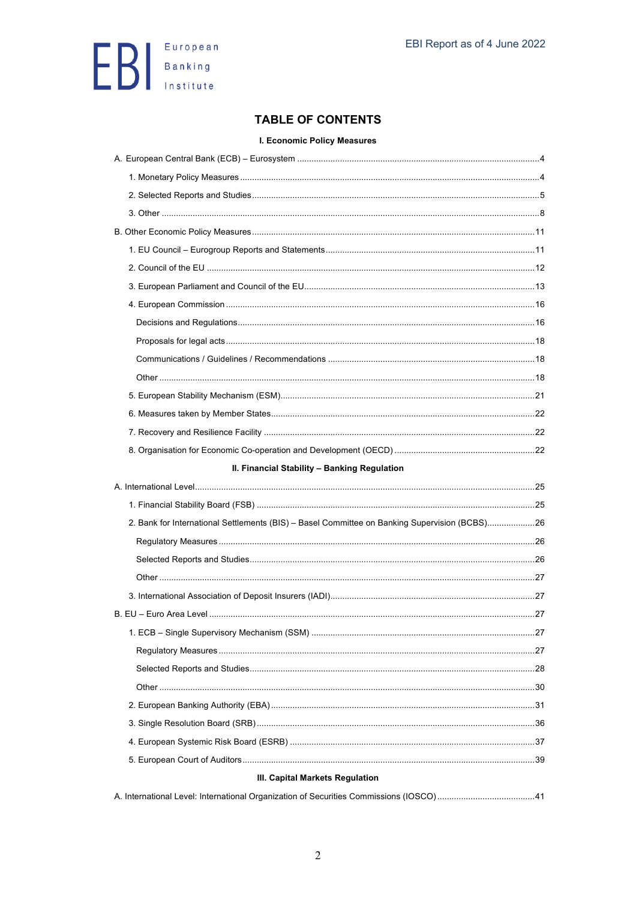

## **TABLE OF CONTENTS**

#### I. Economic Policy Measures

| II. Financial Stability - Banking Regulation                                                  |  |  |  |
|-----------------------------------------------------------------------------------------------|--|--|--|
|                                                                                               |  |  |  |
|                                                                                               |  |  |  |
| 2. Bank for International Settlements (BIS) - Basel Committee on Banking Supervision (BCBS)26 |  |  |  |
|                                                                                               |  |  |  |
|                                                                                               |  |  |  |
|                                                                                               |  |  |  |
|                                                                                               |  |  |  |
|                                                                                               |  |  |  |
|                                                                                               |  |  |  |
|                                                                                               |  |  |  |
|                                                                                               |  |  |  |
|                                                                                               |  |  |  |
|                                                                                               |  |  |  |
|                                                                                               |  |  |  |
|                                                                                               |  |  |  |
|                                                                                               |  |  |  |
| III. Capital Markets Regulation                                                               |  |  |  |
|                                                                                               |  |  |  |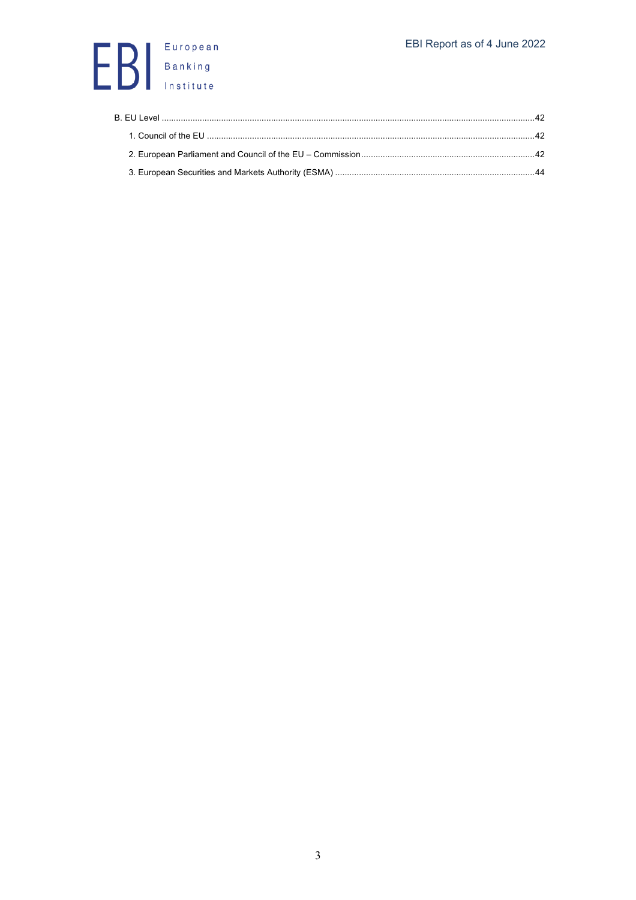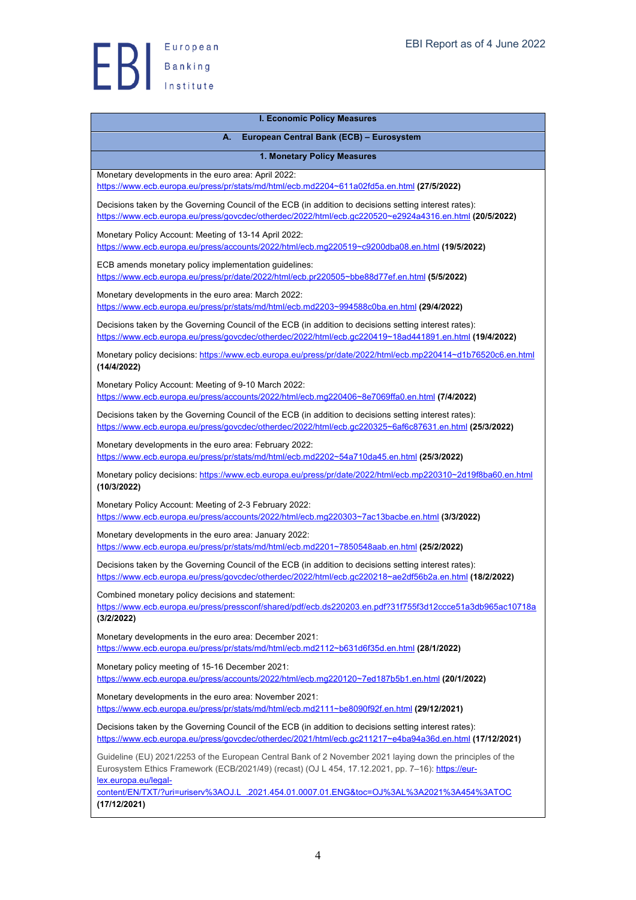

| <b>I. Economic Policy Measures</b>                                                                                                                                                                                                                                                                                                                   |  |
|------------------------------------------------------------------------------------------------------------------------------------------------------------------------------------------------------------------------------------------------------------------------------------------------------------------------------------------------------|--|
| А.<br>European Central Bank (ECB) - Eurosystem                                                                                                                                                                                                                                                                                                       |  |
| 1. Monetary Policy Measures                                                                                                                                                                                                                                                                                                                          |  |
| Monetary developments in the euro area: April 2022:<br>https://www.ecb.europa.eu/press/pr/stats/md/html/ecb.md2204~611a02fd5a.en.html (27/5/2022)                                                                                                                                                                                                    |  |
| Decisions taken by the Governing Council of the ECB (in addition to decisions setting interest rates):<br>https://www.ecb.europa.eu/press/govcdec/otherdec/2022/html/ecb.gc220520~e2924a4316.en.html (20/5/2022)                                                                                                                                     |  |
| Monetary Policy Account: Meeting of 13-14 April 2022:<br>https://www.ecb.europa.eu/press/accounts/2022/html/ecb.mg220519~c9200dba08.en.html (19/5/2022)                                                                                                                                                                                              |  |
| ECB amends monetary policy implementation guidelines:<br>https://www.ecb.europa.eu/press/pr/date/2022/html/ecb.pr220505~bbe88d77ef.en.html (5/5/2022)                                                                                                                                                                                                |  |
| Monetary developments in the euro area: March 2022:<br>https://www.ecb.europa.eu/press/pr/stats/md/html/ecb.md2203~994588c0ba.en.html (29/4/2022)                                                                                                                                                                                                    |  |
| Decisions taken by the Governing Council of the ECB (in addition to decisions setting interest rates):<br>https://www.ecb.europa.eu/press/govcdec/otherdec/2022/html/ecb.gc220419~18ad441891.en.html (19/4/2022)                                                                                                                                     |  |
| Monetary policy decisions: https://www.ecb.europa.eu/press/pr/date/2022/html/ecb.mp220414~d1b76520c6.en.html<br>(14/4/2022)                                                                                                                                                                                                                          |  |
| Monetary Policy Account: Meeting of 9-10 March 2022:<br>https://www.ecb.europa.eu/press/accounts/2022/html/ecb.mg220406~8e7069ffa0.en.html (7/4/2022)                                                                                                                                                                                                |  |
| Decisions taken by the Governing Council of the ECB (in addition to decisions setting interest rates):<br>https://www.ecb.europa.eu/press/govcdec/otherdec/2022/html/ecb.gc220325~6af6c87631.en.html (25/3/2022)                                                                                                                                     |  |
| Monetary developments in the euro area: February 2022:<br>https://www.ecb.europa.eu/press/pr/stats/md/html/ecb.md2202~54a710da45.en.html (25/3/2022)                                                                                                                                                                                                 |  |
| Monetary policy decisions: https://www.ecb.europa.eu/press/pr/date/2022/html/ecb.mp220310~2d19f8ba60.en.html<br>(10/3/2022)                                                                                                                                                                                                                          |  |
| Monetary Policy Account: Meeting of 2-3 February 2022:<br>https://www.ecb.europa.eu/press/accounts/2022/html/ecb.mg220303~7ac13bacbe.en.html (3/3/2022)                                                                                                                                                                                              |  |
| Monetary developments in the euro area: January 2022:<br>https://www.ecb.europa.eu/press/pr/stats/md/html/ecb.md2201~7850548aab.en.html (25/2/2022)                                                                                                                                                                                                  |  |
| Decisions taken by the Governing Council of the ECB (in addition to decisions setting interest rates):<br>https://www.ecb.europa.eu/press/govcdec/otherdec/2022/html/ecb.gc220218~ae2df56b2a.en.html (18/2/2022)                                                                                                                                     |  |
| Combined monetary policy decisions and statement:<br>https://www.ecb.europa.eu/press/pressconf/shared/pdf/ecb.ds220203.en.pdf?31f755f3d12ccce51a3db965ac10718a                                                                                                                                                                                       |  |
| (3/2/2022)                                                                                                                                                                                                                                                                                                                                           |  |
| Monetary developments in the euro area: December 2021:<br>https://www.ecb.europa.eu/press/pr/stats/md/html/ecb.md2112~b631d6f35d.en.html (28/1/2022)                                                                                                                                                                                                 |  |
| Monetary policy meeting of 15-16 December 2021:<br>https://www.ecb.europa.eu/press/accounts/2022/html/ecb.mg220120~7ed187b5b1.en.html (20/1/2022)                                                                                                                                                                                                    |  |
| Monetary developments in the euro area: November 2021:<br>https://www.ecb.europa.eu/press/pr/stats/md/html/ecb.md2111~be8090f92f.en.html (29/12/2021)                                                                                                                                                                                                |  |
| Decisions taken by the Governing Council of the ECB (in addition to decisions setting interest rates):<br>https://www.ecb.europa.eu/press/govcdec/otherdec/2021/html/ecb.gc211217~e4ba94a36d.en.html (17/12/2021)                                                                                                                                    |  |
| Guideline (EU) 2021/2253 of the European Central Bank of 2 November 2021 laying down the principles of the<br>Eurosystem Ethics Framework (ECB/2021/49) (recast) (OJ L 454, 17.12.2021, pp. 7-16): https://eur-<br>lex.europa.eu/legal-<br>content/EN/TXT/?uri=uriserv%3AOJ.L_.2021.454.01.0007.01.ENG&toc=OJ%3AL%3A2021%3A454%3ATOC<br>(17/12/2021) |  |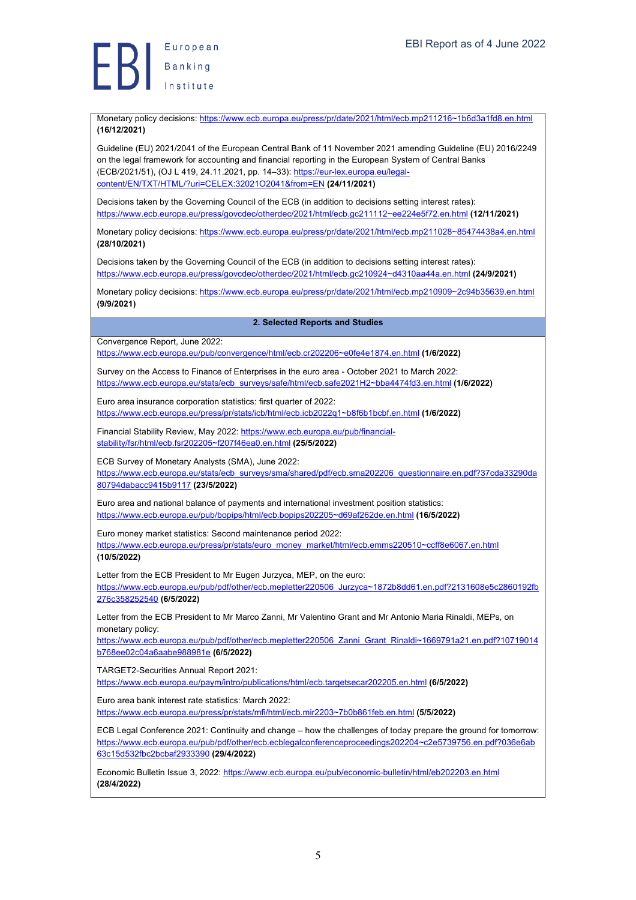

Monetary policy decisions: https://www.ecb.europa.eu/press/pr/date/2021/html/ecb.mp211216~1b6d3a1fd8.en.html **(16/12/2021)**

Guideline (EU) 2021/2041 of the European Central Bank of 11 November 2021 amending Guideline (EU) 2016/2249 on the legal framework for accounting and financial reporting in the European System of Central Banks (ECB/2021/51), (OJ L 419, 24.11.2021, pp. 14–33): https://eur-lex.europa.eu/legalcontent/EN/TXT/HTML/?uri=CELEX:32021O2041&from=EN **(24/11/2021)**

Decisions taken by the Governing Council of the ECB (in addition to decisions setting interest rates): https://www.ecb.europa.eu/press/govcdec/otherdec/2021/html/ecb.gc211112~ee224e5f72.en.html **(12/11/2021)**

Monetary policy decisions: https://www.ecb.europa.eu/press/pr/date/2021/html/ecb.mp211028~85474438a4.en.html **(28/10/2021)**

Decisions taken by the Governing Council of the ECB (in addition to decisions setting interest rates): https://www.ecb.europa.eu/press/govcdec/otherdec/2021/html/ecb.gc210924~d4310aa44a.en.html **(24/9/2021)**

Monetary policy decisions: https://www.ecb.europa.eu/press/pr/date/2021/html/ecb.mp210909~2c94b35639.en.html **(9/9/2021)**

#### **2. Selected Reports and Studies**

Convergence Report, June 2022:

https://www.ecb.europa.eu/pub/convergence/html/ecb.cr202206~e0fe4e1874.en.html **(1/6/2022)**

Survey on the Access to Finance of Enterprises in the euro area - October 2021 to March 2022: https://www.ecb.europa.eu/stats/ecb\_surveys/safe/html/ecb.safe2021H2~bba4474fd3.en.html **(1/6/2022)**

Euro area insurance corporation statistics: first quarter of 2022: https://www.ecb.europa.eu/press/pr/stats/icb/html/ecb.icb2022q1~b8f6b1bcbf.en.html **(1/6/2022)**

Financial Stability Review, May 2022: https://www.ecb.europa.eu/pub/financialstability/fsr/html/ecb.fsr202205~f207f46ea0.en.html **(25/5/2022)**

ECB Survey of Monetary Analysts (SMA), June 2022:

https://www.ecb.europa.eu/stats/ecb\_surveys/sma/shared/pdf/ecb.sma202206\_questionnaire.en.pdf?37cda33290da 80794dabacc9415b9117 **(23/5/2022)**

Euro area and national balance of payments and international investment position statistics: https://www.ecb.europa.eu/pub/bopips/html/ecb.bopips202205~d69af262de.en.html **(16/5/2022)**

Euro money market statistics: Second maintenance period 2022:

https://www.ecb.europa.eu/press/pr/stats/euro\_money\_market/html/ecb.emms220510~ccff8e6067.en.html **(10/5/2022)**

Letter from the ECB President to Mr Eugen Jurzyca, MEP, on the euro:

https://www.ecb.europa.eu/pub/pdf/other/ecb.mepletter220506\_Jurzyca~1872b8dd61.en.pdf?2131608e5c2860192fb 276c358252540 **(6/5/2022)**

Letter from the ECB President to Mr Marco Zanni, Mr Valentino Grant and Mr Antonio Maria Rinaldi, MEPs, on monetary policy:

https://www.ecb.europa.eu/pub/pdf/other/ecb.mepletter220506\_Zanni\_Grant\_Rinaldi~1669791a21.en.pdf?10719014 b768ee02c04a6aabe988981e **(6/5/2022)**

TARGET2-Securities Annual Report 2021:

https://www.ecb.europa.eu/paym/intro/publications/html/ecb.targetsecar202205.en.html **(6/5/2022)**

Euro area bank interest rate statistics: March 2022:

https://www.ecb.europa.eu/press/pr/stats/mfi/html/ecb.mir2203~7b0b861feb.en.html **(5/5/2022)**

ECB Legal Conference 2021: Continuity and change – how the challenges of today prepare the ground for tomorrow: https://www.ecb.europa.eu/pub/pdf/other/ecb.ecblegalconferenceproceedings202204~c2e5739756.en.pdf?036e6ab 63c15d532fbc2bcbaf2933390 **(29/4/2022)**

Economic Bulletin Issue 3, 2022: https://www.ecb.europa.eu/pub/economic-bulletin/html/eb202203.en.html **(28/4/2022)**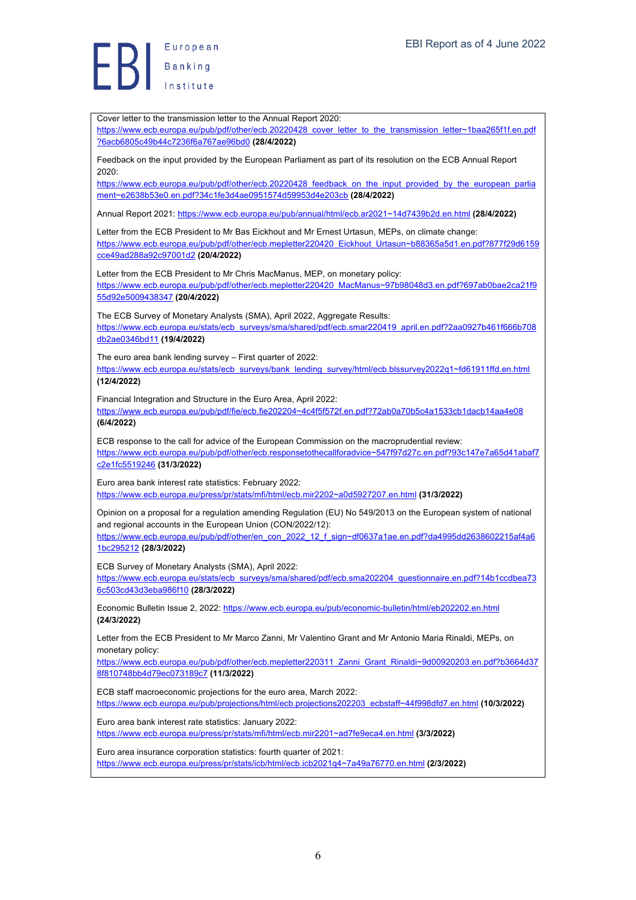European Europea<br>Banking<br>Institute

Cover letter to the transmission letter to the Annual Report 2020: https://www.ecb.europa.eu/pub/pdf/other/ecb.20220428\_cover\_letter\_to\_the\_transmission\_letter~1baa265f1f.en.pdf ?6acb6805c49b44c7236f6a767ae96bd0 **(28/4/2022)** Feedback on the input provided by the European Parliament as part of its resolution on the ECB Annual Report 2020: https://www.ecb.europa.eu/pub/pdf/other/ecb.20220428\_feedback\_on\_the\_input\_provided\_by\_the\_european\_parlia ment~e2638b53e0.en.pdf?34c1fe3d4ae0951574d59953d4e203cb **(28/4/2022)** Annual Report 2021: https://www.ecb.europa.eu/pub/annual/html/ecb.ar2021~14d7439b2d.en.html **(28/4/2022)** Letter from the ECB President to Mr Bas Eickhout and Mr Ernest Urtasun, MEPs, on climate change: https://www.ecb.europa.eu/pub/pdf/other/ecb.mepletter220420\_Eickhout\_Urtasun~b88365a5d1.en.pdf?877f29d6159 cce49ad288a92c97001d2 **(20/4/2022)** Letter from the ECB President to Mr Chris MacManus, MEP, on monetary policy: https://www.ecb.europa.eu/pub/pdf/other/ecb.mepletter220420\_MacManus~97b98048d3.en.pdf?697ab0bae2ca21f9 55d92e5009438347 **(20/4/2022)** The ECB Survey of Monetary Analysts (SMA), April 2022, Aggregate Results: https://www.ecb.europa.eu/stats/ecb\_surveys/sma/shared/pdf/ecb.smar220419\_april.en.pdf?2aa0927b461f666b708 db2ae0346bd11 **(19/4/2022)** The euro area bank lending survey – First quarter of 2022: https://www.ecb.europa.eu/stats/ecb\_surveys/bank\_lending\_survey/html/ecb.blssurvey2022q1~fd61911ffd.en.html **(12/4/2022)** Financial Integration and Structure in the Euro Area, April 2022: https://www.ecb.europa.eu/pub/pdf/fie/ecb.fie202204~4c4f5f572f.en.pdf?72ab0a70b5c4a1533cb1dacb14aa4e08 **(6/4/2022)** ECB response to the call for advice of the European Commission on the macroprudential review: https://www.ecb.europa.eu/pub/pdf/other/ecb.responsetothecallforadvice~547f97d27c.en.pdf?93c147e7a65d41abaf7 c2e1fc5519246 **(31/3/2022)** Euro area bank interest rate statistics: February 2022: https://www.ecb.europa.eu/press/pr/stats/mfi/html/ecb.mir2202~a0d5927207.en.html **(31/3/2022)** Opinion on a proposal for a regulation amending Regulation (EU) No 549/2013 on the European system of national and regional accounts in the European Union (CON/2022/12): https://www.ecb.europa.eu/pub/pdf/other/en\_con\_2022\_12\_f\_sign~df0637a1ae.en.pdf?da4995dd2638602215af4a6 1bc295212 **(28/3/2022)** ECB Survey of Monetary Analysts (SMA), April 2022: https://www.ecb.europa.eu/stats/ecb\_surveys/sma/shared/pdf/ecb.sma202204\_questionnaire.en.pdf?14b1ccdbea73 6c503cd43d3eba986f10 **(28/3/2022)** Economic Bulletin Issue 2, 2022: https://www.ecb.europa.eu/pub/economic-bulletin/html/eb202202.en.html **(24/3/2022)** Letter from the ECB President to Mr Marco Zanni, Mr Valentino Grant and Mr Antonio Maria Rinaldi, MEPs, on monetary policy: https://www.ecb.europa.eu/pub/pdf/other/ecb.mepletter220311\_Zanni\_Grant\_Rinaldi~9d00920203.en.pdf?b3664d37 8f810748bb4d79ec073189c7 **(11/3/2022)** ECB staff macroeconomic projections for the euro area, March 2022: https://www.ecb.europa.eu/pub/projections/html/ecb.projections202203\_ecbstaff~44f998dfd7.en.html **(10/3/2022)** Euro area bank interest rate statistics: January 2022: https://www.ecb.europa.eu/press/pr/stats/mfi/html/ecb.mir2201~ad7fe9eca4.en.html **(3/3/2022)** Euro area insurance corporation statistics: fourth quarter of 2021: https://www.ecb.europa.eu/press/pr/stats/icb/html/ecb.icb2021q4~7a49a76770.en.html **(2/3/2022)**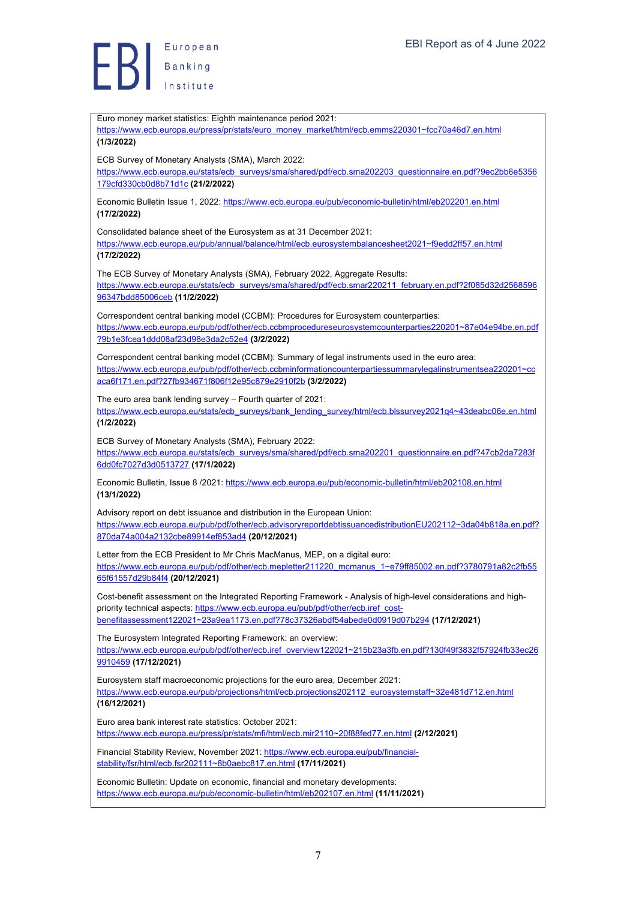**Exerche Standard Banking** 

| Euro money market statistics: Eighth maintenance period 2021:<br>https://www.ecb.europa.eu/press/pr/stats/euro_money_market/html/ecb.emms220301~fcc70a46d7.en.html<br>(1/3/2022)                                                                                                                 |
|--------------------------------------------------------------------------------------------------------------------------------------------------------------------------------------------------------------------------------------------------------------------------------------------------|
| ECB Survey of Monetary Analysts (SMA), March 2022:<br>https://www.ecb.europa.eu/stats/ecb_surveys/sma/shared/pdf/ecb.sma202203_questionnaire.en.pdf?9ec2bb6e5356<br>179cfd330cb0d8b71d1c (21/2/2022)                                                                                             |
| Economic Bulletin Issue 1, 2022: https://www.ecb.europa.eu/pub/economic-bulletin/html/eb202201.en.html<br>(17/2/2022)                                                                                                                                                                            |
| Consolidated balance sheet of the Eurosystem as at 31 December 2021:<br>https://www.ecb.europa.eu/pub/annual/balance/html/ecb.eurosystembalancesheet2021~f9edd2ff57.en.html<br>(17/2/2022)                                                                                                       |
| The ECB Survey of Monetary Analysts (SMA), February 2022, Aggregate Results:<br>https://www.ecb.europa.eu/stats/ecb_surveys/sma/shared/pdf/ecb.smar220211_february.en.pdf?2f085d32d2568596<br>96347bdd85006ceb (11/2/2022)                                                                       |
| Correspondent central banking model (CCBM): Procedures for Eurosystem counterparties:<br>https://www.ecb.europa.eu/pub/pdf/other/ecb.ccbmprocedureseurosystemcounterparties220201~87e04e94be.en.pdf<br>?9b1e3fcea1ddd08af23d98e3da2c52e4 (3/2/2022)                                              |
| Correspondent central banking model (CCBM): Summary of legal instruments used in the euro area:<br>https://www.ecb.europa.eu/pub/pdf/other/ecb.ccbminformationcounterpartiessummarylegalinstrumentsea220201~cc                                                                                   |
| aca6f171.en.pdf?27fb934671f806f12e95c879e2910f2b (3/2/2022)                                                                                                                                                                                                                                      |
| The euro area bank lending survey - Fourth quarter of 2021:<br>https://www.ecb.europa.eu/stats/ecb_surveys/bank_lending_survey/html/ecb.blssurvey2021q4~43deabc06e.en.html<br>(1/2/2022)                                                                                                         |
| ECB Survey of Monetary Analysts (SMA), February 2022:<br>https://www.ecb.europa.eu/stats/ecb_surveys/sma/shared/pdf/ecb.sma202201_questionnaire.en.pdf?47cb2da7283f<br>6dd0fc7027d3d0513727 (17/1/2022)                                                                                          |
| Economic Bulletin, Issue 8 /2021: https://www.ecb.europa.eu/pub/economic-bulletin/html/eb202108.en.html<br>(13/1/2022)                                                                                                                                                                           |
| Advisory report on debt issuance and distribution in the European Union:<br>https://www.ecb.europa.eu/pub/pdf/other/ecb.advisoryreportdebtissuancedistributionEU202112~3da04b818a.en.pdf?<br>870da74a004a2132cbe89914ef853ad4 (20/12/2021)                                                       |
| Letter from the ECB President to Mr Chris MacManus, MEP, on a digital euro:<br>https://www.ecb.europa.eu/pub/pdf/other/ecb.mepletter211220 mcmanus 1~e79ff85002.en.pdf?3780791a82c2fb55<br>65f61557d29b84f4 (20/12/2021)                                                                         |
| Cost-benefit assessment on the Integrated Reporting Framework - Analysis of high-level considerations and high-<br>priority technical aspects: https://www.ecb.europa.eu/pub/pdf/other/ecb.iref_cost-<br>benefitassessment122021~23a9ea1173.en.pdf?78c37326abdf54abede0d0919d07b294 (17/12/2021) |
| The Eurosystem Integrated Reporting Framework: an overview:<br>https://www.ecb.europa.eu/pub/pdf/other/ecb.iref overview122021~215b23a3fb.en.pdf?130f49f3832f57924fb33ec26<br>9910459 (17/12/2021)                                                                                               |
| Eurosystem staff macroeconomic projections for the euro area, December 2021:<br>https://www.ecb.europa.eu/pub/projections/html/ecb.projections202112 eurosystemstaff~32e481d712.en.html<br>(16/12/2021)                                                                                          |
| Euro area bank interest rate statistics: October 2021:<br>https://www.ecb.europa.eu/press/pr/stats/mfi/html/ecb.mir2110~20f88fed77.en.html (2/12/2021)                                                                                                                                           |
| Financial Stability Review, November 2021: https://www.ecb.europa.eu/pub/financial-<br>stability/fsr/html/ecb.fsr202111~8b0aebc817.en.html (17/11/2021)                                                                                                                                          |
| Economic Bulletin: Update on economic, financial and monetary developments:<br>https://www.ecb.europa.eu/pub/economic-bulletin/html/eb202107.en.html (11/11/2021)                                                                                                                                |
|                                                                                                                                                                                                                                                                                                  |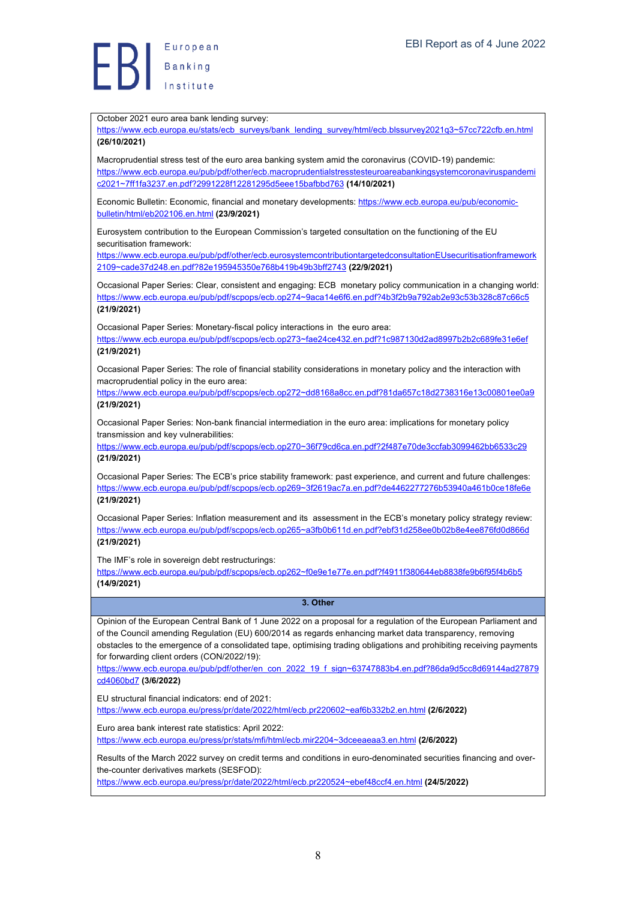

October 2021 euro area bank lending survey:

https://www.ecb.europa.eu/stats/ecb\_surveys/bank\_lending\_survey/html/ecb.blssurvey2021q3~57cc722cfb.en.html **(26/10/2021)**

Macroprudential stress test of the euro area banking system amid the coronavirus (COVID-19) pandemic: https://www.ecb.europa.eu/pub/pdf/other/ecb.macroprudentialstresstesteuroareabankingsystemcoronaviruspandemi c2021~7ff1fa3237.en.pdf?2991228f12281295d5eee15bafbbd763 **(14/10/2021)**

Economic Bulletin: Economic, financial and monetary developments: https://www.ecb.europa.eu/pub/economicbulletin/html/eb202106.en.html **(23/9/2021)**

Eurosystem contribution to the European Commission's targeted consultation on the functioning of the EU securitisation framework:

https://www.ecb.europa.eu/pub/pdf/other/ecb.eurosystemcontributiontargetedconsultationEUsecuritisationframework 2109~cade37d248.en.pdf?82e195945350e768b419b49b3bff2743 **(22/9/2021)**

Occasional Paper Series: Clear, consistent and engaging: ECB monetary policy communication in a changing world: https://www.ecb.europa.eu/pub/pdf/scpops/ecb.op274~9aca14e6f6.en.pdf?4b3f2b9a792ab2e93c53b328c87c66c5 **(21/9/2021)**

Occasional Paper Series: Monetary-fiscal policy interactions in the euro area:

https://www.ecb.europa.eu/pub/pdf/scpops/ecb.op273~fae24ce432.en.pdf?1c987130d2ad8997b2b2c689fe31e6ef **(21/9/2021)**

Occasional Paper Series: The role of financial stability considerations in monetary policy and the interaction with macroprudential policy in the euro area:

https://www.ecb.europa.eu/pub/pdf/scpops/ecb.op272~dd8168a8cc.en.pdf?81da657c18d2738316e13c00801ee0a9 **(21/9/2021)**

Occasional Paper Series: Non-bank financial intermediation in the euro area: implications for monetary policy transmission and key vulnerabilities:

https://www.ecb.europa.eu/pub/pdf/scpops/ecb.op270~36f79cd6ca.en.pdf?2f487e70de3ccfab3099462bb6533c29 **(21/9/2021)**

Occasional Paper Series: The ECB's price stability framework: past experience, and current and future challenges: https://www.ecb.europa.eu/pub/pdf/scpops/ecb.op269~3f2619ac7a.en.pdf?de4462277276b53940a461b0ce18fe6e **(21/9/2021)**

Occasional Paper Series: Inflation measurement and its assessment in the ECB's monetary policy strategy review: https://www.ecb.europa.eu/pub/pdf/scpops/ecb.op265~a3fb0b611d.en.pdf?ebf31d258ee0b02b8e4ee876fd0d866d **(21/9/2021)**

The IMF's role in sovereign debt restructurings:

https://www.ecb.europa.eu/pub/pdf/scpops/ecb.op262~f0e9e1e77e.en.pdf?f4911f380644eb8838fe9b6f95f4b6b5 **(14/9/2021)**

**3. Other**

Opinion of the European Central Bank of 1 June 2022 on a proposal for a regulation of the European Parliament and of the Council amending Regulation (EU) 600/2014 as regards enhancing market data transparency, removing obstacles to the emergence of a consolidated tape, optimising trading obligations and prohibiting receiving payments for forwarding client orders (CON/2022/19):

https://www.ecb.europa.eu/pub/pdf/other/en\_con\_2022\_19\_f\_sign~63747883b4.en.pdf?86da9d5cc8d69144ad27879 cd4060bd7 **(3/6/2022)**

EU structural financial indicators: end of 2021:

https://www.ecb.europa.eu/press/pr/date/2022/html/ecb.pr220602~eaf6b332b2.en.html **(2/6/2022)**

Euro area bank interest rate statistics: April 2022:

https://www.ecb.europa.eu/press/pr/stats/mfi/html/ecb.mir2204~3dceeaeaa3.en.html **(2/6/2022)**

Results of the March 2022 survey on credit terms and conditions in euro-denominated securities financing and overthe-counter derivatives markets (SESFOD):

https://www.ecb.europa.eu/press/pr/date/2022/html/ecb.pr220524~ebef48ccf4.en.html **(24/5/2022)**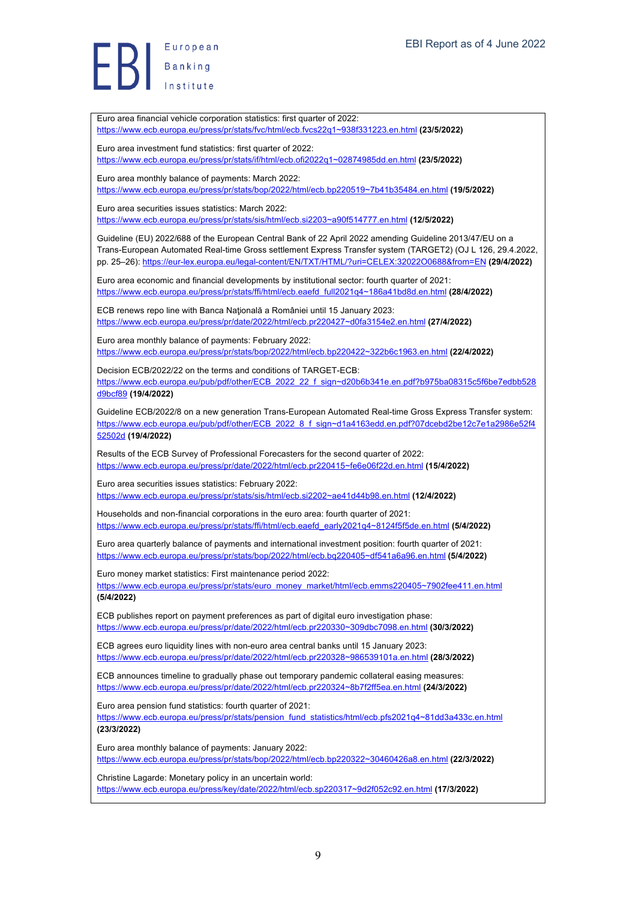European Europea<br>Banking

Euro area financial vehicle corporation statistics: first quarter of 2022: https://www.ecb.europa.eu/press/pr/stats/fvc/html/ecb.fvcs22q1~938f331223.en.html **(23/5/2022)** Euro area investment fund statistics: first quarter of 2022: https://www.ecb.europa.eu/press/pr/stats/if/html/ecb.ofi2022q1~02874985dd.en.html **(23/5/2022)** Euro area monthly balance of payments: March 2022: https://www.ecb.europa.eu/press/pr/stats/bop/2022/html/ecb.bp220519~7b41b35484.en.html **(19/5/2022)** Euro area securities issues statistics: March 2022: https://www.ecb.europa.eu/press/pr/stats/sis/html/ecb.si2203~a90f514777.en.html **(12/5/2022)** Guideline (EU) 2022/688 of the European Central Bank of 22 April 2022 amending Guideline 2013/47/EU on a Trans-European Automated Real-time Gross settlement Express Transfer system (TARGET2) (OJ L 126, 29.4.2022, pp. 25–26): https://eur-lex.europa.eu/legal-content/EN/TXT/HTML/?uri=CELEX:32022O0688&from=EN **(29/4/2022)** Euro area economic and financial developments by institutional sector: fourth quarter of 2021: https://www.ecb.europa.eu/press/pr/stats/ffi/html/ecb.eaefd\_full2021q4~186a41bd8d.en.html **(28/4/2022)** ECB renews repo line with Banca Naţională a României until 15 January 2023: https://www.ecb.europa.eu/press/pr/date/2022/html/ecb.pr220427~d0fa3154e2.en.html **(27/4/2022)** Euro area monthly balance of payments: February 2022: https://www.ecb.europa.eu/press/pr/stats/bop/2022/html/ecb.bp220422~322b6c1963.en.html **(22/4/2022)** Decision ECB/2022/22 on the terms and conditions of TARGET-ECB: https://www.ecb.europa.eu/pub/pdf/other/ECB\_2022\_22\_f\_sign~d20b6b341e.en.pdf?b975ba08315c5f6be7edbb528 d9bcf89 **(19/4/2022)** Guideline ECB/2022/8 on a new generation Trans-European Automated Real-time Gross Express Transfer system: https://www.ecb.europa.eu/pub/pdf/other/ECB\_2022\_8\_f\_sign~d1a4163edd.en.pdf?07dcebd2be12c7e1a2986e52f4 52502d **(19/4/2022)** Results of the ECB Survey of Professional Forecasters for the second quarter of 2022: https://www.ecb.europa.eu/press/pr/date/2022/html/ecb.pr220415~fe6e06f22d.en.html **(15/4/2022)** Euro area securities issues statistics: February 2022: https://www.ecb.europa.eu/press/pr/stats/sis/html/ecb.si2202~ae41d44b98.en.html **(12/4/2022)** Households and non-financial corporations in the euro area: fourth quarter of 2021: https://www.ecb.europa.eu/press/pr/stats/ffi/html/ecb.eaefd\_early2021q4~8124f5f5de.en.html **(5/4/2022)** Euro area quarterly balance of payments and international investment position: fourth quarter of 2021: https://www.ecb.europa.eu/press/pr/stats/bop/2022/html/ecb.bq220405~df541a6a96.en.html **(5/4/2022)** Euro money market statistics: First maintenance period 2022: https://www.ecb.europa.eu/press/pr/stats/euro\_money\_market/html/ecb.emms220405~7902fee411.en.html **(5/4/2022)** ECB publishes report on payment preferences as part of digital euro investigation phase: https://www.ecb.europa.eu/press/pr/date/2022/html/ecb.pr220330~309dbc7098.en.html **(30/3/2022)** ECB agrees euro liquidity lines with non-euro area central banks until 15 January 2023: https://www.ecb.europa.eu/press/pr/date/2022/html/ecb.pr220328~986539101a.en.html **(28/3/2022)** ECB announces timeline to gradually phase out temporary pandemic collateral easing measures: https://www.ecb.europa.eu/press/pr/date/2022/html/ecb.pr220324~8b7f2ff5ea.en.html **(24/3/2022)** Euro area pension fund statistics: fourth quarter of 2021: https://www.ecb.europa.eu/press/pr/stats/pension\_fund\_statistics/html/ecb.pfs2021q4~81dd3a433c.en.html **(23/3/2022)** Euro area monthly balance of payments: January 2022: https://www.ecb.europa.eu/press/pr/stats/bop/2022/html/ecb.bp220322~30460426a8.en.html **(22/3/2022)** Christine Lagarde: Monetary policy in an uncertain world: https://www.ecb.europa.eu/press/key/date/2022/html/ecb.sp220317~9d2f052c92.en.html **(17/3/2022)**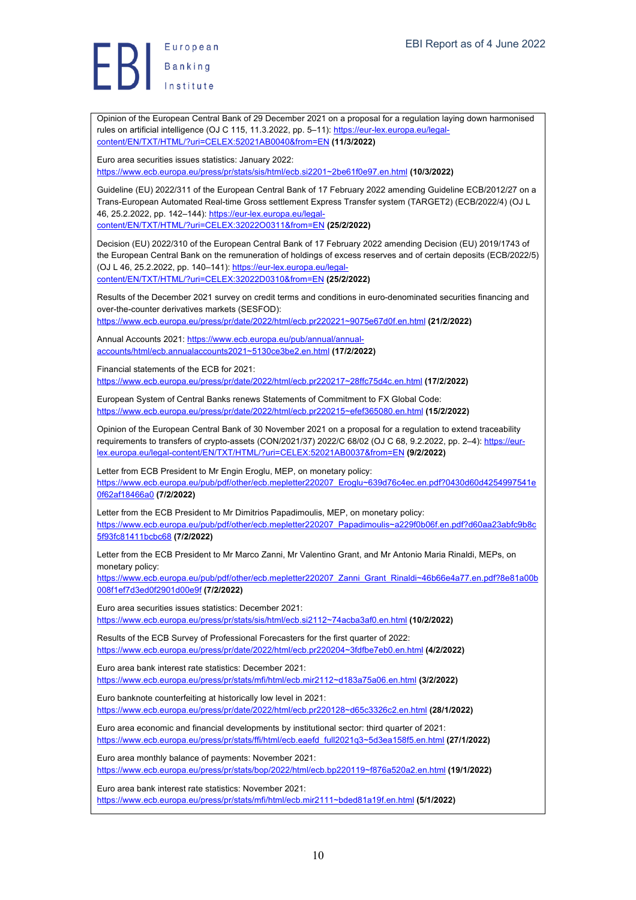

Opinion of the European Central Bank of 29 December 2021 on a proposal for a regulation laying down harmonised rules on artificial intelligence (OJ C 115, 11.3.2022, pp. 5-11): https://eur-lex.europa.eu/legalcontent/EN/TXT/HTML/?uri=CELEX:52021AB0040&from=EN **(11/3/2022)**

Euro area securities issues statistics: January 2022: https://www.ecb.europa.eu/press/pr/stats/sis/html/ecb.si2201~2be61f0e97.en.html **(10/3/2022)**

Guideline (EU) 2022/311 of the European Central Bank of 17 February 2022 amending Guideline ECB/2012/27 on a Trans-European Automated Real-time Gross settlement Express Transfer system (TARGET2) (ECB/2022/4) (OJ L 46, 25.2.2022, pp. 142–144): https://eur-lex.europa.eu/legalcontent/EN/TXT/HTML/?uri=CELEX:32022O0311&from=EN **(25/2/2022)**

Decision (EU) 2022/310 of the European Central Bank of 17 February 2022 amending Decision (EU) 2019/1743 of the European Central Bank on the remuneration of holdings of excess reserves and of certain deposits (ECB/2022/5) (OJ L 46, 25.2.2022, pp. 140–141): https://eur-lex.europa.eu/legalcontent/EN/TXT/HTML/?uri=CELEX:32022D0310&from=EN **(25/2/2022)**

Results of the December 2021 survey on credit terms and conditions in euro-denominated securities financing and over-the-counter derivatives markets (SESFOD): https://www.ecb.europa.eu/press/pr/date/2022/html/ecb.pr220221~9075e67d0f.en.html **(21/2/2022)**

Annual Accounts 2021: https://www.ecb.europa.eu/pub/annual/annual-

accounts/html/ecb.annualaccounts2021~5130ce3be2.en.html **(17/2/2022)**

Financial statements of the ECB for 2021: https://www.ecb.europa.eu/press/pr/date/2022/html/ecb.pr220217~28ffc75d4c.en.html **(17/2/2022)**

European System of Central Banks renews Statements of Commitment to FX Global Code: https://www.ecb.europa.eu/press/pr/date/2022/html/ecb.pr220215~efef365080.en.html **(15/2/2022)**

Opinion of the European Central Bank of 30 November 2021 on a proposal for a regulation to extend traceability requirements to transfers of crypto-assets (CON/2021/37) 2022/C 68/02 (OJ C 68, 9.2.2022, pp. 2–4): https://eurlex.europa.eu/legal-content/EN/TXT/HTML/?uri=CELEX:52021AB0037&from=EN **(9/2/2022)**

Letter from ECB President to Mr Engin Eroglu, MEP, on monetary policy: https://www.ecb.europa.eu/pub/pdf/other/ecb.mepletter220207\_Eroglu~639d76c4ec.en.pdf?0430d60d4254997541e 0f62af18466a0 **(7/2/2022)**

Letter from the ECB President to Mr Dimitrios Papadimoulis, MEP, on monetary policy: https://www.ecb.europa.eu/pub/pdf/other/ecb.mepletter220207\_Papadimoulis~a229f0b06f.en.pdf?d60aa23abfc9b8c 5f93fc81411bcbc68 **(7/2/2022)**

Letter from the ECB President to Mr Marco Zanni, Mr Valentino Grant, and Mr Antonio Maria Rinaldi, MEPs, on monetary policy:

https://www.ecb.europa.eu/pub/pdf/other/ecb.mepletter220207\_Zanni\_Grant\_Rinaldi~46b66e4a77.en.pdf?8e81a00b 008f1ef7d3ed0f2901d00e9f **(7/2/2022)**

Euro area securities issues statistics: December 2021: https://www.ecb.europa.eu/press/pr/stats/sis/html/ecb.si2112~74acba3af0.en.html **(10/2/2022)**

Results of the ECB Survey of Professional Forecasters for the first quarter of 2022: https://www.ecb.europa.eu/press/pr/date/2022/html/ecb.pr220204~3fdfbe7eb0.en.html **(4/2/2022)**

Euro area bank interest rate statistics: December 2021: https://www.ecb.europa.eu/press/pr/stats/mfi/html/ecb.mir2112~d183a75a06.en.html **(3/2/2022)**

Euro banknote counterfeiting at historically low level in 2021: https://www.ecb.europa.eu/press/pr/date/2022/html/ecb.pr220128~d65c3326c2.en.html **(28/1/2022)**

Euro area economic and financial developments by institutional sector: third quarter of 2021: https://www.ecb.europa.eu/press/pr/stats/ffi/html/ecb.eaefd\_full2021q3~5d3ea158f5.en.html **(27/1/2022)**

Euro area monthly balance of payments: November 2021: https://www.ecb.europa.eu/press/pr/stats/bop/2022/html/ecb.bp220119~f876a520a2.en.html **(19/1/2022)**

Euro area bank interest rate statistics: November 2021: https://www.ecb.europa.eu/press/pr/stats/mfi/html/ecb.mir2111~bded81a19f.en.html **(5/1/2022)**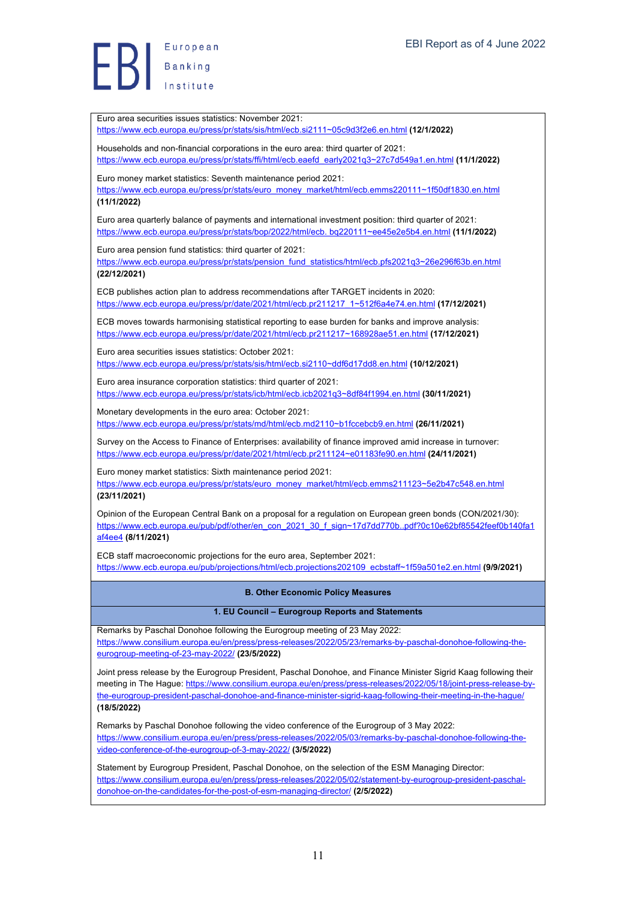European Banking

Euro area securities issues statistics: November 2021: https://www.ecb.europa.eu/press/pr/stats/sis/html/ecb.si2111~05c9d3f2e6.en.html **(12/1/2022)** Households and non-financial corporations in the euro area: third quarter of 2021: https://www.ecb.europa.eu/press/pr/stats/ffi/html/ecb.eaefd\_early2021q3~27c7d549a1.en.html **(11/1/2022)** Euro money market statistics: Seventh maintenance period 2021: https://www.ecb.europa.eu/press/pr/stats/euro\_money\_market/html/ecb.emms220111~1f50df1830.en.html **(11/1/2022)** Euro area quarterly balance of payments and international investment position: third quarter of 2021: https://www.ecb.europa.eu/press/pr/stats/bop/2022/html/ecb. bq220111~ee45e2e5b4.en.html **(11/1/2022)** Euro area pension fund statistics: third quarter of 2021: https://www.ecb.europa.eu/press/pr/stats/pension\_fund\_statistics/html/ecb.pfs2021q3~26e296f63b.en.html **(22/12/2021)** ECB publishes action plan to address recommendations after TARGET incidents in 2020: https://www.ecb.europa.eu/press/pr/date/2021/html/ecb.pr211217\_1~512f6a4e74.en.html **(17/12/2021)** ECB moves towards harmonising statistical reporting to ease burden for banks and improve analysis: https://www.ecb.europa.eu/press/pr/date/2021/html/ecb.pr211217~168928ae51.en.html **(17/12/2021)** Euro area securities issues statistics: October 2021: https://www.ecb.europa.eu/press/pr/stats/sis/html/ecb.si2110~ddf6d17dd8.en.html **(10/12/2021)** Euro area insurance corporation statistics: third quarter of 2021: https://www.ecb.europa.eu/press/pr/stats/icb/html/ecb.icb2021q3~8df84f1994.en.html **(30/11/2021)** Monetary developments in the euro area: October 2021: https://www.ecb.europa.eu/press/pr/stats/md/html/ecb.md2110~b1fccebcb9.en.html **(26/11/2021)** Survey on the Access to Finance of Enterprises: availability of finance improved amid increase in turnover: https://www.ecb.europa.eu/press/pr/date/2021/html/ecb.pr211124~e01183fe90.en.html **(24/11/2021)** Euro money market statistics: Sixth maintenance period 2021: https://www.ecb.europa.eu/press/pr/stats/euro\_money\_market/html/ecb.emms211123~5e2b47c548.en.html **(23/11/2021)** Opinion of the European Central Bank on a proposal for a regulation on European green bonds (CON/2021/30): https://www.ecb.europa.eu/pub/pdf/other/en\_con\_2021\_30\_f\_sign~17d7dd770b..pdf?0c10e62bf85542feef0b140fa1 af4ee4 **(8/11/2021)** ECB staff macroeconomic projections for the euro area, September 2021: https://www.ecb.europa.eu/pub/projections/html/ecb.projections202109\_ecbstaff~1f59a501e2.en.html **(9/9/2021) B. Other Economic Policy Measures 1. EU Council – Eurogroup Reports and Statements** Remarks by Paschal Donohoe following the Eurogroup meeting of 23 May 2022: https://www.consilium.europa.eu/en/press/press-releases/2022/05/23/remarks-by-paschal-donohoe-following-theeurogroup-meeting-of-23-may-2022/ **(23/5/2022)** Joint press release by the Eurogroup President, Paschal Donohoe, and Finance Minister Sigrid Kaag following their meeting in The Hague: https://www.consilium.europa.eu/en/press/press-releases/2022/05/18/joint-press-release-bythe-eurogroup-president-paschal-donohoe-and-finance-minister-sigrid-kaag-following-their-meeting-in-the-hague/ **(18/5/2022)** Remarks by Paschal Donohoe following the video conference of the Eurogroup of 3 May 2022: https://www.consilium.europa.eu/en/press/press-releases/2022/05/03/remarks-by-paschal-donohoe-following-thevideo-conference-of-the-eurogroup-of-3-may-2022/ **(3/5/2022)** Statement by Eurogroup President, Paschal Donohoe, on the selection of the ESM Managing Director: https://www.consilium.europa.eu/en/press/press-releases/2022/05/02/statement-by-eurogroup-president-paschaldonohoe-on-the-candidates-for-the-post-of-esm-managing-director/ **(2/5/2022)**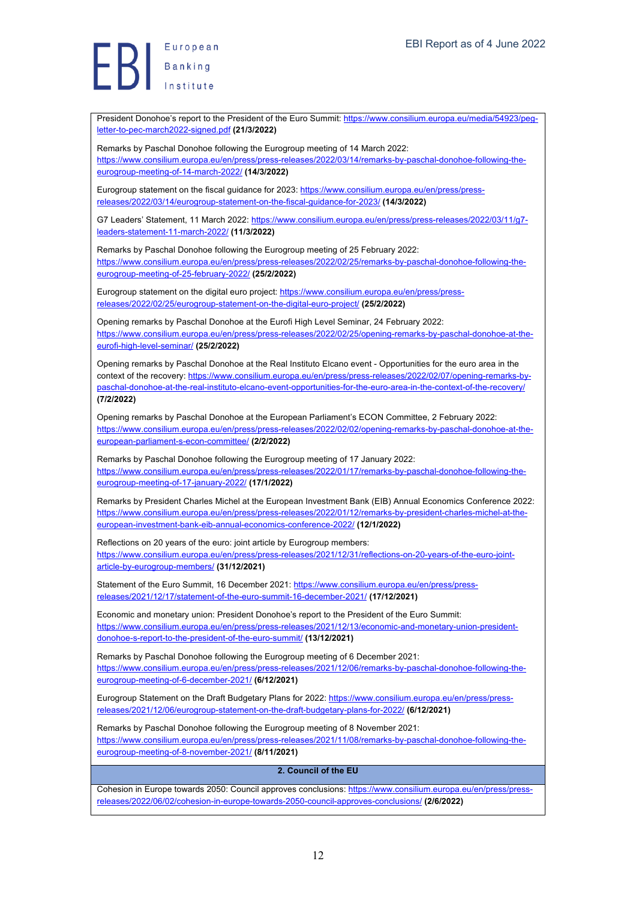Europea<br>Banking<br>Institute European

letter-to-pec-march2022-signed.pdf **(21/3/2022)**

Remarks by Paschal Donohoe following the Eurogroup meeting of 14 March 2022: https://www.consilium.europa.eu/en/press/press-releases/2022/03/14/remarks-by-paschal-donohoe-following-theeurogroup-meeting-of-14-march-2022/ **(14/3/2022)** Eurogroup statement on the fiscal guidance for 2023: https://www.consilium.europa.eu/en/press/pressreleases/2022/03/14/eurogroup-statement-on-the-fiscal-guidance-for-2023/ **(14/3/2022)** G7 Leaders' Statement, 11 March 2022: https://www.consilium.europa.eu/en/press/press-releases/2022/03/11/g7leaders-statement-11-march-2022/ **(11/3/2022)** Remarks by Paschal Donohoe following the Eurogroup meeting of 25 February 2022: https://www.consilium.europa.eu/en/press/press-releases/2022/02/25/remarks-by-paschal-donohoe-following-theeurogroup-meeting-of-25-february-2022/ **(25/2/2022)** Eurogroup statement on the digital euro project: https://www.consilium.europa.eu/en/press/pressreleases/2022/02/25/eurogroup-statement-on-the-digital-euro-project/ **(25/2/2022)** Opening remarks by Paschal Donohoe at the Eurofi High Level Seminar, 24 February 2022: https://www.consilium.europa.eu/en/press/press-releases/2022/02/25/opening-remarks-by-paschal-donohoe-at-theeurofi-high-level-seminar/ **(25/2/2022)** Opening remarks by Paschal Donohoe at the Real Instituto Elcano event - Opportunities for the euro area in the context of the recovery: https://www.consilium.europa.eu/en/press/press-releases/2022/02/07/opening-remarks-bypaschal-donohoe-at-the-real-instituto-elcano-event-opportunities-for-the-euro-area-in-the-context-of-the-recovery/ **(7/2/2022)** Opening remarks by Paschal Donohoe at the European Parliament's ECON Committee, 2 February 2022: https://www.consilium.europa.eu/en/press/press-releases/2022/02/02/opening-remarks-by-paschal-donohoe-at-theeuropean-parliament-s-econ-committee/ **(2/2/2022)** Remarks by Paschal Donohoe following the Eurogroup meeting of 17 January 2022: https://www.consilium.europa.eu/en/press/press-releases/2022/01/17/remarks-by-paschal-donohoe-following-theeurogroup-meeting-of-17-january-2022/ **(17/1/2022)** Remarks by President Charles Michel at the European Investment Bank (EIB) Annual Economics Conference 2022: https://www.consilium.europa.eu/en/press/press-releases/2022/01/12/remarks-by-president-charles-michel-at-theeuropean-investment-bank-eib-annual-economics-conference-2022/ **(12/1/2022)** Reflections on 20 years of the euro: joint article by Eurogroup members: https://www.consilium.europa.eu/en/press/press-releases/2021/12/31/reflections-on-20-years-of-the-euro-jointarticle-by-eurogroup-members/ **(31/12/2021)** Statement of the Euro Summit, 16 December 2021: https://www.consilium.europa.eu/en/press/pressreleases/2021/12/17/statement-of-the-euro-summit-16-december-2021/ **(17/12/2021)** Economic and monetary union: President Donohoe's report to the President of the Euro Summit: https://www.consilium.europa.eu/en/press/press-releases/2021/12/13/economic-and-monetary-union-presidentdonohoe-s-report-to-the-president-of-the-euro-summit/ **(13/12/2021)** Remarks by Paschal Donohoe following the Eurogroup meeting of 6 December 2021: https://www.consilium.europa.eu/en/press/press-releases/2021/12/06/remarks-by-paschal-donohoe-following-theeurogroup-meeting-of-6-december-2021/ **(6/12/2021)** Eurogroup Statement on the Draft Budgetary Plans for 2022: https://www.consilium.europa.eu/en/press/pressreleases/2021/12/06/eurogroup-statement-on-the-draft-budgetary-plans-for-2022/ **(6/12/2021)** Remarks by Paschal Donohoe following the Eurogroup meeting of 8 November 2021: https://www.consilium.europa.eu/en/press/press-releases/2021/11/08/remarks-by-paschal-donohoe-following-theeurogroup-meeting-of-8-november-2021/ **(8/11/2021)**

President Donohoe's report to the President of the Euro Summit: https://www.consilium.europa.eu/media/54923/peg-

#### **2. Council of the EU**

Cohesion in Europe towards 2050: Council approves conclusions: https://www.consilium.europa.eu/en/press/pressreleases/2022/06/02/cohesion-in-europe-towards-2050-council-approves-conclusions/ **(2/6/2022)**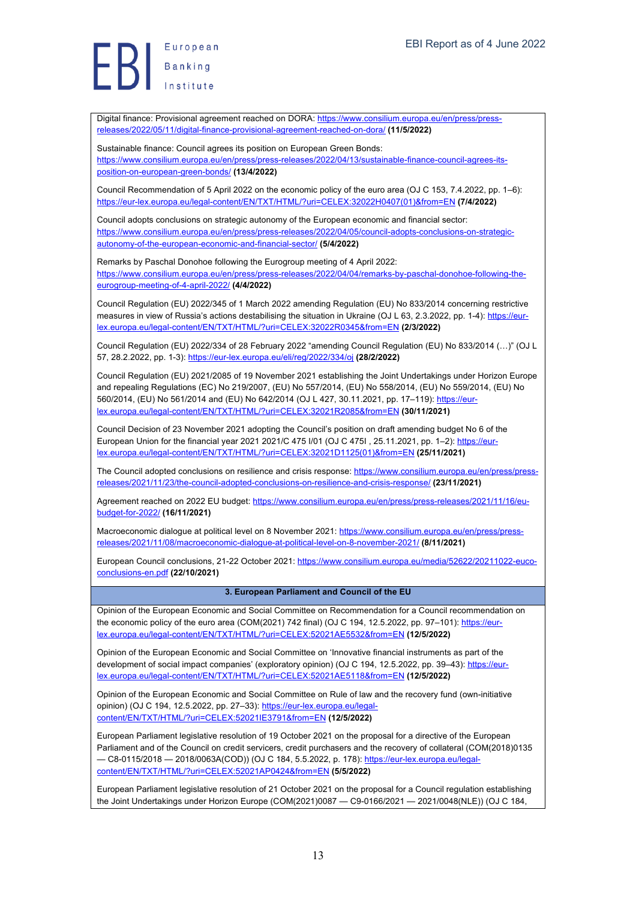Europea<br>Banking<br>Institute European

position-on-european-green-bonds/ **(13/4/2022)**

13 https://eur-lex.europa.eu/legal-content/EN/TXT/HTML/?uri=CELEX:32022H0407(01)&from=EN **(7/4/2022)** Council adopts conclusions on strategic autonomy of the European economic and financial sector: https://www.consilium.europa.eu/en/press/press-releases/2022/04/05/council-adopts-conclusions-on-strategicautonomy-of-the-european-economic-and-financial-sector/ **(5/4/2022)** Remarks by Paschal Donohoe following the Eurogroup meeting of 4 April 2022: https://www.consilium.europa.eu/en/press/press-releases/2022/04/04/remarks-by-paschal-donohoe-following-theeurogroup-meeting-of-4-april-2022/ **(4/4/2022)** Council Regulation (EU) 2022/345 of 1 March 2022 amending Regulation (EU) No 833/2014 concerning restrictive measures in view of Russia's actions destabilising the situation in Ukraine (OJ L 63, 2.3.2022, pp. 1-4); https://eurlex.europa.eu/legal-content/EN/TXT/HTML/?uri=CELEX:32022R0345&from=EN **(2/3/2022)** Council Regulation (EU) 2022/334 of 28 February 2022 "amending Council Regulation (EU) No 833/2014 (…)" (OJ L 57, 28.2.2022, pp. 1-3): https://eur-lex.europa.eu/eli/reg/2022/334/oj **(28/2/2022)** Council Regulation (EU) 2021/2085 of 19 November 2021 establishing the Joint Undertakings under Horizon Europe and repealing Regulations (EC) No 219/2007, (EU) No 557/2014, (EU) No 558/2014, (EU) No 559/2014, (EU) No 560/2014, (EU) No 561/2014 and (EU) No 642/2014 (OJ L 427, 30.11.2021, pp. 17–119): https://eurlex.europa.eu/legal-content/EN/TXT/HTML/?uri=CELEX:32021R2085&from=EN **(30/11/2021)** Council Decision of 23 November 2021 adopting the Council's position on draft amending budget No 6 of the European Union for the financial year 2021 2021/C 475 I/01 (OJ C 475I , 25.11.2021, pp. 1–2): https://eurlex.europa.eu/legal-content/EN/TXT/HTML/?uri=CELEX:32021D1125(01)&from=EN **(25/11/2021)** The Council adopted conclusions on resilience and crisis response: https://www.consilium.europa.eu/en/press/pressreleases/2021/11/23/the-council-adopted-conclusions-on-resilience-and-crisis-response/ **(23/11/2021)** Agreement reached on 2022 EU budget: https://www.consilium.europa.eu/en/press/press-releases/2021/11/16/eubudget-for-2022/ **(16/11/2021)** Macroeconomic dialogue at political level on 8 November 2021: https://www.consilium.europa.eu/en/press/pressreleases/2021/11/08/macroeconomic-dialogue-at-political-level-on-8-november-2021/ **(8/11/2021)** European Council conclusions, 21-22 October 2021: https://www.consilium.europa.eu/media/52622/20211022-eucoconclusions-en.pdf **(22/10/2021) 3. European Parliament and Council of the EU** Opinion of the European Economic and Social Committee on Recommendation for a Council recommendation on the economic policy of the euro area (COM(2021) 742 final) (OJ C 194, 12.5.2022, pp. 97-101): https://eurlex.europa.eu/legal-content/EN/TXT/HTML/?uri=CELEX:52021AE5532&from=EN **(12/5/2022)** Opinion of the European Economic and Social Committee on 'Innovative financial instruments as part of the development of social impact companies' (exploratory opinion) (OJ C 194, 12.5.2022, pp. 39-43): https://eurlex.europa.eu/legal-content/EN/TXT/HTML/?uri=CELEX:52021AE5118&from=EN **(12/5/2022)** Opinion of the European Economic and Social Committee on Rule of law and the recovery fund (own-initiative opinion) (OJ C 194, 12.5.2022, pp. 27-33): https://eur-lex.europa.eu/legalcontent/EN/TXT/HTML/?uri=CELEX:52021IE3791&from=EN **(12/5/2022)** European Parliament legislative resolution of 19 October 2021 on the proposal for a directive of the European Parliament and of the Council on credit servicers, credit purchasers and the recovery of collateral (COM(2018)0135 — C8-0115/2018 — 2018/0063A(COD)) (OJ C 184, 5.5.2022, p. 178): https://eur-lex.europa.eu/legalcontent/EN/TXT/HTML/?uri=CELEX:52021AP0424&from=EN **(5/5/2022)** European Parliament legislative resolution of 21 October 2021 on the proposal for a Council regulation establishing the Joint Undertakings under Horizon Europe (COM(2021)0087 — C9-0166/2021 — 2021/0048(NLE)) (OJ C 184,

Digital finance: Provisional agreement reached on DORA: https://www.consilium.europa.eu/en/press/press-

https://www.consilium.europa.eu/en/press/press-releases/2022/04/13/sustainable-finance-council-agrees-its-

Council Recommendation of 5 April 2022 on the economic policy of the euro area (OJ C 153, 7.4.2022, pp. 1–6):

releases/2022/05/11/digital-finance-provisional-agreement-reached-on-dora/ **(11/5/2022)**

Sustainable finance: Council agrees its position on European Green Bonds: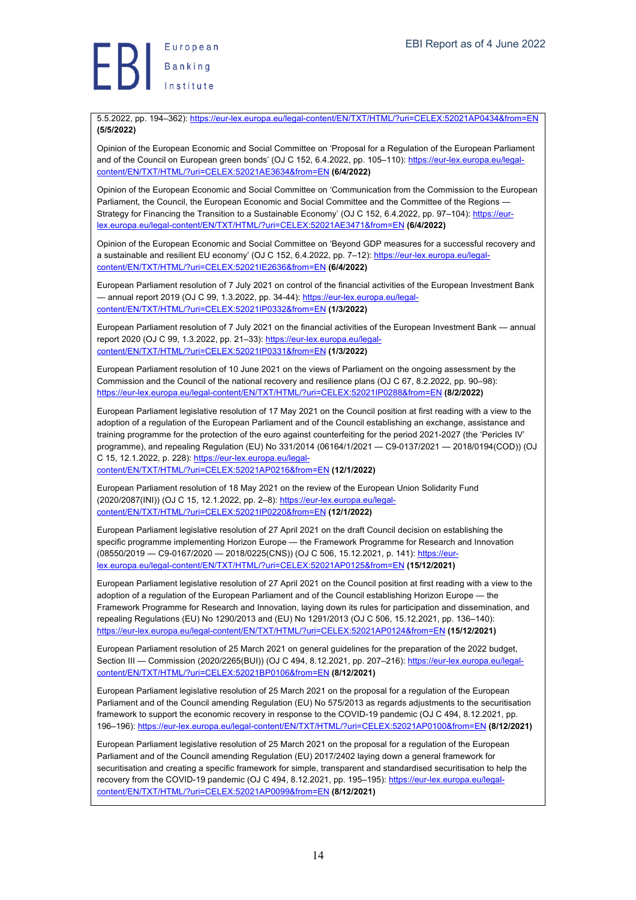

5.5.2022, pp. 194–362): https://eur-lex.europa.eu/legal-content/EN/TXT/HTML/?uri=CELEX:52021AP0434&from=EN **(5/5/2022)**

Opinion of the European Economic and Social Committee on 'Proposal for a Regulation of the European Parliament and of the Council on European green bonds' (OJ C 152, 6.4.2022, pp. 105–110): https://eur-lex.europa.eu/legalcontent/EN/TXT/HTML/?uri=CELEX:52021AE3634&from=EN **(6/4/2022)**

Opinion of the European Economic and Social Committee on 'Communication from the Commission to the European Parliament, the Council, the European Economic and Social Committee and the Committee of the Regions -Strategy for Financing the Transition to a Sustainable Economy' (OJ C 152, 6.4.2022, pp. 97–104): https://eurlex.europa.eu/legal-content/EN/TXT/HTML/?uri=CELEX:52021AE3471&from=EN **(6/4/2022)**

Opinion of the European Economic and Social Committee on 'Beyond GDP measures for a successful recovery and a sustainable and resilient EU economy' (OJ C 152, 6.4.2022, pp. 7–12): https://eur-lex.europa.eu/legalcontent/EN/TXT/HTML/?uri=CELEX:52021IE2636&from=EN **(6/4/2022)**

European Parliament resolution of 7 July 2021 on control of the financial activities of the European Investment Bank — annual report 2019 (OJ C 99, 1.3.2022, pp. 34-44): https://eur-lex.europa.eu/legalcontent/EN/TXT/HTML/?uri=CELEX:52021IP0332&from=EN **(1/3/2022)**

European Parliament resolution of 7 July 2021 on the financial activities of the European Investment Bank — annual report 2020 (OJ C 99, 1.3.2022, pp. 21–33): https://eur-lex.europa.eu/legalcontent/EN/TXT/HTML/?uri=CELEX:52021IP0331&from=EN **(1/3/2022)**

European Parliament resolution of 10 June 2021 on the views of Parliament on the ongoing assessment by the Commission and the Council of the national recovery and resilience plans (OJ C 67, 8.2.2022, pp. 90–98): https://eur-lex.europa.eu/legal-content/EN/TXT/HTML/?uri=CELEX:52021IP0288&from=EN **(8/2/2022)**

European Parliament legislative resolution of 17 May 2021 on the Council position at first reading with a view to the adoption of a regulation of the European Parliament and of the Council establishing an exchange, assistance and training programme for the protection of the euro against counterfeiting for the period 2021-2027 (the 'Pericles IV' programme), and repealing Regulation (EU) No 331/2014 (06164/1/2021 — C9-0137/2021 — 2018/0194(COD)) (OJ C 15, 12.1.2022, p. 228): https://eur-lex.europa.eu/legal-

content/EN/TXT/HTML/?uri=CELEX:52021AP0216&from=EN **(12/1/2022)**

European Parliament resolution of 18 May 2021 on the review of the European Union Solidarity Fund (2020/2087(INI)) (OJ C 15, 12.1.2022, pp. 2–8): https://eur-lex.europa.eu/legalcontent/EN/TXT/HTML/?uri=CELEX:52021IP0220&from=EN **(12/1/2022)**

European Parliament legislative resolution of 27 April 2021 on the draft Council decision on establishing the specific programme implementing Horizon Europe — the Framework Programme for Research and Innovation (08550/2019 — C9-0167/2020 — 2018/0225(CNS)) (OJ C 506, 15.12.2021, p. 141): https://eurlex.europa.eu/legal-content/EN/TXT/HTML/?uri=CELEX:52021AP0125&from=EN **(15/12/2021)**

European Parliament legislative resolution of 27 April 2021 on the Council position at first reading with a view to the adoption of a regulation of the European Parliament and of the Council establishing Horizon Europe — the Framework Programme for Research and Innovation, laying down its rules for participation and dissemination, and repealing Regulations (EU) No 1290/2013 and (EU) No 1291/2013 (OJ C 506, 15.12.2021, pp. 136–140): https://eur-lex.europa.eu/legal-content/EN/TXT/HTML/?uri=CELEX:52021AP0124&from=EN **(15/12/2021)**

European Parliament resolution of 25 March 2021 on general guidelines for the preparation of the 2022 budget, Section III — Commission (2020/2265(BUI)) (OJ C 494, 8.12.2021, pp. 207–216); https://eur-lex.europa.eu/legalcontent/EN/TXT/HTML/?uri=CELEX:52021BP0106&from=EN **(8/12/2021)**

European Parliament legislative resolution of 25 March 2021 on the proposal for a regulation of the European Parliament and of the Council amending Regulation (EU) No 575/2013 as regards adjustments to the securitisation framework to support the economic recovery in response to the COVID-19 pandemic (OJ C 494, 8.12.2021, pp. 196–196): https://eur-lex.europa.eu/legal-content/EN/TXT/HTML/?uri=CELEX:52021AP0100&from=EN **(8/12/2021)**

European Parliament legislative resolution of 25 March 2021 on the proposal for a regulation of the European Parliament and of the Council amending Regulation (EU) 2017/2402 laying down a general framework for securitisation and creating a specific framework for simple, transparent and standardised securitisation to help the recovery from the COVID-19 pandemic (OJ C 494, 8.12.2021, pp. 195–195): https://eur-lex.europa.eu/legalcontent/EN/TXT/HTML/?uri=CELEX:52021AP0099&from=EN **(8/12/2021)**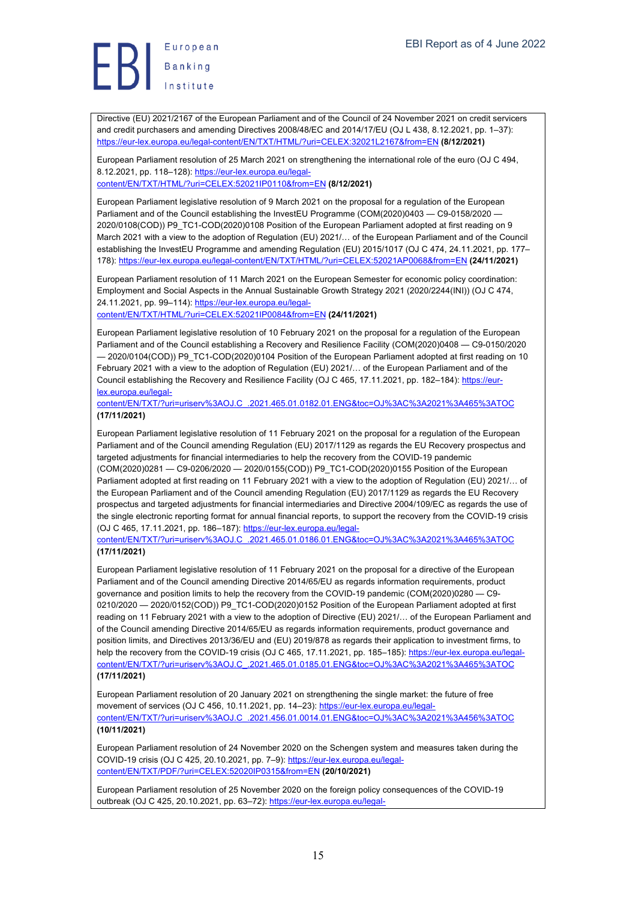

Directive (EU) 2021/2167 of the European Parliament and of the Council of 24 November 2021 on credit servicers and credit purchasers and amending Directives 2008/48/EC and 2014/17/EU (OJ L 438, 8.12.2021, pp. 1–37): https://eur-lex.europa.eu/legal-content/EN/TXT/HTML/?uri=CELEX:32021L2167&from=EN **(8/12/2021)**

European Parliament resolution of 25 March 2021 on strengthening the international role of the euro (OJ C 494, 8.12.2021, pp. 118–128): https://eur-lex.europa.eu/legal-

content/EN/TXT/HTML/?uri=CELEX:52021IP0110&from=EN **(8/12/2021)**

European Parliament legislative resolution of 9 March 2021 on the proposal for a regulation of the European Parliament and of the Council establishing the InvestEU Programme (COM(2020)0403 — C9-0158/2020 2020/0108(COD)) P9\_TC1-COD(2020)0108 Position of the European Parliament adopted at first reading on 9 March 2021 with a view to the adoption of Regulation (EU) 2021/… of the European Parliament and of the Council establishing the InvestEU Programme and amending Regulation (EU) 2015/1017 (OJ C 474, 24.11.2021, pp. 177– 178): https://eur-lex.europa.eu/legal-content/EN/TXT/HTML/?uri=CELEX:52021AP0068&from=EN **(24/11/2021)**

European Parliament resolution of 11 March 2021 on the European Semester for economic policy coordination: Employment and Social Aspects in the Annual Sustainable Growth Strategy 2021 (2020/2244(INI)) (OJ C 474, 24.11.2021, pp. 99–114): https://eur-lex.europa.eu/legalcontent/EN/TXT/HTML/?uri=CELEX:52021IP0084&from=EN **(24/11/2021)**

European Parliament legislative resolution of 10 February 2021 on the proposal for a regulation of the European Parliament and of the Council establishing a Recovery and Resilience Facility (COM(2020)0408 — C9-0150/2020 — 2020/0104(COD)) P9\_TC1-COD(2020)0104 Position of the European Parliament adopted at first reading on 10 February 2021 with a view to the adoption of Regulation (EU) 2021/… of the European Parliament and of the Council establishing the Recovery and Resilience Facility (OJ C 465, 17.11.2021, pp. 182-184): https://eurlex.europa.eu/legal-

content/EN/TXT/?uri=uriserv%3AOJ.C\_.2021.465.01.0182.01.ENG&toc=OJ%3AC%3A2021%3A465%3ATOC **(17/11/2021)**

European Parliament legislative resolution of 11 February 2021 on the proposal for a regulation of the European Parliament and of the Council amending Regulation (EU) 2017/1129 as regards the EU Recovery prospectus and targeted adjustments for financial intermediaries to help the recovery from the COVID-19 pandemic (COM(2020)0281 — C9-0206/2020 — 2020/0155(COD)) P9\_TC1-COD(2020)0155 Position of the European Parliament adopted at first reading on 11 February 2021 with a view to the adoption of Regulation (EU) 2021/… of the European Parliament and of the Council amending Regulation (EU) 2017/1129 as regards the EU Recovery prospectus and targeted adjustments for financial intermediaries and Directive 2004/109/EC as regards the use of the single electronic reporting format for annual financial reports, to support the recovery from the COVID-19 crisis (OJ C 465, 17.11.2021, pp. 186–187): https://eur-lex.europa.eu/legal-

content/EN/TXT/?uri=uriserv%3AOJ.C\_.2021.465.01.0186.01.ENG&toc=OJ%3AC%3A2021%3A465%3ATOC **(17/11/2021)**

European Parliament legislative resolution of 11 February 2021 on the proposal for a directive of the European Parliament and of the Council amending Directive 2014/65/EU as regards information requirements, product governance and position limits to help the recovery from the COVID-19 pandemic (COM(2020)0280 — C9- 0210/2020 - 2020/0152(COD)) P9\_TC1-COD(2020)0152 Position of the European Parliament adopted at first reading on 11 February 2021 with a view to the adoption of Directive (EU) 2021/… of the European Parliament and of the Council amending Directive 2014/65/EU as regards information requirements, product governance and position limits, and Directives 2013/36/EU and (EU) 2019/878 as regards their application to investment firms, to help the recovery from the COVID-19 crisis (OJ C 465, 17.11.2021, pp. 185–185): https://eur-lex.europa.eu/legalcontent/EN/TXT/?uri=uriserv%3AOJ.C\_.2021.465.01.0185.01.ENG&toc=OJ%3AC%3A2021%3A465%3ATOC **(17/11/2021)**

European Parliament resolution of 20 January 2021 on strengthening the single market: the future of free movement of services (OJ C 456, 10.11.2021, pp. 14-23): https://eur-lex.europa.eu/legalcontent/EN/TXT/?uri=uriserv%3AOJ.C\_.2021.456.01.0014.01.ENG&toc=OJ%3AC%3A2021%3A456%3ATOC **(10/11/2021)**

European Parliament resolution of 24 November 2020 on the Schengen system and measures taken during the COVID-19 crisis (OJ C 425, 20.10.2021, pp. 7–9): https://eur-lex.europa.eu/legalcontent/EN/TXT/PDF/?uri=CELEX:52020IP0315&from=EN **(20/10/2021)**

European Parliament resolution of 25 November 2020 on the foreign policy consequences of the COVID-19 outbreak (OJ C 425, 20.10.2021, pp. 63-72): https://eur-lex.europa.eu/legal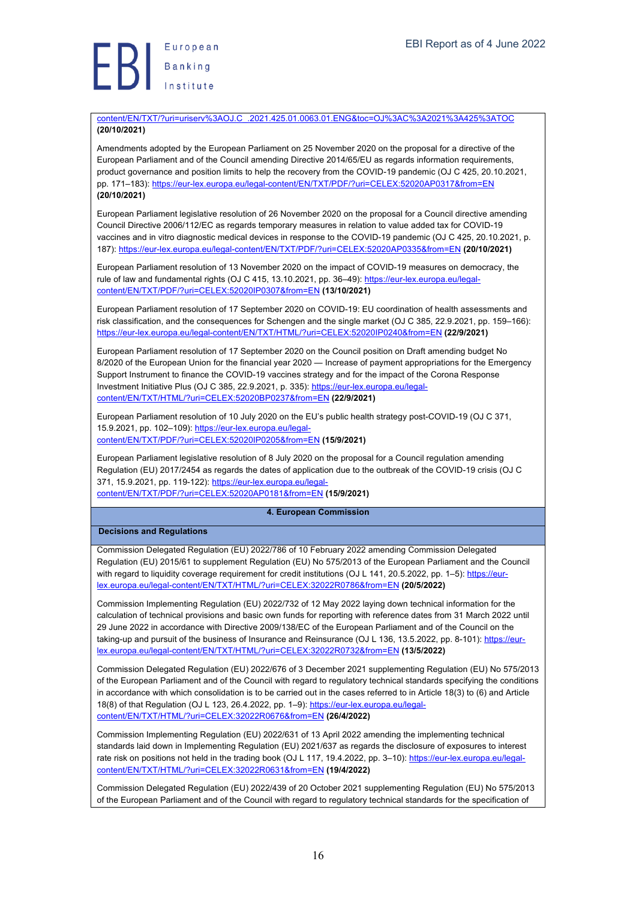Europea<br>Banking<br>Institute

content/EN/TXT/?uri=uriserv%3AOJ.C\_.2021.425.01.0063.01.ENG&toc=OJ%3AC%3A2021%3A425%3ATOC **(20/10/2021)**

Amendments adopted by the European Parliament on 25 November 2020 on the proposal for a directive of the European Parliament and of the Council amending Directive 2014/65/EU as regards information requirements, product governance and position limits to help the recovery from the COVID-19 pandemic (OJ C 425, 20.10.2021, pp. 171–183): https://eur-lex.europa.eu/legal-content/EN/TXT/PDF/?uri=CELEX:52020AP0317&from=EN **(20/10/2021)**

European Parliament legislative resolution of 26 November 2020 on the proposal for a Council directive amending Council Directive 2006/112/EC as regards temporary measures in relation to value added tax for COVID-19 vaccines and in vitro diagnostic medical devices in response to the COVID-19 pandemic (OJ C 425, 20.10.2021, p. 187): https://eur-lex.europa.eu/legal-content/EN/TXT/PDF/?uri=CELEX:52020AP0335&from=EN **(20/10/2021)**

European Parliament resolution of 13 November 2020 on the impact of COVID-19 measures on democracy, the rule of law and fundamental rights (OJ C 415, 13.10.2021, pp. 36–49): https://eur-lex.europa.eu/legalcontent/EN/TXT/PDF/?uri=CELEX:52020IP0307&from=EN **(13/10/2021)**

European Parliament resolution of 17 September 2020 on COVID-19: EU coordination of health assessments and risk classification, and the consequences for Schengen and the single market (OJ C 385, 22.9.2021, pp. 159–166): https://eur-lex.europa.eu/legal-content/EN/TXT/HTML/?uri=CELEX:52020IP0240&from=EN **(22/9/2021)**

European Parliament resolution of 17 September 2020 on the Council position on Draft amending budget No 8/2020 of the European Union for the financial year 2020 — Increase of payment appropriations for the Emergency Support Instrument to finance the COVID-19 vaccines strategy and for the impact of the Corona Response Investment Initiative Plus (OJ C 385, 22.9.2021, p. 335): https://eur-lex.europa.eu/legalcontent/EN/TXT/HTML/?uri=CELEX:52020BP0237&from=EN **(22/9/2021)**

European Parliament resolution of 10 July 2020 on the EU's public health strategy post-COVID-19 (OJ C 371, 15.9.2021, pp. 102-109): https://eur-lex.europa.eu/legalcontent/EN/TXT/PDF/?uri=CELEX:52020IP0205&from=EN **(15/9/2021)**

European Parliament legislative resolution of 8 July 2020 on the proposal for a Council regulation amending Regulation (EU) 2017/2454 as regards the dates of application due to the outbreak of the COVID-19 crisis (OJ C 371, 15.9.2021, pp. 119-122): https://eur-lex.europa.eu/legalcontent/EN/TXT/PDF/?uri=CELEX:52020AP0181&from=EN **(15/9/2021)**

**4. European Commission**

#### **Decisions and Regulations**

Commission Delegated Regulation (EU) 2022/786 of 10 February 2022 amending Commission Delegated Regulation (EU) 2015/61 to supplement Regulation (EU) No 575/2013 of the European Parliament and the Council with regard to liquidity coverage requirement for credit institutions (OJ L 141, 20.5.2022, pp. 1-5): https://eurlex.europa.eu/legal-content/EN/TXT/HTML/?uri=CELEX:32022R0786&from=EN **(20/5/2022)**

Commission Implementing Regulation (EU) 2022/732 of 12 May 2022 laying down technical information for the calculation of technical provisions and basic own funds for reporting with reference dates from 31 March 2022 until 29 June 2022 in accordance with Directive 2009/138/EC of the European Parliament and of the Council on the taking-up and pursuit of the business of Insurance and Reinsurance (OJ L 136, 13.5.2022, pp. 8-101): https://eurlex.europa.eu/legal-content/EN/TXT/HTML/?uri=CELEX:32022R0732&from=EN **(13/5/2022)**

Commission Delegated Regulation (EU) 2022/676 of 3 December 2021 supplementing Regulation (EU) No 575/2013 of the European Parliament and of the Council with regard to regulatory technical standards specifying the conditions in accordance with which consolidation is to be carried out in the cases referred to in Article 18(3) to (6) and Article 18(8) of that Regulation (OJ L 123, 26.4.2022, pp. 1-9): https://eur-lex.europa.eu/legalcontent/EN/TXT/HTML/?uri=CELEX:32022R0676&from=EN **(26/4/2022)**

Commission Implementing Regulation (EU) 2022/631 of 13 April 2022 amending the implementing technical standards laid down in Implementing Regulation (EU) 2021/637 as regards the disclosure of exposures to interest rate risk on positions not held in the trading book (OJ L 117, 19.4.2022, pp. 3-10): https://eur-lex.europa.eu/legalcontent/EN/TXT/HTML/?uri=CELEX:32022R0631&from=EN **(19/4/2022)**

Commission Delegated Regulation (EU) 2022/439 of 20 October 2021 supplementing Regulation (EU) No 575/2013 of the European Parliament and of the Council with regard to regulatory technical standards for the specification of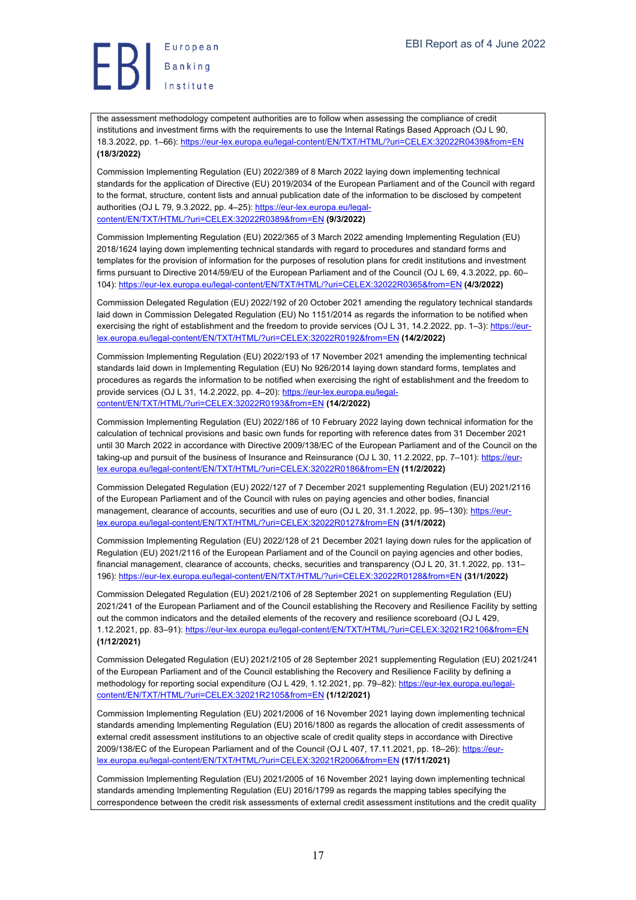Europea<br>Banking<br>Institute

the assessment methodology competent authorities are to follow when assessing the compliance of credit institutions and investment firms with the requirements to use the Internal Ratings Based Approach (OJ L 90, 18.3.2022, pp. 1–66): https://eur-lex.europa.eu/legal-content/EN/TXT/HTML/?uri=CELEX:32022R0439&from=EN **(18/3/2022)**

Commission Implementing Regulation (EU) 2022/389 of 8 March 2022 laying down implementing technical standards for the application of Directive (EU) 2019/2034 of the European Parliament and of the Council with regard to the format, structure, content lists and annual publication date of the information to be disclosed by competent authorities (OJ L 79, 9.3.2022, pp. 4–25): https://eur-lex.europa.eu/legalcontent/EN/TXT/HTML/?uri=CELEX:32022R0389&from=EN **(9/3/2022)**

Commission Implementing Regulation (EU) 2022/365 of 3 March 2022 amending Implementing Regulation (EU) 2018/1624 laying down implementing technical standards with regard to procedures and standard forms and templates for the provision of information for the purposes of resolution plans for credit institutions and investment firms pursuant to Directive 2014/59/EU of the European Parliament and of the Council (OJ L 69, 4.3.2022, pp. 60– 104): https://eur-lex.europa.eu/legal-content/EN/TXT/HTML/?uri=CELEX:32022R0365&from=EN **(4/3/2022)**

Commission Delegated Regulation (EU) 2022/192 of 20 October 2021 amending the regulatory technical standards laid down in Commission Delegated Regulation (EU) No 1151/2014 as regards the information to be notified when exercising the right of establishment and the freedom to provide services (OJ L 31, 14.2.2022, pp. 1–3): https://eurlex.europa.eu/legal-content/EN/TXT/HTML/?uri=CELEX:32022R0192&from=EN **(14/2/2022)**

Commission Implementing Regulation (EU) 2022/193 of 17 November 2021 amending the implementing technical standards laid down in Implementing Regulation (EU) No 926/2014 laying down standard forms, templates and procedures as regards the information to be notified when exercising the right of establishment and the freedom to provide services (OJ L 31, 14.2.2022, pp. 4-20): https://eur-lex.europa.eu/legalcontent/EN/TXT/HTML/?uri=CELEX:32022R0193&from=EN **(14/2/2022)**

Commission Implementing Regulation (EU) 2022/186 of 10 February 2022 laying down technical information for the calculation of technical provisions and basic own funds for reporting with reference dates from 31 December 2021 until 30 March 2022 in accordance with Directive 2009/138/EC of the European Parliament and of the Council on the taking-up and pursuit of the business of Insurance and Reinsurance (OJ L 30, 11.2.2022, pp. 7–101): https://eurlex.europa.eu/legal-content/EN/TXT/HTML/?uri=CELEX:32022R0186&from=EN **(11/2/2022)**

Commission Delegated Regulation (EU) 2022/127 of 7 December 2021 supplementing Regulation (EU) 2021/2116 of the European Parliament and of the Council with rules on paying agencies and other bodies, financial management, clearance of accounts, securities and use of euro (OJ L 20, 31.1.2022, pp. 95–130); https://eurlex.europa.eu/legal-content/EN/TXT/HTML/?uri=CELEX:32022R0127&from=EN **(31/1/2022)**

Commission Implementing Regulation (EU) 2022/128 of 21 December 2021 laying down rules for the application of Regulation (EU) 2021/2116 of the European Parliament and of the Council on paying agencies and other bodies, financial management, clearance of accounts, checks, securities and transparency (OJ L 20, 31.1.2022, pp. 131– 196): https://eur-lex.europa.eu/legal-content/EN/TXT/HTML/?uri=CELEX:32022R0128&from=EN **(31/1/2022)**

Commission Delegated Regulation (EU) 2021/2106 of 28 September 2021 on supplementing Regulation (EU) 2021/241 of the European Parliament and of the Council establishing the Recovery and Resilience Facility by setting out the common indicators and the detailed elements of the recovery and resilience scoreboard (OJ L 429, 1.12.2021, pp. 83–91): https://eur-lex.europa.eu/legal-content/EN/TXT/HTML/?uri=CELEX:32021R2106&from=EN **(1/12/2021)**

Commission Delegated Regulation (EU) 2021/2105 of 28 September 2021 supplementing Regulation (EU) 2021/241 of the European Parliament and of the Council establishing the Recovery and Resilience Facility by defining a methodology for reporting social expenditure (OJ L 429, 1.12.2021, pp. 79–82): https://eur-lex.europa.eu/legalcontent/EN/TXT/HTML/?uri=CELEX:32021R2105&from=EN **(1/12/2021)**

Commission Implementing Regulation (EU) 2021/2006 of 16 November 2021 laying down implementing technical standards amending Implementing Regulation (EU) 2016/1800 as regards the allocation of credit assessments of external credit assessment institutions to an objective scale of credit quality steps in accordance with Directive 2009/138/EC of the European Parliament and of the Council (OJ L 407, 17.11.2021, pp. 18–26): https://eurlex.europa.eu/legal-content/EN/TXT/HTML/?uri=CELEX:32021R2006&from=EN **(17/11/2021)**

Commission Implementing Regulation (EU) 2021/2005 of 16 November 2021 laying down implementing technical standards amending Implementing Regulation (EU) 2016/1799 as regards the mapping tables specifying the correspondence between the credit risk assessments of external credit assessment institutions and the credit quality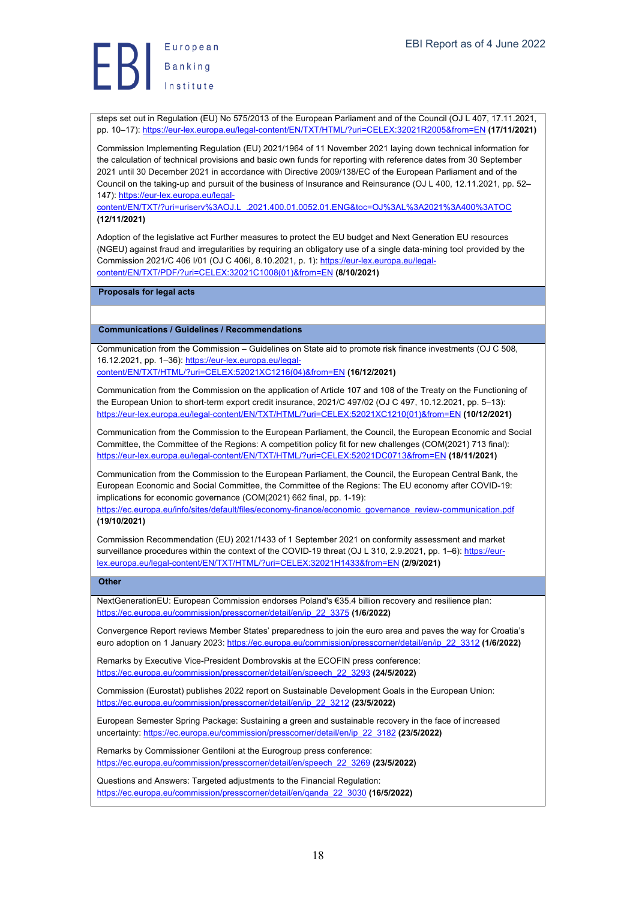

steps set out in Regulation (EU) No 575/2013 of the European Parliament and of the Council (OJ L 407, 17.11.2021, pp. 10–17): https://eur-lex.europa.eu/legal-content/EN/TXT/HTML/?uri=CELEX:32021R2005&from=EN **(17/11/2021)**

Commission Implementing Regulation (EU) 2021/1964 of 11 November 2021 laying down technical information for the calculation of technical provisions and basic own funds for reporting with reference dates from 30 September 2021 until 30 December 2021 in accordance with Directive 2009/138/EC of the European Parliament and of the Council on the taking-up and pursuit of the business of Insurance and Reinsurance (OJ L 400, 12.11.2021, pp. 52– 147): https://eur-lex.europa.eu/legal-

content/EN/TXT/?uri=uriserv%3AOJ.L\_.2021.400.01.0052.01.ENG&toc=OJ%3AL%3A2021%3A400%3ATOC **(12/11/2021)**

Adoption of the legislative act Further measures to protect the EU budget and Next Generation EU resources (NGEU) against fraud and irregularities by requiring an obligatory use of a single data-mining tool provided by the Commission 2021/C 406 I/01 (OJ C 406I, 8.10.2021, p. 1): https://eur-lex.europa.eu/legalcontent/EN/TXT/PDF/?uri=CELEX:32021C1008(01)&from=EN **(8/10/2021)**

**Proposals for legal acts**

**Communications / Guidelines / Recommendations**

Communication from the Commission – Guidelines on State aid to promote risk finance investments (OJ C 508, 16.12.2021, pp. 1-36): https://eur-lex.europa.eu/legal-

content/EN/TXT/HTML/?uri=CELEX:52021XC1216(04)&from=EN **(16/12/2021)**

Communication from the Commission on the application of Article 107 and 108 of the Treaty on the Functioning of the European Union to short-term export credit insurance, 2021/C 497/02 (OJ C 497, 10.12.2021, pp. 5–13): https://eur-lex.europa.eu/legal-content/EN/TXT/HTML/?uri=CELEX:52021XC1210(01)&from=EN **(10/12/2021)**

Communication from the Commission to the European Parliament, the Council, the European Economic and Social Committee, the Committee of the Regions: A competition policy fit for new challenges (COM(2021) 713 final): https://eur-lex.europa.eu/legal-content/EN/TXT/HTML/?uri=CELEX:52021DC0713&from=EN **(18/11/2021)**

Communication from the Commission to the European Parliament, the Council, the European Central Bank, the European Economic and Social Committee, the Committee of the Regions: The EU economy after COVID-19: implications for economic governance (COM(2021) 662 final, pp. 1-19):

https://ec.europa.eu/info/sites/default/files/economy-finance/economic\_governance\_review-communication.pdf **(19/10/2021)**

Commission Recommendation (EU) 2021/1433 of 1 September 2021 on conformity assessment and market surveillance procedures within the context of the COVID-19 threat (OJ L 310, 2.9.2021, pp. 1–6): https://eurlex.europa.eu/legal-content/EN/TXT/HTML/?uri=CELEX:32021H1433&from=EN **(2/9/2021)**

**Other**

NextGenerationEU: European Commission endorses Poland's €35.4 billion recovery and resilience plan: https://ec.europa.eu/commission/presscorner/detail/en/ip\_22\_3375 **(1/6/2022)**

Convergence Report reviews Member States' preparedness to join the euro area and paves the way for Croatia's euro adoption on 1 January 2023: https://ec.europa.eu/commission/presscorner/detail/en/ip\_22\_3312 **(1/6/2022)**

Remarks by Executive Vice-President Dombrovskis at the ECOFIN press conference: https://ec.europa.eu/commission/presscorner/detail/en/speech\_22\_3293 **(24/5/2022)**

Commission (Eurostat) publishes 2022 report on Sustainable Development Goals in the European Union: https://ec.europa.eu/commission/presscorner/detail/en/ip\_22\_3212 **(23/5/2022)**

European Semester Spring Package: Sustaining a green and sustainable recovery in the face of increased uncertainty: https://ec.europa.eu/commission/presscorner/detail/en/ip\_22\_3182 **(23/5/2022)**

Remarks by Commissioner Gentiloni at the Eurogroup press conference: https://ec.europa.eu/commission/presscorner/detail/en/speech\_22\_3269 **(23/5/2022)**

Questions and Answers: Targeted adjustments to the Financial Regulation: https://ec.europa.eu/commission/presscorner/detail/en/qanda\_22\_3030 **(16/5/2022)**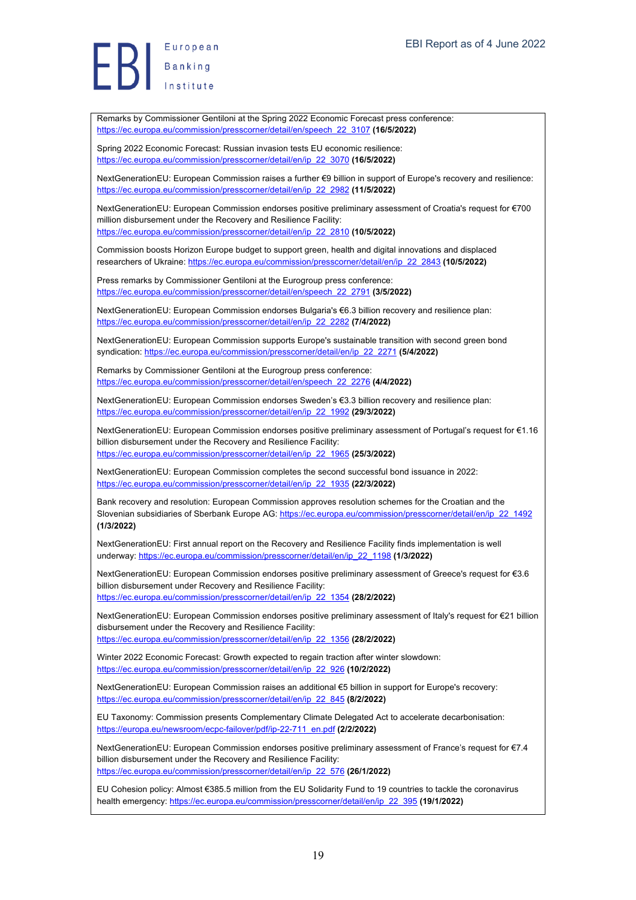Banking

Remarks by Commissioner Gentiloni at the Spring 2022 Economic Forecast press conference: https://ec.europa.eu/commission/presscorner/detail/en/speech\_22\_3107 **(16/5/2022)** Spring 2022 Economic Forecast: Russian invasion tests EU economic resilience: https://ec.europa.eu/commission/presscorner/detail/en/ip\_22\_3070 **(16/5/2022)** NextGenerationEU: European Commission raises a further €9 billion in support of Europe's recovery and resilience: https://ec.europa.eu/commission/presscorner/detail/en/ip\_22\_2982 **(11/5/2022)** NextGenerationEU: European Commission endorses positive preliminary assessment of Croatia's request for €700 million disbursement under the Recovery and Resilience Facility: https://ec.europa.eu/commission/presscorner/detail/en/ip\_22\_2810 **(10/5/2022)** Commission boosts Horizon Europe budget to support green, health and digital innovations and displaced researchers of Ukraine: https://ec.europa.eu/commission/presscorner/detail/en/ip\_22\_2843 **(10/5/2022)** Press remarks by Commissioner Gentiloni at the Eurogroup press conference: https://ec.europa.eu/commission/presscorner/detail/en/speech\_22\_2791 **(3/5/2022)** NextGenerationEU: European Commission endorses Bulgaria's €6.3 billion recovery and resilience plan: https://ec.europa.eu/commission/presscorner/detail/en/ip\_22\_2282 **(7/4/2022)** NextGenerationEU: European Commission supports Europe's sustainable transition with second green bond syndication: https://ec.europa.eu/commission/presscorner/detail/en/ip\_22\_2271 **(5/4/2022)** Remarks by Commissioner Gentiloni at the Eurogroup press conference: https://ec.europa.eu/commission/presscorner/detail/en/speech\_22\_2276 **(4/4/2022)** NextGenerationEU: European Commission endorses Sweden's €3.3 billion recovery and resilience plan: https://ec.europa.eu/commission/presscorner/detail/en/ip\_22\_1992 **(29/3/2022)** NextGenerationEU: European Commission endorses positive preliminary assessment of Portugal's request for €1.16 billion disbursement under the Recovery and Resilience Facility: https://ec.europa.eu/commission/presscorner/detail/en/ip\_22\_1965 **(25/3/2022)** NextGenerationEU: European Commission completes the second successful bond issuance in 2022: https://ec.europa.eu/commission/presscorner/detail/en/ip\_22\_1935 **(22/3/2022)** Bank recovery and resolution: European Commission approves resolution schemes for the Croatian and the Slovenian subsidiaries of Sberbank Europe AG: https://ec.europa.eu/commission/presscorner/detail/en/ip\_22\_1492 **(1/3/2022)** NextGenerationEU: First annual report on the Recovery and Resilience Facility finds implementation is well underway: https://ec.europa.eu/commission/presscorner/detail/en/ip\_22\_1198 **(1/3/2022)** NextGenerationEU: European Commission endorses positive preliminary assessment of Greece's request for €3.6 billion disbursement under Recovery and Resilience Facility: https://ec.europa.eu/commission/presscorner/detail/en/ip\_22\_1354 **(28/2/2022)** NextGenerationEU: European Commission endorses positive preliminary assessment of Italy's request for €21 billion disbursement under the Recovery and Resilience Facility: https://ec.europa.eu/commission/presscorner/detail/en/ip\_22\_1356 **(28/2/2022)** Winter 2022 Economic Forecast: Growth expected to regain traction after winter slowdown: https://ec.europa.eu/commission/presscorner/detail/en/ip\_22\_926 **(10/2/2022)** NextGenerationEU: European Commission raises an additional €5 billion in support for Europe's recovery: https://ec.europa.eu/commission/presscorner/detail/en/ip\_22\_845 **(8/2/2022)** EU Taxonomy: Commission presents Complementary Climate Delegated Act to accelerate decarbonisation: https://europa.eu/newsroom/ecpc-failover/pdf/ip-22-711\_en.pdf **(2/2/2022)** NextGenerationEU: European Commission endorses positive preliminary assessment of France's request for €7.4 billion disbursement under the Recovery and Resilience Facility: https://ec.europa.eu/commission/presscorner/detail/en/ip\_22\_576 **(26/1/2022)** EU Cohesion policy: Almost €385.5 million from the EU Solidarity Fund to 19 countries to tackle the coronavirus health emergency: https://ec.europa.eu/commission/presscorner/detail/en/ip\_22\_395 **(19/1/2022)**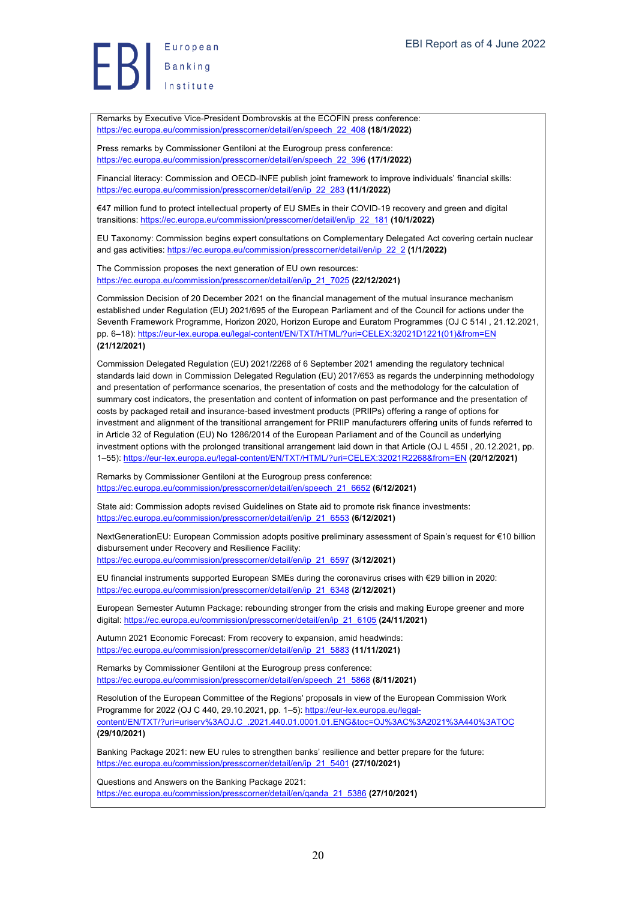Europea<br>Banking<br>Institute

Remarks by Executive Vice-President Dombrovskis at the ECOFIN press conference: https://ec.europa.eu/commission/presscorner/detail/en/speech\_22\_408 **(18/1/2022)**

Press remarks by Commissioner Gentiloni at the Eurogroup press conference: https://ec.europa.eu/commission/presscorner/detail/en/speech\_22\_396 **(17/1/2022)**

Financial literacy: Commission and OECD-INFE publish joint framework to improve individuals' financial skills: https://ec.europa.eu/commission/presscorner/detail/en/ip\_22\_283 **(11/1/2022)**

€47 million fund to protect intellectual property of EU SMEs in their COVID-19 recovery and green and digital transitions: https://ec.europa.eu/commission/presscorner/detail/en/ip\_22\_181 **(10/1/2022)**

EU Taxonomy: Commission begins expert consultations on Complementary Delegated Act covering certain nuclear and gas activities: https://ec.europa.eu/commission/presscorner/detail/en/ip\_22\_2 **(1/1/2022)**

The Commission proposes the next generation of EU own resources: https://ec.europa.eu/commission/presscorner/detail/en/ip\_21\_7025 **(22/12/2021)**

Commission Decision of 20 December 2021 on the financial management of the mutual insurance mechanism established under Regulation (EU) 2021/695 of the European Parliament and of the Council for actions under the Seventh Framework Programme, Horizon 2020, Horizon Europe and Euratom Programmes (OJ C 514I , 21.12.2021, pp. 6–18): https://eur-lex.europa.eu/legal-content/EN/TXT/HTML/?uri=CELEX:32021D1221(01)&from=EN **(21/12/2021)**

Commission Delegated Regulation (EU) 2021/2268 of 6 September 2021 amending the regulatory technical standards laid down in Commission Delegated Regulation (EU) 2017/653 as regards the underpinning methodology and presentation of performance scenarios, the presentation of costs and the methodology for the calculation of summary cost indicators, the presentation and content of information on past performance and the presentation of costs by packaged retail and insurance-based investment products (PRIIPs) offering a range of options for investment and alignment of the transitional arrangement for PRIIP manufacturers offering units of funds referred to in Article 32 of Regulation (EU) No 1286/2014 of the European Parliament and of the Council as underlying investment options with the prolonged transitional arrangement laid down in that Article (OJ L 455I, 20.12.2021, pp. 1–55): https://eur-lex.europa.eu/legal-content/EN/TXT/HTML/?uri=CELEX:32021R2268&from=EN **(20/12/2021)**

Remarks by Commissioner Gentiloni at the Eurogroup press conference: https://ec.europa.eu/commission/presscorner/detail/en/speech\_21\_6652 **(6/12/2021)**

State aid: Commission adopts revised Guidelines on State aid to promote risk finance investments: https://ec.europa.eu/commission/presscorner/detail/en/ip\_21\_6553 **(6/12/2021)**

NextGenerationEU: European Commission adopts positive preliminary assessment of Spain's request for €10 billion disbursement under Recovery and Resilience Facility:

https://ec.europa.eu/commission/presscorner/detail/en/ip\_21\_6597 **(3/12/2021)**

EU financial instruments supported European SMEs during the coronavirus crises with €29 billion in 2020: https://ec.europa.eu/commission/presscorner/detail/en/ip\_21\_6348 **(2/12/2021)**

European Semester Autumn Package: rebounding stronger from the crisis and making Europe greener and more digital: https://ec.europa.eu/commission/presscorner/detail/en/ip\_21\_6105 **(24/11/2021)**

Autumn 2021 Economic Forecast: From recovery to expansion, amid headwinds: https://ec.europa.eu/commission/presscorner/detail/en/ip\_21\_5883 **(11/11/2021)**

Remarks by Commissioner Gentiloni at the Eurogroup press conference: https://ec.europa.eu/commission/presscorner/detail/en/speech\_21\_5868 **(8/11/2021)**

Resolution of the European Committee of the Regions' proposals in view of the European Commission Work Programme for 2022 (OJ C 440, 29.10.2021, pp. 1-5): https://eur-lex.europa.eu/legalcontent/EN/TXT/?uri=uriserv%3AOJ.C\_.2021.440.01.0001.01.ENG&toc=OJ%3AC%3A2021%3A440%3ATOC **(29/10/2021)**

Banking Package 2021: new EU rules to strengthen banks' resilience and better prepare for the future: https://ec.europa.eu/commission/presscorner/detail/en/ip\_21\_5401 **(27/10/2021)**

Questions and Answers on the Banking Package 2021: https://ec.europa.eu/commission/presscorner/detail/en/qanda\_21\_5386 **(27/10/2021)**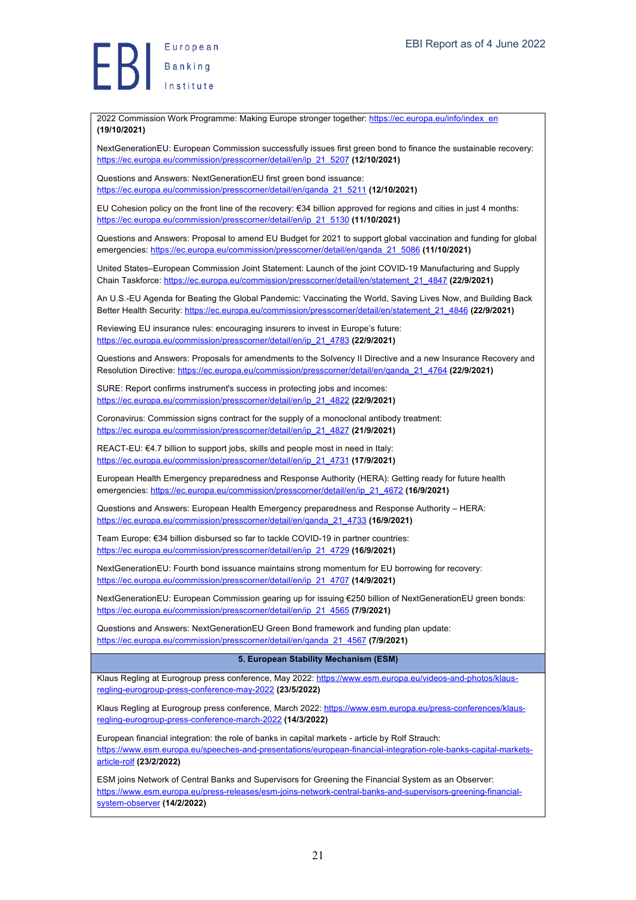2022 Commission Work Programme: Making Europe stronger together: https://ec.europa.eu/info/index\_en **(19/10/2021)**

NextGenerationEU: European Commission successfully issues first green bond to finance the sustainable recovery: https://ec.europa.eu/commission/presscorner/detail/en/ip\_21\_5207 **(12/10/2021)**

Questions and Answers: NextGenerationEU first green bond issuance: https://ec.europa.eu/commission/presscorner/detail/en/qanda\_21\_5211 **(12/10/2021)**

EU Cohesion policy on the front line of the recovery: €34 billion approved for regions and cities in just 4 months: https://ec.europa.eu/commission/presscorner/detail/en/ip\_21\_5130 **(11/10/2021)**

Questions and Answers: Proposal to amend EU Budget for 2021 to support global vaccination and funding for global emergencies: https://ec.europa.eu/commission/presscorner/detail/en/qanda\_21\_5086 **(11/10/2021)**

United States–European Commission Joint Statement: Launch of the joint COVID-19 Manufacturing and Supply Chain Taskforce: https://ec.europa.eu/commission/presscorner/detail/en/statement\_21\_4847 **(22/9/2021)**

An U.S.-EU Agenda for Beating the Global Pandemic: Vaccinating the World, Saving Lives Now, and Building Back Better Health Security: https://ec.europa.eu/commission/presscorner/detail/en/statement\_21\_4846 **(22/9/2021)**

Reviewing EU insurance rules: encouraging insurers to invest in Europe's future: https://ec.europa.eu/commission/presscorner/detail/en/ip\_21\_4783 **(22/9/2021)**

Questions and Answers: Proposals for amendments to the Solvency II Directive and a new Insurance Recovery and Resolution Directive: https://ec.europa.eu/commission/presscorner/detail/en/qanda\_21\_4764 **(22/9/2021)**

SURE: Report confirms instrument's success in protecting jobs and incomes: https://ec.europa.eu/commission/presscorner/detail/en/ip\_21\_4822 **(22/9/2021)**

Coronavirus: Commission signs contract for the supply of a monoclonal antibody treatment: https://ec.europa.eu/commission/presscorner/detail/en/ip\_21\_4827 **(21/9/2021)**

REACT-EU: €4.7 billion to support jobs, skills and people most in need in Italy: https://ec.europa.eu/commission/presscorner/detail/en/ip\_21\_4731 **(17/9/2021)**

European Health Emergency preparedness and Response Authority (HERA): Getting ready for future health emergencies: https://ec.europa.eu/commission/presscorner/detail/en/ip\_21\_4672 **(16/9/2021)**

Questions and Answers: European Health Emergency preparedness and Response Authority – HERA: https://ec.europa.eu/commission/presscorner/detail/en/qanda\_21\_4733 **(16/9/2021)**

Team Europe: €34 billion disbursed so far to tackle COVID-19 in partner countries: https://ec.europa.eu/commission/presscorner/detail/en/ip\_21\_4729 **(16/9/2021)**

NextGenerationEU: Fourth bond issuance maintains strong momentum for EU borrowing for recovery: https://ec.europa.eu/commission/presscorner/detail/en/ip\_21\_4707 **(14/9/2021)**

NextGenerationEU: European Commission gearing up for issuing €250 billion of NextGenerationEU green bonds: https://ec.europa.eu/commission/presscorner/detail/en/ip\_21\_4565 **(7/9/2021)**

Questions and Answers: NextGenerationEU Green Bond framework and funding plan update: https://ec.europa.eu/commission/presscorner/detail/en/qanda\_21\_4567 **(7/9/2021)**

#### **5. European Stability Mechanism (ESM)**

Klaus Regling at Eurogroup press conference, May 2022: https://www.esm.europa.eu/videos-and-photos/klausregling-eurogroup-press-conference-may-2022 **(23/5/2022)**

Klaus Regling at Eurogroup press conference, March 2022: https://www.esm.europa.eu/press-conferences/klausregling-eurogroup-press-conference-march-2022 **(14/3/2022)**

European financial integration: the role of banks in capital markets - article by Rolf Strauch: https://www.esm.europa.eu/speeches-and-presentations/european-financial-integration-role-banks-capital-marketsarticle-rolf **(23/2/2022)**

ESM joins Network of Central Banks and Supervisors for Greening the Financial System as an Observer: https://www.esm.europa.eu/press-releases/esm-joins-network-central-banks-and-supervisors-greening-financialsystem-observer **(14/2/2022)**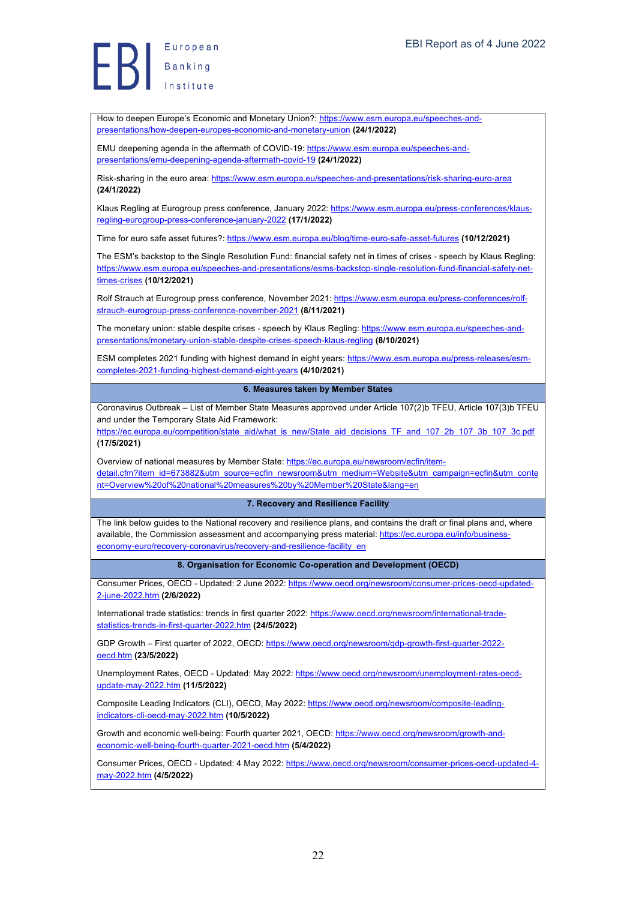European Europea<br>Banking<br>Institute

How to deepen Europe's Economic and Monetary Union?: https://www.esm.europa.eu/speeches-andpresentations/how-deepen-europes-economic-and-monetary-union **(24/1/2022)**

EMU deepening agenda in the aftermath of COVID-19: https://www.esm.europa.eu/speeches-andpresentations/emu-deepening-agenda-aftermath-covid-19 **(24/1/2022)**

Risk-sharing in the euro area: https://www.esm.europa.eu/speeches-and-presentations/risk-sharing-euro-area **(24/1/2022)**

Klaus Regling at Eurogroup press conference, January 2022: https://www.esm.europa.eu/press-conferences/klausregling-eurogroup-press-conference-january-2022 **(17/1/2022)**

Time for euro safe asset futures?: https://www.esm.europa.eu/blog/time-euro-safe-asset-futures **(10/12/2021)**

The ESM's backstop to the Single Resolution Fund: financial safety net in times of crises - speech by Klaus Regling: https://www.esm.europa.eu/speeches-and-presentations/esms-backstop-single-resolution-fund-financial-safety-nettimes-crises **(10/12/2021)**

Rolf Strauch at Eurogroup press conference, November 2021: https://www.esm.europa.eu/press-conferences/rolfstrauch-eurogroup-press-conference-november-2021 **(8/11/2021)**

The monetary union: stable despite crises - speech by Klaus Regling: https://www.esm.europa.eu/speeches-andpresentations/monetary-union-stable-despite-crises-speech-klaus-regling **(8/10/2021)**

ESM completes 2021 funding with highest demand in eight years: https://www.esm.europa.eu/press-releases/esmcompletes-2021-funding-highest-demand-eight-years **(4/10/2021)**

#### **6. Measures taken by Member States**

Coronavirus Outbreak – List of Member State Measures approved under Article 107(2)b TFEU, Article 107(3)b TFEU and under the Temporary State Aid Framework:

https://ec.europa.eu/competition/state\_aid/what\_is\_new/State\_aid\_decisions\_TF\_and\_107\_2b\_107\_3b\_107\_3c.pdf **(17/5/2021)**

Overview of national measures by Member State: https://ec.europa.eu/newsroom/ecfin/itemdetail.cfm?item\_id=673882&utm\_source=ecfin\_newsroom&utm\_medium=Website&utm\_campaign=ecfin&utm\_conte nt=Overview%20of%20national%20measures%20by%20Member%20State&lang=en

#### **7. Recovery and Resilience Facility**

The link below guides to the National recovery and resilience plans, and contains the draft or final plans and, where available, the Commission assessment and accompanying press material: https://ec.europa.eu/info/businesseconomy-euro/recovery-coronavirus/recovery-and-resilience-facility\_en

#### **8. Organisation for Economic Co-operation and Development (OECD)**

Consumer Prices, OECD - Updated: 2 June 2022: https://www.oecd.org/newsroom/consumer-prices-oecd-updated-2-june-2022.htm **(2/6/2022)**

International trade statistics: trends in first quarter 2022: https://www.oecd.org/newsroom/international-tradestatistics-trends-in-first-quarter-2022.htm **(24/5/2022)**

GDP Growth - First quarter of 2022, OECD: https://www.oecd.org/newsroom/gdp-growth-first-quarter-2022oecd.htm **(23/5/2022)**

Unemployment Rates, OECD - Updated: May 2022: https://www.oecd.org/newsroom/unemployment-rates-oecdupdate-may-2022.htm **(11/5/2022)**

Composite Leading Indicators (CLI), OECD, May 2022: https://www.oecd.org/newsroom/composite-leadingindicators-cli-oecd-may-2022.htm **(10/5/2022)**

Growth and economic well-being: Fourth quarter 2021, OECD: https://www.oecd.org/newsroom/growth-andeconomic-well-being-fourth-quarter-2021-oecd.htm **(5/4/2022)**

Consumer Prices, OECD - Updated: 4 May 2022: https://www.oecd.org/newsroom/consumer-prices-oecd-updated-4may-2022.htm **(4/5/2022)**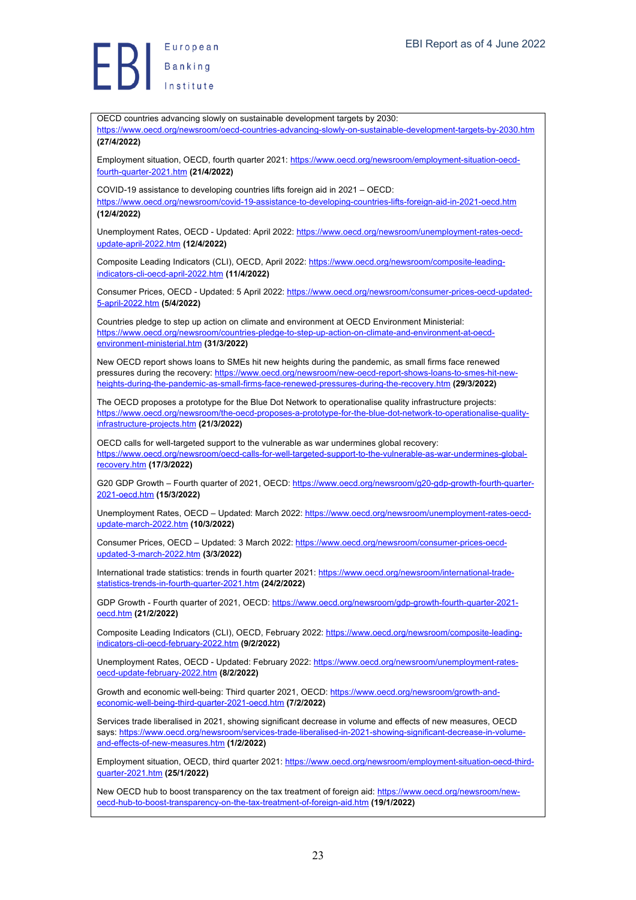

OECD countries advancing slowly on sustainable development targets by 2030: https://www.oecd.org/newsroom/oecd-countries-advancing-slowly-on-sustainable-development-targets-by-2030.htm **(27/4/2022)** Employment situation, OECD, fourth quarter 2021: https://www.oecd.org/newsroom/employment-situation-oecdfourth-quarter-2021.htm **(21/4/2022)** COVID-19 assistance to developing countries lifts foreign aid in 2021 – OECD: https://www.oecd.org/newsroom/covid-19-assistance-to-developing-countries-lifts-foreign-aid-in-2021-oecd.htm **(12/4/2022)** Unemployment Rates, OECD - Updated: April 2022: https://www.oecd.org/newsroom/unemployment-rates-oecdupdate-april-2022.htm **(12/4/2022)** Composite Leading Indicators (CLI), OECD, April 2022: https://www.oecd.org/newsroom/composite-leadingindicators-cli-oecd-april-2022.htm **(11/4/2022)** Consumer Prices, OECD - Updated: 5 April 2022: https://www.oecd.org/newsroom/consumer-prices-oecd-updated-5-april-2022.htm **(5/4/2022)** Countries pledge to step up action on climate and environment at OECD Environment Ministerial: https://www.oecd.org/newsroom/countries-pledge-to-step-up-action-on-climate-and-environment-at-oecdenvironment-ministerial.htm **(31/3/2022)** New OECD report shows loans to SMEs hit new heights during the pandemic, as small firms face renewed pressures during the recovery: https://www.oecd.org/newsroom/new-oecd-report-shows-loans-to-smes-hit-newheights-during-the-pandemic-as-small-firms-face-renewed-pressures-during-the-recovery.htm **(29/3/2022)** The OECD proposes a prototype for the Blue Dot Network to operationalise quality infrastructure projects: https://www.oecd.org/newsroom/the-oecd-proposes-a-prototype-for-the-blue-dot-network-to-operationalise-qualityinfrastructure-projects.htm **(21/3/2022)** OECD calls for well-targeted support to the vulnerable as war undermines global recovery: https://www.oecd.org/newsroom/oecd-calls-for-well-targeted-support-to-the-vulnerable-as-war-undermines-globalrecovery.htm **(17/3/2022)** G20 GDP Growth – Fourth quarter of 2021, OECD: https://www.oecd.org/newsroom/g20-gdp-growth-fourth-quarter-2021-oecd.htm **(15/3/2022)** Unemployment Rates, OECD – Updated: March 2022: https://www.oecd.org/newsroom/unemployment-rates-oecdupdate-march-2022.htm **(10/3/2022)** Consumer Prices, OECD - Updated: 3 March 2022: https://www.oecd.org/newsroom/consumer-prices-oecdupdated-3-march-2022.htm **(3/3/2022)** International trade statistics: trends in fourth quarter 2021: https://www.oecd.org/newsroom/international-tradestatistics-trends-in-fourth-quarter-2021.htm **(24/2/2022)** GDP Growth - Fourth quarter of 2021, OECD: https://www.oecd.org/newsroom/gdp-growth-fourth-guarter-2021oecd.htm **(21/2/2022)** Composite Leading Indicators (CLI), OECD, February 2022: https://www.oecd.org/newsroom/composite-leadingindicators-cli-oecd-february-2022.htm **(9/2/2022)** Unemployment Rates, OECD - Updated: February 2022: https://www.oecd.org/newsroom/unemployment-ratesoecd-update-february-2022.htm **(8/2/2022)** Growth and economic well-being: Third quarter 2021, OECD: https://www.oecd.org/newsroom/growth-andeconomic-well-being-third-quarter-2021-oecd.htm **(7/2/2022)** Services trade liberalised in 2021, showing significant decrease in volume and effects of new measures, OECD says: https://www.oecd.org/newsroom/services-trade-liberalised-in-2021-showing-significant-decrease-in-volumeand-effects-of-new-measures.htm **(1/2/2022)** Employment situation, OECD, third quarter 2021: https://www.oecd.org/newsroom/employment-situation-oecd-thirdquarter-2021.htm **(25/1/2022)** New OECD hub to boost transparency on the tax treatment of foreign aid: https://www.oecd.org/newsroom/newoecd-hub-to-boost-transparency-on-the-tax-treatment-of-foreign-aid.htm **(19/1/2022)**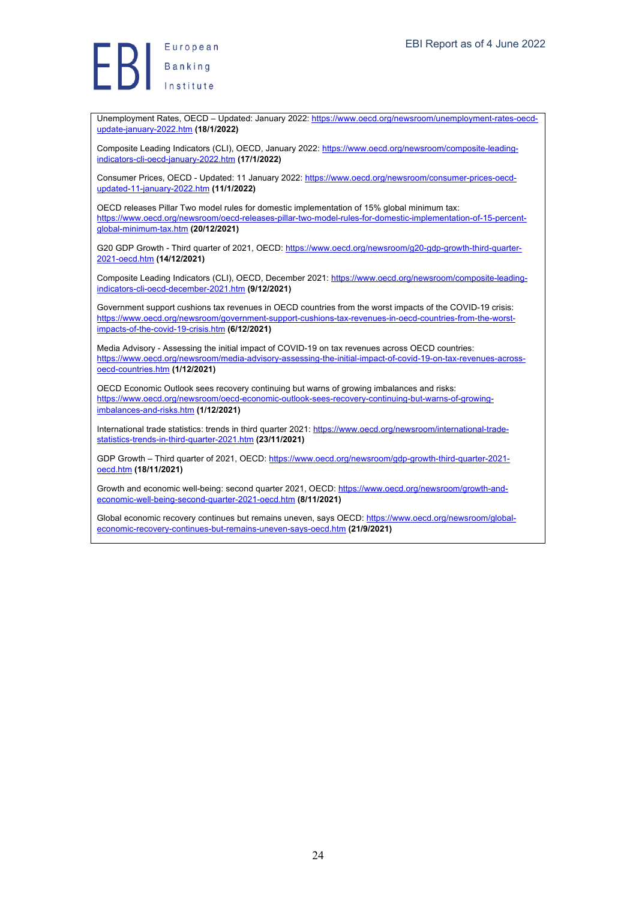European || Europea<br>|| Banking<br>|

Unemployment Rates, OECD – Updated: January 2022: https://www.oecd.org/newsroom/unemployment-rates-oecdupdate-january-2022.htm **(18/1/2022)**

Composite Leading Indicators (CLI), OECD, January 2022: https://www.oecd.org/newsroom/composite-leadingindicators-cli-oecd-january-2022.htm **(17/1/2022)**

Consumer Prices, OECD - Updated: 11 January 2022: https://www.oecd.org/newsroom/consumer-prices-oecdupdated-11-january-2022.htm **(11/1/2022)**

OECD releases Pillar Two model rules for domestic implementation of 15% global minimum tax: https://www.oecd.org/newsroom/oecd-releases-pillar-two-model-rules-for-domestic-implementation-of-15-percentglobal-minimum-tax.htm **(20/12/2021)**

G20 GDP Growth - Third quarter of 2021, OECD: https://www.oecd.org/newsroom/g20-gdp-growth-third-quarter-2021-oecd.htm **(14/12/2021)**

Composite Leading Indicators (CLI), OECD, December 2021: https://www.oecd.org/newsroom/composite-leadingindicators-cli-oecd-december-2021.htm **(9/12/2021)**

Government support cushions tax revenues in OECD countries from the worst impacts of the COVID-19 crisis: https://www.oecd.org/newsroom/government-support-cushions-tax-revenues-in-oecd-countries-from-the-worstimpacts-of-the-covid-19-crisis.htm **(6/12/2021)**

Media Advisory - Assessing the initial impact of COVID-19 on tax revenues across OECD countries: https://www.oecd.org/newsroom/media-advisory-assessing-the-initial-impact-of-covid-19-on-tax-revenues-acrossoecd-countries.htm **(1/12/2021)**

OECD Economic Outlook sees recovery continuing but warns of growing imbalances and risks: https://www.oecd.org/newsroom/oecd-economic-outlook-sees-recovery-continuing-but-warns-of-growingimbalances-and-risks.htm **(1/12/2021)**

International trade statistics: trends in third quarter 2021: https://www.oecd.org/newsroom/international-tradestatistics-trends-in-third-quarter-2021.htm **(23/11/2021)**

GDP Growth – Third quarter of 2021, OECD: https://www.oecd.org/newsroom/gdp-growth-third-quarter-2021 oecd.htm **(18/11/2021)**

Growth and economic well-being: second quarter 2021, OECD: https://www.oecd.org/newsroom/growth-andeconomic-well-being-second-quarter-2021-oecd.htm **(8/11/2021)**

Global economic recovery continues but remains uneven, says OECD: https://www.oecd.org/newsroom/globaleconomic-recovery-continues-but-remains-uneven-says-oecd.htm **(21/9/2021)**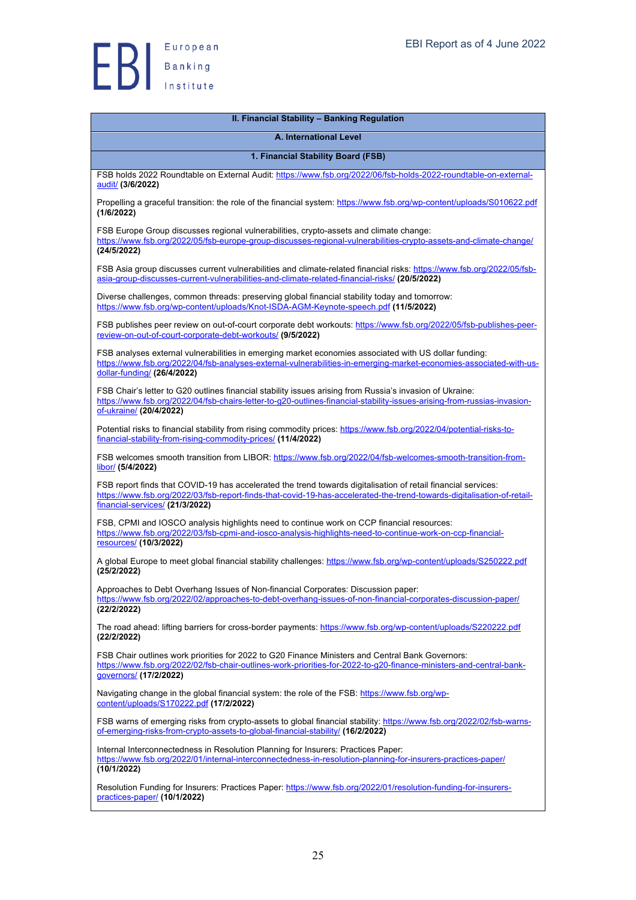

| II. Financial Stability - Banking Regulation                                                                                                                                                                                                                               |
|----------------------------------------------------------------------------------------------------------------------------------------------------------------------------------------------------------------------------------------------------------------------------|
| A. International Level                                                                                                                                                                                                                                                     |
| 1. Financial Stability Board (FSB)                                                                                                                                                                                                                                         |
| FSB holds 2022 Roundtable on External Audit: https://www.fsb.org/2022/06/fsb-holds-2022-roundtable-on-external-<br>audit/ (3/6/2022)                                                                                                                                       |
| Propelling a graceful transition: the role of the financial system: https://www.fsb.org/wp-content/uploads/S010622.pdf<br>(1/6/2022)                                                                                                                                       |
| FSB Europe Group discusses regional vulnerabilities, crypto-assets and climate change:<br>https://www.fsb.org/2022/05/fsb-europe-group-discusses-regional-vulnerabilities-crypto-assets-and-climate-change/<br>(24/5/2022)                                                 |
| FSB Asia group discusses current vulnerabilities and climate-related financial risks: https://www.fsb.org/2022/05/fsb-<br>asia-group-discusses-current-vulnerabilities-and-climate-related-financial-risks/ (20/5/2022)                                                    |
| Diverse challenges, common threads: preserving global financial stability today and tomorrow:<br>https://www.fsb.org/wp-content/uploads/Knot-ISDA-AGM-Keynote-speech.pdf (11/5/2022)                                                                                       |
| FSB publishes peer review on out-of-court corporate debt workouts: https://www.fsb.org/2022/05/fsb-publishes-peer-<br>review-on-out-of-court-corporate-debt-workouts/ (9/5/2022)                                                                                           |
| FSB analyses external vulnerabilities in emerging market economies associated with US dollar funding:<br>https://www.fsb.org/2022/04/fsb-analyses-external-vulnerabilities-in-emerging-market-economies-associated-with-us-<br>dollar-funding/ (26/4/2022)                 |
| FSB Chair's letter to G20 outlines financial stability issues arising from Russia's invasion of Ukraine:<br>https://www.fsb.org/2022/04/fsb-chairs-letter-to-g20-outlines-financial-stability-issues-arising-from-russias-invasion-<br>of-ukraine/ (20/4/2022)             |
| Potential risks to financial stability from rising commodity prices: https://www.fsb.org/2022/04/potential-risks-to-<br>financial-stability-from-rising-commodity-prices/ (11/4/2022)                                                                                      |
| FSB welcomes smooth transition from LIBOR: https://www.fsb.org/2022/04/fsb-welcomes-smooth-transition-from-<br>libor/ (5/4/2022)                                                                                                                                           |
| FSB report finds that COVID-19 has accelerated the trend towards digitalisation of retail financial services:<br>https://www.fsb.org/2022/03/fsb-report-finds-that-covid-19-has-accelerated-the-trend-towards-digitalisation-of-retail-<br>financial-services/ (21/3/2022) |
| FSB, CPMI and IOSCO analysis highlights need to continue work on CCP financial resources:<br>https://www.fsb.org/2022/03/fsb-cpmi-and-iosco-analysis-highlights-need-to-continue-work-on-ccp-financial-<br>resources/ (10/3/2022)                                          |
| A global Europe to meet global financial stability challenges: https://www.fsb.org/wp-content/uploads/S250222.pdf<br>(25/2/2022)                                                                                                                                           |
| Approaches to Debt Overhang Issues of Non-financial Corporates: Discussion paper:<br>https://www.fsb.org/2022/02/approaches-to-debt-overhang-issues-of-non-financial-corporates-discussion-paper/<br>(22/2/2022)                                                           |
| The road ahead: lifting barriers for cross-border payments: https://www.fsb.org/wp-content/uploads/S220222.pdf<br>(22/2/2022)                                                                                                                                              |
| FSB Chair outlines work priorities for 2022 to G20 Finance Ministers and Central Bank Governors:<br>https://www.fsb.org/2022/02/fsb-chair-outlines-work-priorities-for-2022-to-q20-finance-ministers-and-central-bank-<br>governors/ (17/2/2022)                           |
| Navigating change in the global financial system: the role of the FSB: https://www.fsb.org/wp-<br>content/uploads/S170222.pdf (17/2/2022)                                                                                                                                  |
| FSB warns of emerging risks from crypto-assets to global financial stability: https://www.fsb.org/2022/02/fsb-warns-<br>of-emerging-risks-from-crypto-assets-to-global-financial-stability/ (16/2/2022)                                                                    |
| Internal Interconnectedness in Resolution Planning for Insurers: Practices Paper:<br>https://www.fsb.org/2022/01/internal-interconnectedness-in-resolution-planning-for-insurers-practices-paper/<br>(10/1/2022)                                                           |
| Resolution Funding for Insurers: Practices Paper: https://www.fsb.org/2022/01/resolution-funding-for-insurers-<br>practices-paper/ (10/1/2022)                                                                                                                             |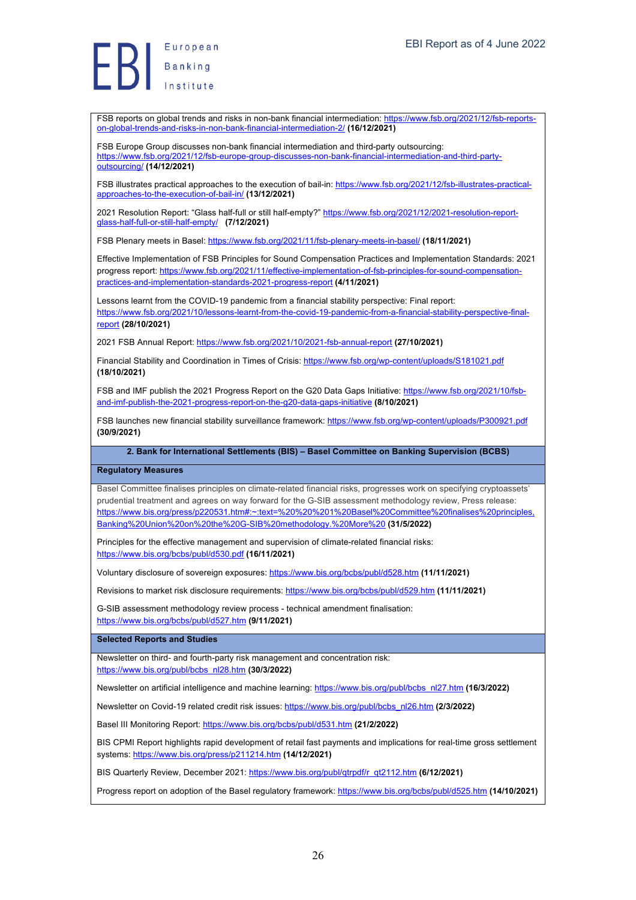European Banking

FSB reports on global trends and risks in non-bank financial intermediation: https://www.fsb.org/2021/12/fsb-reportson-global-trends-and-risks-in-non-bank-financial-intermediation-2/ **(16/12/2021)**

FSB Europe Group discusses non-bank financial intermediation and third-party outsourcing: https://www.fsb.org/2021/12/fsb-europe-group-discusses-non-bank-financial-intermediation-and-third-partyoutsourcing/ **(14/12/2021)**

FSB illustrates practical approaches to the execution of bail-in: https://www.fsb.org/2021/12/fsb-illustrates-practicalapproaches-to-the-execution-of-bail-in/ **(13/12/2021)**

2021 Resolution Report: "Glass half-full or still half-empty?" https://www.fsb.org/2021/12/2021-resolution-reportglass-half-full-or-still-half-empty/ **(7/12/2021)**

FSB Plenary meets in Basel: https://www.fsb.org/2021/11/fsb-plenary-meets-in-basel/ **(18/11/2021)**

Effective Implementation of FSB Principles for Sound Compensation Practices and Implementation Standards: 2021 progress report: https://www.fsb.org/2021/11/effective-implementation-of-fsb-principles-for-sound-compensationpractices-and-implementation-standards-2021-progress-report **(4/11/2021)**

Lessons learnt from the COVID-19 pandemic from a financial stability perspective: Final report: https://www.fsb.org/2021/10/lessons-learnt-from-the-covid-19-pandemic-from-a-financial-stability-perspective-finalreport **(28/10/2021)**

2021 FSB Annual Report: https://www.fsb.org/2021/10/2021-fsb-annual-report **(27/10/2021)**

Financial Stability and Coordination in Times of Crisis: https://www.fsb.org/wp-content/uploads/S181021.pdf **(18/10/2021)**

FSB and IMF publish the 2021 Progress Report on the G20 Data Gaps Initiative: https://www.fsb.org/2021/10/fsband-imf-publish-the-2021-progress-report-on-the-g20-data-gaps-initiative **(8/10/2021)**

FSB launches new financial stability surveillance framework: https://www.fsb.org/wp-content/uploads/P300921.pdf **(30/9/2021)**

**2. Bank for International Settlements (BIS) – Basel Committee on Banking Supervision (BCBS)**

#### **Regulatory Measures**

Basel Committee finalises principles on climate-related financial risks, progresses work on specifying cryptoassets' prudential treatment and agrees on way forward for the G-SIB assessment methodology review, Press release: https://www.bis.org/press/p220531.htm#:~:text=%20%20%201%20Basel%20Committee%20finalises%20principles, Banking%20Union%20on%20the%20G-SIB%20methodology.%20More%20 **(31/5/2022)**

Principles for the effective management and supervision of climate-related financial risks: https://www.bis.org/bcbs/publ/d530.pdf **(16/11/2021)**

Voluntary disclosure of sovereign exposures: https://www.bis.org/bcbs/publ/d528.htm **(11/11/2021)**

Revisions to market risk disclosure requirements: https://www.bis.org/bcbs/publ/d529.htm **(11/11/2021)**

G-SIB assessment methodology review process - technical amendment finalisation: https://www.bis.org/bcbs/publ/d527.htm **(9/11/2021)**

**Selected Reports and Studies**

Newsletter on third- and fourth-party risk management and concentration risk: https://www.bis.org/publ/bcbs\_nl28.htm **(30/3/2022)**

Newsletter on artificial intelligence and machine learning: https://www.bis.org/publ/bcbs\_nl27.htm **(16/3/2022)**

Newsletter on Covid-19 related credit risk issues: https://www.bis.org/publ/bcbs\_nl26.htm **(2/3/2022)**

Basel III Monitoring Report: https://www.bis.org/bcbs/publ/d531.htm **(21/2/2022)**

BIS CPMI Report highlights rapid development of retail fast payments and implications for real-time gross settlement systems: https://www.bis.org/press/p211214.htm **(14/12/2021)**

BIS Quarterly Review, December 2021: https://www.bis.org/publ/qtrpdf/r\_qt2112.htm **(6/12/2021)**

Progress report on adoption of the Basel regulatory framework: https://www.bis.org/bcbs/publ/d525.htm **(14/10/2021)**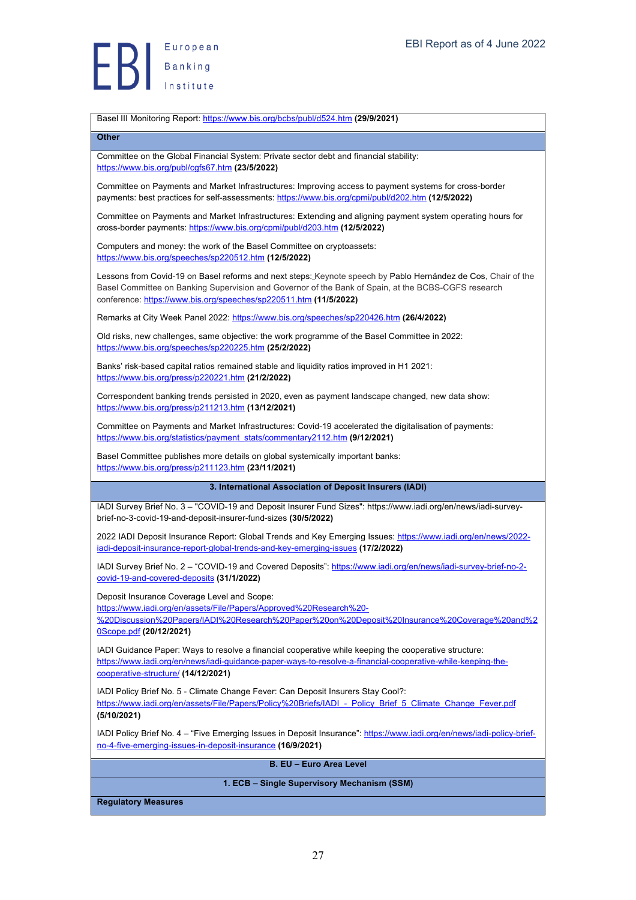

Basel III Monitoring Report: https://www.bis.org/bcbs/publ/d524.htm **(29/9/2021)**

#### **Other**

Committee on the Global Financial System: Private sector debt and financial stability: https://www.bis.org/publ/cgfs67.htm **(23/5/2022)**

Committee on Payments and Market Infrastructures: Improving access to payment systems for cross-border payments: best practices for self-assessments: https://www.bis.org/cpmi/publ/d202.htm **(12/5/2022)**

Committee on Payments and Market Infrastructures: Extending and aligning payment system operating hours for cross-border payments: https://www.bis.org/cpmi/publ/d203.htm **(12/5/2022)**

Computers and money: the work of the Basel Committee on cryptoassets: https://www.bis.org/speeches/sp220512.htm **(12/5/2022)**

Lessons from Covid-19 on Basel reforms and next steps: Keynote speech by Pablo Hernández de Cos, Chair of the Basel Committee on Banking Supervision and Governor of the Bank of Spain, at the BCBS-CGFS research conference: https://www.bis.org/speeches/sp220511.htm **(11/5/2022)**

Remarks at City Week Panel 2022: https://www.bis.org/speeches/sp220426.htm **(26/4/2022)**

Old risks, new challenges, same objective: the work programme of the Basel Committee in 2022: https://www.bis.org/speeches/sp220225.htm **(25/2/2022)**

Banks' risk-based capital ratios remained stable and liquidity ratios improved in H1 2021: https://www.bis.org/press/p220221.htm **(21/2/2022)**

Correspondent banking trends persisted in 2020, even as payment landscape changed, new data show: https://www.bis.org/press/p211213.htm **(13/12/2021)**

Committee on Payments and Market Infrastructures: Covid-19 accelerated the digitalisation of payments: https://www.bis.org/statistics/payment\_stats/commentary2112.htm **(9/12/2021)**

Basel Committee publishes more details on global systemically important banks: https://www.bis.org/press/p211123.htm **(23/11/2021)**

**3. International Association of Deposit Insurers (IADI)**

IADI Survey Brief No. 3 – "COVID-19 and Deposit Insurer Fund Sizes": https://www.iadi.org/en/news/iadi-surveybrief-no-3-covid-19-and-deposit-insurer-fund-sizes **(30/5/2022)**

2022 IADI Deposit Insurance Report: Global Trends and Key Emerging Issues: https://www.iadi.org/en/news/2022 iadi-deposit-insurance-report-global-trends-and-key-emerging-issues **(17/2/2022)**

IADI Survey Brief No. 2 - "COVID-19 and Covered Deposits": https://www.iadi.org/en/news/iadi-survey-brief-no-2covid-19-and-covered-deposits **(31/1/2022)**

Deposit Insurance Coverage Level and Scope:

https://www.iadi.org/en/assets/File/Papers/Approved%20Research%20-

%20Discussion%20Papers/IADI%20Research%20Paper%20on%20Deposit%20Insurance%20Coverage%20and%2 0Scope.pdf **(20/12/2021)**

IADI Guidance Paper: Ways to resolve a financial cooperative while keeping the cooperative structure: https://www.iadi.org/en/news/iadi-guidance-paper-ways-to-resolve-a-financial-cooperative-while-keeping-thecooperative-structure/ **(14/12/2021)**

IADI Policy Brief No. 5 - Climate Change Fever: Can Deposit Insurers Stay Cool?: https://www.iadi.org/en/assets/File/Papers/Policy%20Briefs/IADI - Policy\_Brief\_5\_Climate\_Change\_Fever.pdf **(5/10/2021)**

IADI Policy Brief No. 4 – "Five Emerging Issues in Deposit Insurance": https://www.iadi.org/en/news/iadi-policy-briefno-4-five-emerging-issues-in-deposit-insurance **(16/9/2021)**

**B. EU – Euro Area Level**

#### **1. ECB – Single Supervisory Mechanism (SSM)**

**Regulatory Measures**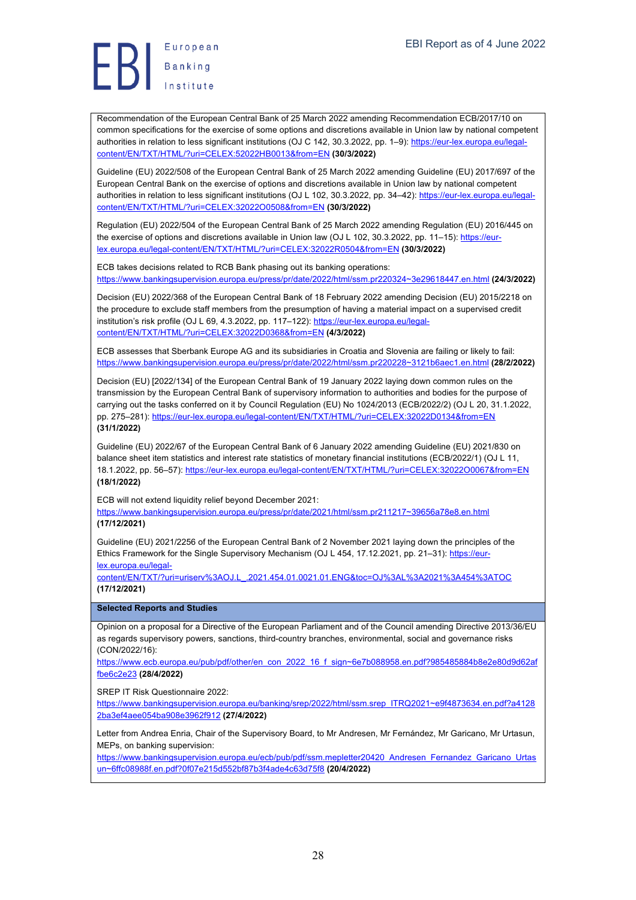European Europea<br>Banking<br>Institute

Recommendation of the European Central Bank of 25 March 2022 amending Recommendation ECB/2017/10 on common specifications for the exercise of some options and discretions available in Union law by national competent authorities in relation to less significant institutions (OJ C 142, 30.3.2022, pp. 1–9): https://eur-lex.europa.eu/legalcontent/EN/TXT/HTML/?uri=CELEX:52022HB0013&from=EN **(30/3/2022)**

Guideline (EU) 2022/508 of the European Central Bank of 25 March 2022 amending Guideline (EU) 2017/697 of the European Central Bank on the exercise of options and discretions available in Union law by national competent authorities in relation to less significant institutions (OJ L 102, 30.3.2022, pp. 34–42): https://eur-lex.europa.eu/legalcontent/EN/TXT/HTML/?uri=CELEX:32022O0508&from=EN **(30/3/2022)**

Regulation (EU) 2022/504 of the European Central Bank of 25 March 2022 amending Regulation (EU) 2016/445 on the exercise of options and discretions available in Union law (OJ L 102, 30.3.2022, pp. 11–15): https://eurlex.europa.eu/legal-content/EN/TXT/HTML/?uri=CELEX:32022R0504&from=EN **(30/3/2022)**

ECB takes decisions related to RCB Bank phasing out its banking operations: https://www.bankingsupervision.europa.eu/press/pr/date/2022/html/ssm.pr220324~3e29618447.en.html **(24/3/2022)**

Decision (EU) 2022/368 of the European Central Bank of 18 February 2022 amending Decision (EU) 2015/2218 on the procedure to exclude staff members from the presumption of having a material impact on a supervised credit institution's risk profile (OJ L 69, 4.3.2022, pp. 117-122): https://eur-lex.europa.eu/legalcontent/EN/TXT/HTML/?uri=CELEX:32022D0368&from=EN **(4/3/2022)**

ECB assesses that Sberbank Europe AG and its subsidiaries in Croatia and Slovenia are failing or likely to fail: https://www.bankingsupervision.europa.eu/press/pr/date/2022/html/ssm.pr220228~3121b6aec1.en.html **(28/2/2022)**

Decision (EU) [2022/134] of the European Central Bank of 19 January 2022 laying down common rules on the transmission by the European Central Bank of supervisory information to authorities and bodies for the purpose of carrying out the tasks conferred on it by Council Regulation (EU) No 1024/2013 (ECB/2022/2) (OJ L 20, 31.1.2022, pp. 275-281): https://eur-lex.europa.eu/legal-content/EN/TXT/HTML/?uri=CELEX:32022D0134&from=EN **(31/1/2022)**

Guideline (EU) 2022/67 of the European Central Bank of 6 January 2022 amending Guideline (EU) 2021/830 on balance sheet item statistics and interest rate statistics of monetary financial institutions (ECB/2022/1) (OJ L 11, 18.1.2022, pp. 56–57): https://eur-lex.europa.eu/legal-content/EN/TXT/HTML/?uri=CELEX:32022O0067&from=EN **(18/1/2022)**

ECB will not extend liquidity relief beyond December 2021: https://www.bankingsupervision.europa.eu/press/pr/date/2021/html/ssm.pr211217~39656a78e8.en.html **(17/12/2021)**

Guideline (EU) 2021/2256 of the European Central Bank of 2 November 2021 laying down the principles of the Ethics Framework for the Single Supervisory Mechanism (OJ L 454, 17.12.2021, pp. 21-31): https://eurlex.europa.eu/legal-

content/EN/TXT/?uri=uriserv%3AOJ.L\_.2021.454.01.0021.01.ENG&toc=OJ%3AL%3A2021%3A454%3ATOC **(17/12/2021)**

**Selected Reports and Studies**

Opinion on a proposal for a Directive of the European Parliament and of the Council amending Directive 2013/36/EU as regards supervisory powers, sanctions, third-country branches, environmental, social and governance risks (CON/2022/16):

https://www.ecb.europa.eu/pub/pdf/other/en\_con\_2022\_16\_f\_sign~6e7b088958.en.pdf?985485884b8e2e80d9d62af fbe6c2e23 **(28/4/2022)**

SREP IT Risk Questionnaire 2022:

https://www.bankingsupervision.europa.eu/banking/srep/2022/html/ssm.srep\_ITRQ2021~e9f4873634.en.pdf?a4128 2ba3ef4aee054ba908e3962f912 **(27/4/2022)**

Letter from Andrea Enria, Chair of the Supervisory Board, to Mr Andresen, Mr Fernández, Mr Garicano, Mr Urtasun, MEPs, on banking supervision:

https://www.bankingsupervision.europa.eu/ecb/pub/pdf/ssm.mepletter20420\_Andresen\_Fernandez\_Garicano\_Urtas un~6ffc08988f.en.pdf?0f07e215d552bf87b3f4ade4c63d75f8 **(20/4/2022)**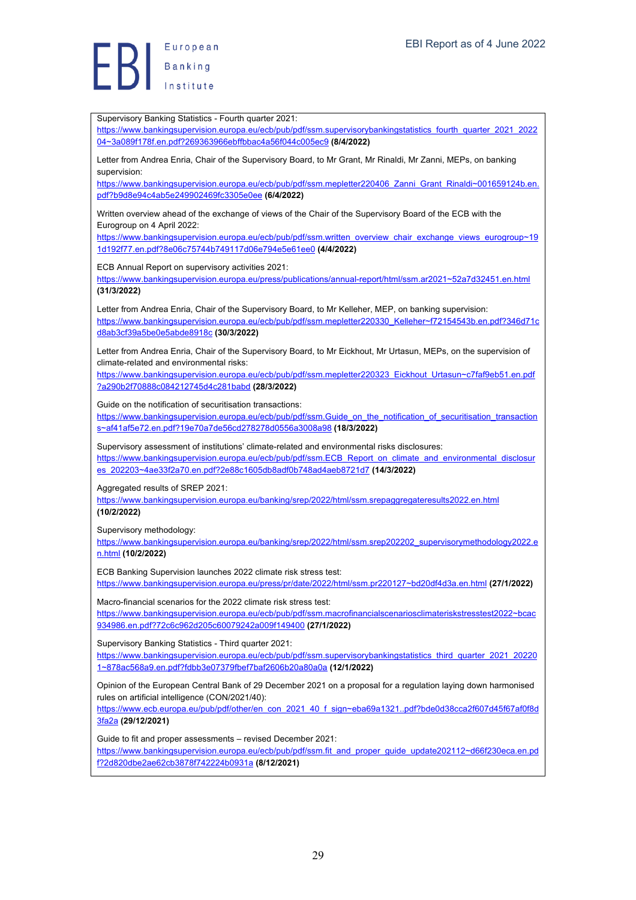

Supervisory Banking Statistics - Fourth quarter 2021: https://www.bankingsupervision.europa.eu/ecb/pub/pdf/ssm.supervisorybankingstatistics\_fourth\_quarter\_2021\_2022 04~3a089f178f.en.pdf?269363966ebffbbac4a56f044c005ec9 **(8/4/2022)** Letter from Andrea Enria, Chair of the Supervisory Board, to Mr Grant, Mr Rinaldi, Mr Zanni, MEPs, on banking supervision: https://www.bankingsupervision.europa.eu/ecb/pub/pdf/ssm.mepletter220406\_Zanni\_Grant\_Rinaldi~001659124b.en. pdf?b9d8e94c4ab5e249902469fc3305e0ee **(6/4/2022)** Written overview ahead of the exchange of views of the Chair of the Supervisory Board of the ECB with the Eurogroup on 4 April 2022: https://www.bankingsupervision.europa.eu/ecb/pub/pdf/ssm.written\_overview\_chair\_exchange\_views\_eurogroup~19 1d192f77.en.pdf?8e06c75744b749117d06e794e5e61ee0 **(4/4/2022)** ECB Annual Report on supervisory activities 2021: https://www.bankingsupervision.europa.eu/press/publications/annual-report/html/ssm.ar2021~52a7d32451.en.html **(31/3/2022)** Letter from Andrea Enria, Chair of the Supervisory Board, to Mr Kelleher, MEP, on banking supervision: https://www.bankingsupervision.europa.eu/ecb/pub/pdf/ssm.mepletter220330\_Kelleher~f72154543b.en.pdf?346d71c d8ab3cf39a5be0e5abde8918c **(30/3/2022)** Letter from Andrea Enria, Chair of the Supervisory Board, to Mr Eickhout, Mr Urtasun, MEPs, on the supervision of climate-related and environmental risks: https://www.bankingsupervision.europa.eu/ecb/pub/pdf/ssm.mepletter220323\_Eickhout\_Urtasun~c7faf9eb51.en.pdf ?a290b2f70888c084212745d4c281babd **(28/3/2022)** Guide on the notification of securitisation transactions: https://www.bankingsupervision.europa.eu/ecb/pub/pdf/ssm.Guide\_on\_the\_notification\_of\_securitisation\_transaction s~af41af5e72.en.pdf?19e70a7de56cd278278d0556a3008a98 **(18/3/2022)** Supervisory assessment of institutions' climate-related and environmental risks disclosures: https://www.bankingsupervision.europa.eu/ecb/pub/pdf/ssm.ECB\_Report\_on\_climate\_and\_environmental\_disclosur es\_202203~4ae33f2a70.en.pdf?2e88c1605db8adf0b748ad4aeb8721d7 **(14/3/2022)** Aggregated results of SREP 2021: https://www.bankingsupervision.europa.eu/banking/srep/2022/html/ssm.srepaggregateresults2022.en.html **(10/2/2022)** Supervisory methodology: https://www.bankingsupervision.europa.eu/banking/srep/2022/html/ssm.srep202202\_supervisorymethodology2022.e n.html **(10/2/2022)** ECB Banking Supervision launches 2022 climate risk stress test: https://www.bankingsupervision.europa.eu/press/pr/date/2022/html/ssm.pr220127~bd20df4d3a.en.html **(27/1/2022)** Macro-financial scenarios for the 2022 climate risk stress test: https://www.bankingsupervision.europa.eu/ecb/pub/pdf/ssm.macrofinancialscenariosclimateriskstresstest2022~bcac 934986.en.pdf?72c6c962d205c60079242a009f149400 **(27/1/2022)** Supervisory Banking Statistics - Third quarter 2021: https://www.bankingsupervision.europa.eu/ecb/pub/pdf/ssm.supervisorybankingstatistics\_third\_quarter\_2021\_20220 1~878ac568a9.en.pdf?fdbb3e07379fbef7baf2606b20a80a0a **(12/1/2022)** Opinion of the European Central Bank of 29 December 2021 on a proposal for a regulation laying down harmonised rules on artificial intelligence (CON/2021/40): https://www.ecb.europa.eu/pub/pdf/other/en\_con\_2021\_40\_f\_sign~eba69a1321..pdf?bde0d38cca2f607d45f67af0f8d 3fa2a **(29/12/2021)** Guide to fit and proper assessments – revised December 2021: https://www.bankingsupervision.europa.eu/ecb/pub/pdf/ssm.fit\_and\_proper\_guide\_update202112~d66f230eca.en.pd f?2d820dbe2ae62cb3878f742224b0931a **(8/12/2021)**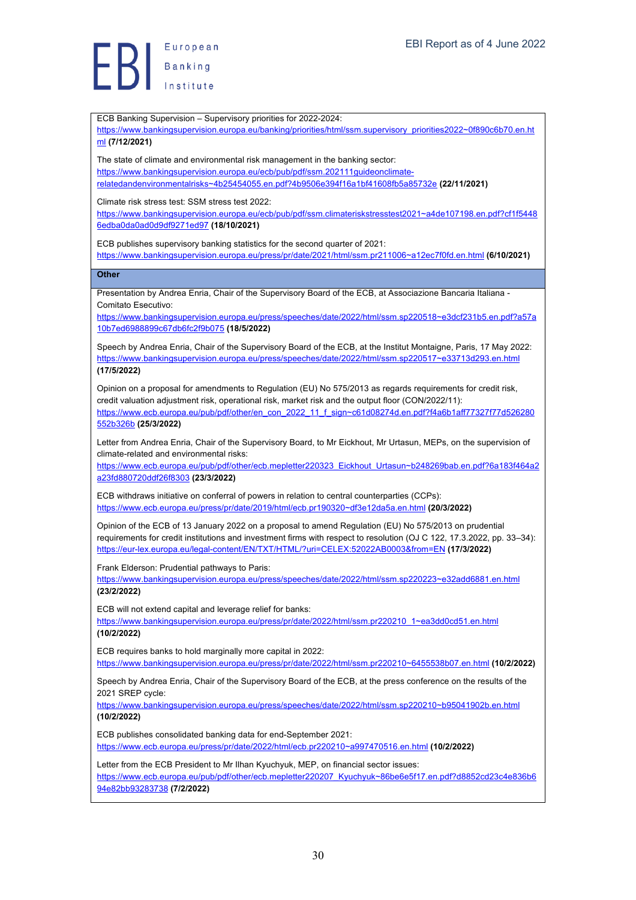European Banking

ECB Banking Supervision – Supervisory priorities for 2022-2024: https://www.bankingsupervision.europa.eu/banking/priorities/html/ssm.supervisory\_priorities2022~0f890c6b70.en.ht ml **(7/12/2021)** The state of climate and environmental risk management in the banking sector: https://www.bankingsupervision.europa.eu/ecb/pub/pdf/ssm.202111guideonclimaterelatedandenvironmentalrisks~4b25454055.en.pdf?4b9506e394f16a1bf41608fb5a85732e **(22/11/2021)** Climate risk stress test: SSM stress test 2022: https://www.bankingsupervision.europa.eu/ecb/pub/pdf/ssm.climateriskstresstest2021~a4de107198.en.pdf?cf1f5448 6edba0da0ad0d9df9271ed97 **(18/10/2021)** ECB publishes supervisory banking statistics for the second quarter of 2021: https://www.bankingsupervision.europa.eu/press/pr/date/2021/html/ssm.pr211006~a12ec7f0fd.en.html **(6/10/2021) Other** Presentation by Andrea Enria, Chair of the Supervisory Board of the ECB, at Associazione Bancaria Italiana - Comitato Esecutivo: https://www.bankingsupervision.europa.eu/press/speeches/date/2022/html/ssm.sp220518~e3dcf231b5.en.pdf?a57a 10b7ed6988899c67db6fc2f9b075 **(18/5/2022)** Speech by Andrea Enria, Chair of the Supervisory Board of the ECB, at the Institut Montaigne, Paris, 17 May 2022: https://www.bankingsupervision.europa.eu/press/speeches/date/2022/html/ssm.sp220517~e33713d293.en.html **(17/5/2022)** Opinion on a proposal for amendments to Regulation (EU) No 575/2013 as regards requirements for credit risk, credit valuation adjustment risk, operational risk, market risk and the output floor (CON/2022/11): https://www.ecb.europa.eu/pub/pdf/other/en\_con\_2022\_11\_f\_sign~c61d08274d.en.pdf?f4a6b1aff77327f77d526280 552b326b **(25/3/2022)** Letter from Andrea Enria, Chair of the Supervisory Board, to Mr Eickhout, Mr Urtasun, MEPs, on the supervision of climate-related and environmental risks: https://www.ecb.europa.eu/pub/pdf/other/ecb.mepletter220323\_Eickhout\_Urtasun~b248269bab.en.pdf?6a183f464a2 a23fd880720ddf26f8303 **(23/3/2022)** ECB withdraws initiative on conferral of powers in relation to central counterparties (CCPs): https://www.ecb.europa.eu/press/pr/date/2019/html/ecb.pr190320~df3e12da5a.en.html **(20/3/2022)** Opinion of the ECB of 13 January 2022 on a proposal to amend Regulation (EU) No 575/2013 on prudential requirements for credit institutions and investment firms with respect to resolution (OJ C 122, 17.3.2022, pp. 33–34): https://eur-lex.europa.eu/legal-content/EN/TXT/HTML/?uri=CELEX:52022AB0003&from=EN **(17/3/2022)** Frank Elderson: Prudential pathways to Paris: https://www.bankingsupervision.europa.eu/press/speeches/date/2022/html/ssm.sp220223~e32add6881.en.html **(23/2/2022)** ECB will not extend capital and leverage relief for banks: https://www.bankingsupervision.europa.eu/press/pr/date/2022/html/ssm.pr220210\_1~ea3dd0cd51.en.html **(10/2/2022)** ECB requires banks to hold marginally more capital in 2022: https://www.bankingsupervision.europa.eu/press/pr/date/2022/html/ssm.pr220210~6455538b07.en.html **(10/2/2022)** Speech by Andrea Enria, Chair of the Supervisory Board of the ECB, at the press conference on the results of the 2021 SREP cycle: https://www.bankingsupervision.europa.eu/press/speeches/date/2022/html/ssm.sp220210~b95041902b.en.html **(10/2/2022)** ECB publishes consolidated banking data for end-September 2021: https://www.ecb.europa.eu/press/pr/date/2022/html/ecb.pr220210~a997470516.en.html **(10/2/2022)** Letter from the ECB President to Mr Ilhan Kyuchyuk, MEP, on financial sector issues: https://www.ecb.europa.eu/pub/pdf/other/ecb.mepletter220207\_Kyuchyuk~86be6e5f17.en.pdf?d8852cd23c4e836b6 94e82bb93283738 **(7/2/2022)**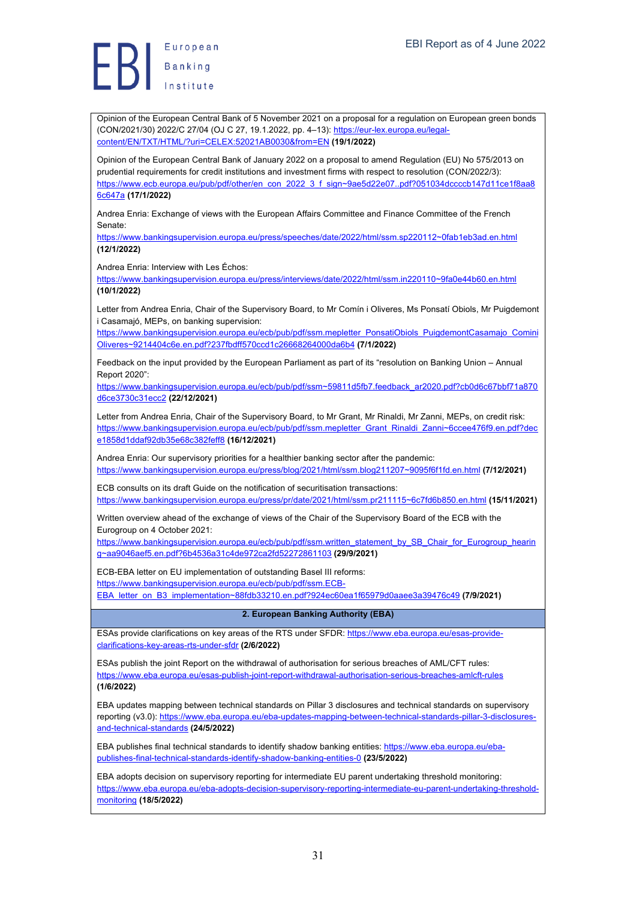

Opinion of the European Central Bank of 5 November 2021 on a proposal for a regulation on European green bonds (CON/2021/30) 2022/C 27/04 (OJ C 27, 19.1.2022, pp. 4–13): https://eur-lex.europa.eu/legalcontent/EN/TXT/HTML/?uri=CELEX:52021AB0030&from=EN **(19/1/2022)**

Opinion of the European Central Bank of January 2022 on a proposal to amend Regulation (EU) No 575/2013 on prudential requirements for credit institutions and investment firms with respect to resolution (CON/2022/3): https://www.ecb.europa.eu/pub/pdf/other/en\_con\_2022\_3\_f\_sign~9ae5d22e07..pdf?051034dccccb147d11ce1f8aa8 6c647a **(17/1/2022)**

Andrea Enria: Exchange of views with the European Affairs Committee and Finance Committee of the French Senate:

https://www.bankingsupervision.europa.eu/press/speeches/date/2022/html/ssm.sp220112~0fab1eb3ad.en.html **(12/1/2022)**

Andrea Enria: Interview with Les Échos:

https://www.bankingsupervision.europa.eu/press/interviews/date/2022/html/ssm.in220110~9fa0e44b60.en.html **(10/1/2022)**

Letter from Andrea Enria, Chair of the Supervisory Board, to Mr Comín i Oliveres, Ms Ponsatí Obiols, Mr Puigdemont i Casamajó, MEPs, on banking supervision:

https://www.bankingsupervision.europa.eu/ecb/pub/pdf/ssm.mepletter\_PonsatiObiols\_PuigdemontCasamajo\_Comini Oliveres~9214404c6e.en.pdf?237fbdff570ccd1c26668264000da6b4 **(7/1/2022)**

Feedback on the input provided by the European Parliament as part of its "resolution on Banking Union – Annual Report 2020":

https://www.bankingsupervision.europa.eu/ecb/pub/pdf/ssm~59811d5fb7.feedback\_ar2020.pdf?cb0d6c67bbf71a870 d6ce3730c31ecc2 **(22/12/2021)**

Letter from Andrea Enria, Chair of the Supervisory Board, to Mr Grant, Mr Rinaldi, Mr Zanni, MEPs, on credit risk: https://www.bankingsupervision.europa.eu/ecb/pub/pdf/ssm.mepletter\_Grant\_Rinaldi\_Zanni~6ccee476f9.en.pdf?dec e1858d1ddaf92db35e68c382feff8 **(16/12/2021)**

Andrea Enria: Our supervisory priorities for a healthier banking sector after the pandemic: https://www.bankingsupervision.europa.eu/press/blog/2021/html/ssm.blog211207~9095f6f1fd.en.html **(7/12/2021)**

ECB consults on its draft Guide on the notification of securitisation transactions: https://www.bankingsupervision.europa.eu/press/pr/date/2021/html/ssm.pr211115~6c7fd6b850.en.html **(15/11/2021)**

Written overview ahead of the exchange of views of the Chair of the Supervisory Board of the ECB with the Eurogroup on 4 October 2021:

https://www.bankingsupervision.europa.eu/ecb/pub/pdf/ssm.written\_statement\_by\_SB\_Chair\_for\_Eurogroup\_hearin g~aa9046aef5.en.pdf?6b4536a31c4de972ca2fd52272861103 **(29/9/2021)**

ECB-EBA letter on EU implementation of outstanding Basel III reforms:

https://www.bankingsupervision.europa.eu/ecb/pub/pdf/ssm.ECB-

EBA\_letter\_on\_B3\_implementation~88fdb33210.en.pdf?924ec60ea1f65979d0aaee3a39476c49 **(7/9/2021)**

#### **2. European Banking Authority (EBA)**

ESAs provide clarifications on key areas of the RTS under SFDR: https://www.eba.europa.eu/esas-provideclarifications-key-areas-rts-under-sfdr **(2/6/2022)**

ESAs publish the joint Report on the withdrawal of authorisation for serious breaches of AML/CFT rules: https://www.eba.europa.eu/esas-publish-joint-report-withdrawal-authorisation-serious-breaches-amlcft-rules **(1/6/2022)**

EBA updates mapping between technical standards on Pillar 3 disclosures and technical standards on supervisory reporting (v3.0): https://www.eba.europa.eu/eba-updates-mapping-between-technical-standards-pillar-3-disclosuresand-technical-standards **(24/5/2022)**

EBA publishes final technical standards to identify shadow banking entities: https://www.eba.europa.eu/ebapublishes-final-technical-standards-identify-shadow-banking-entities-0 **(23/5/2022)**

EBA adopts decision on supervisory reporting for intermediate EU parent undertaking threshold monitoring: https://www.eba.europa.eu/eba-adopts-decision-supervisory-reporting-intermediate-eu-parent-undertaking-thresholdmonitoring **(18/5/2022)**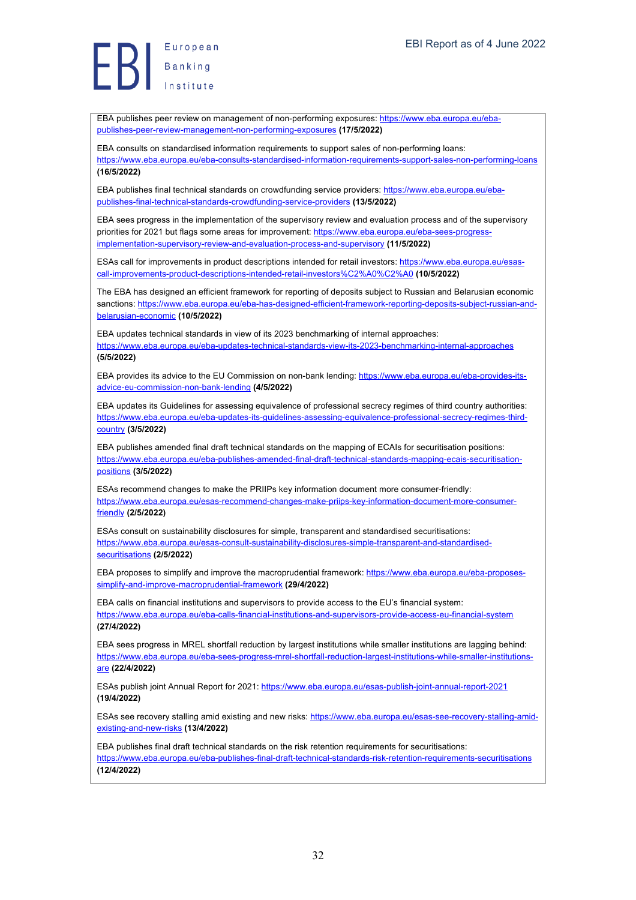European Europea<br>Banking<br>Institute

EBA publishes peer review on management of non-performing exposures: https://www.eba.europa.eu/ebapublishes-peer-review-management-non-performing-exposures **(17/5/2022)**

EBA consults on standardised information requirements to support sales of non-performing loans: https://www.eba.europa.eu/eba-consults-standardised-information-requirements-support-sales-non-performing-loans **(16/5/2022)**

EBA publishes final technical standards on crowdfunding service providers: https://www.eba.europa.eu/ebapublishes-final-technical-standards-crowdfunding-service-providers **(13/5/2022)**

EBA sees progress in the implementation of the supervisory review and evaluation process and of the supervisory priorities for 2021 but flags some areas for improvement: https://www.eba.europa.eu/eba-sees-progressimplementation-supervisory-review-and-evaluation-process-and-supervisory **(11/5/2022)**

ESAs call for improvements in product descriptions intended for retail investors: https://www.eba.europa.eu/esascall-improvements-product-descriptions-intended-retail-investors%C2%A0%C2%A0 **(10/5/2022)**

The EBA has designed an efficient framework for reporting of deposits subject to Russian and Belarusian economic sanctions: https://www.eba.europa.eu/eba-has-designed-efficient-framework-reporting-deposits-subject-russian-andbelarusian-economic **(10/5/2022)**

EBA updates technical standards in view of its 2023 benchmarking of internal approaches: https://www.eba.europa.eu/eba-updates-technical-standards-view-its-2023-benchmarking-internal-approaches **(5/5/2022)**

EBA provides its advice to the EU Commission on non-bank lending: https://www.eba.europa.eu/eba-provides-itsadvice-eu-commission-non-bank-lending **(4/5/2022)**

EBA updates its Guidelines for assessing equivalence of professional secrecy regimes of third country authorities: https://www.eba.europa.eu/eba-updates-its-guidelines-assessing-equivalence-professional-secrecy-regimes-thirdcountry **(3/5/2022)**

EBA publishes amended final draft technical standards on the mapping of ECAIs for securitisation positions: https://www.eba.europa.eu/eba-publishes-amended-final-draft-technical-standards-mapping-ecais-securitisationpositions **(3/5/2022)**

ESAs recommend changes to make the PRIIPs key information document more consumer-friendly: https://www.eba.europa.eu/esas-recommend-changes-make-priips-key-information-document-more-consumerfriendly **(2/5/2022)**

ESAs consult on sustainability disclosures for simple, transparent and standardised securitisations: https://www.eba.europa.eu/esas-consult-sustainability-disclosures-simple-transparent-and-standardisedsecuritisations **(2/5/2022)**

EBA proposes to simplify and improve the macroprudential framework: https://www.eba.europa.eu/eba-proposessimplify-and-improve-macroprudential-framework **(29/4/2022)**

EBA calls on financial institutions and supervisors to provide access to the EU's financial system: https://www.eba.europa.eu/eba-calls-financial-institutions-and-supervisors-provide-access-eu-financial-system **(27/4/2022)**

EBA sees progress in MREL shortfall reduction by largest institutions while smaller institutions are lagging behind: https://www.eba.europa.eu/eba-sees-progress-mrel-shortfall-reduction-largest-institutions-while-smaller-institutionsare **(22/4/2022)**

ESAs publish joint Annual Report for 2021: https://www.eba.europa.eu/esas-publish-joint-annual-report-2021 **(19/4/2022)**

ESAs see recovery stalling amid existing and new risks: https://www.eba.europa.eu/esas-see-recovery-stalling-amidexisting-and-new-risks **(13/4/2022)**

EBA publishes final draft technical standards on the risk retention requirements for securitisations: https://www.eba.europa.eu/eba-publishes-final-draft-technical-standards-risk-retention-requirements-securitisations **(12/4/2022)**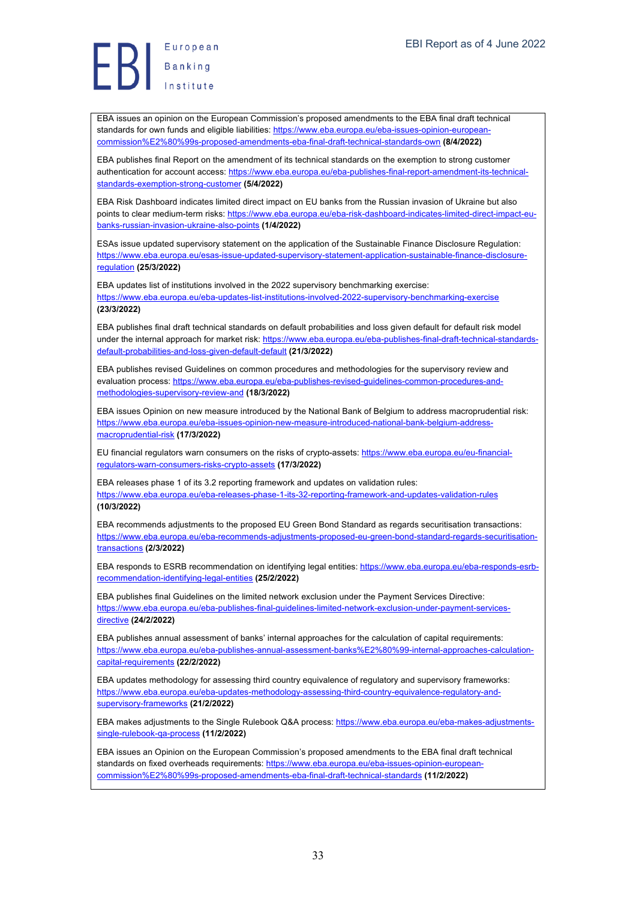Europea<br>Banking<br>Institute

EBA issues an opinion on the European Commission's proposed amendments to the EBA final draft technical standards for own funds and eligible liabilities: https://www.eba.europa.eu/eba-issues-opinion-europeancommission%E2%80%99s-proposed-amendments-eba-final-draft-technical-standards-own **(8/4/2022)**

EBA publishes final Report on the amendment of its technical standards on the exemption to strong customer authentication for account access: https://www.eba.europa.eu/eba-publishes-final-report-amendment-its-technicalstandards-exemption-strong-customer **(5/4/2022)**

EBA Risk Dashboard indicates limited direct impact on EU banks from the Russian invasion of Ukraine but also points to clear medium-term risks: https://www.eba.europa.eu/eba-risk-dashboard-indicates-limited-direct-impact-eubanks-russian-invasion-ukraine-also-points **(1/4/2022)**

ESAs issue updated supervisory statement on the application of the Sustainable Finance Disclosure Regulation: https://www.eba.europa.eu/esas-issue-updated-supervisory-statement-application-sustainable-finance-disclosureregulation **(25/3/2022)**

EBA updates list of institutions involved in the 2022 supervisory benchmarking exercise:

https://www.eba.europa.eu/eba-updates-list-institutions-involved-2022-supervisory-benchmarking-exercise **(23/3/2022)**

EBA publishes final draft technical standards on default probabilities and loss given default for default risk model under the internal approach for market risk: https://www.eba.europa.eu/eba-publishes-final-draft-technical-standardsdefault-probabilities-and-loss-given-default-default **(21/3/2022)**

EBA publishes revised Guidelines on common procedures and methodologies for the supervisory review and evaluation process: https://www.eba.europa.eu/eba-publishes-revised-guidelines-common-procedures-andmethodologies-supervisory-review-and **(18/3/2022)**

EBA issues Opinion on new measure introduced by the National Bank of Belgium to address macroprudential risk: https://www.eba.europa.eu/eba-issues-opinion-new-measure-introduced-national-bank-belgium-addressmacroprudential-risk **(17/3/2022)**

EU financial regulators warn consumers on the risks of crypto-assets: https://www.eba.europa.eu/eu-financialregulators-warn-consumers-risks-crypto-assets **(17/3/2022)**

EBA releases phase 1 of its 3.2 reporting framework and updates on validation rules: https://www.eba.europa.eu/eba-releases-phase-1-its-32-reporting-framework-and-updates-validation-rules **(10/3/2022)**

EBA recommends adjustments to the proposed EU Green Bond Standard as regards securitisation transactions: https://www.eba.europa.eu/eba-recommends-adjustments-proposed-eu-green-bond-standard-regards-securitisationtransactions **(2/3/2022)**

EBA responds to ESRB recommendation on identifying legal entities: https://www.eba.europa.eu/eba-responds-esrbrecommendation-identifying-legal-entities **(25/2/2022)**

EBA publishes final Guidelines on the limited network exclusion under the Payment Services Directive: https://www.eba.europa.eu/eba-publishes-final-guidelines-limited-network-exclusion-under-payment-servicesdirective **(24/2/2022)**

EBA publishes annual assessment of banks' internal approaches for the calculation of capital requirements: https://www.eba.europa.eu/eba-publishes-annual-assessment-banks%E2%80%99-internal-approaches-calculationcapital-requirements **(22/2/2022)**

EBA updates methodology for assessing third country equivalence of regulatory and supervisory frameworks: https://www.eba.europa.eu/eba-updates-methodology-assessing-third-country-equivalence-regulatory-andsupervisory-frameworks **(21/2/2022)**

EBA makes adjustments to the Single Rulebook Q&A process: https://www.eba.europa.eu/eba-makes-adjustmentssingle-rulebook-qa-process **(11/2/2022)**

EBA issues an Opinion on the European Commission's proposed amendments to the EBA final draft technical standards on fixed overheads requirements: https://www.eba.europa.eu/eba-issues-opinion-europeancommission%E2%80%99s-proposed-amendments-eba-final-draft-technical-standards **(11/2/2022)**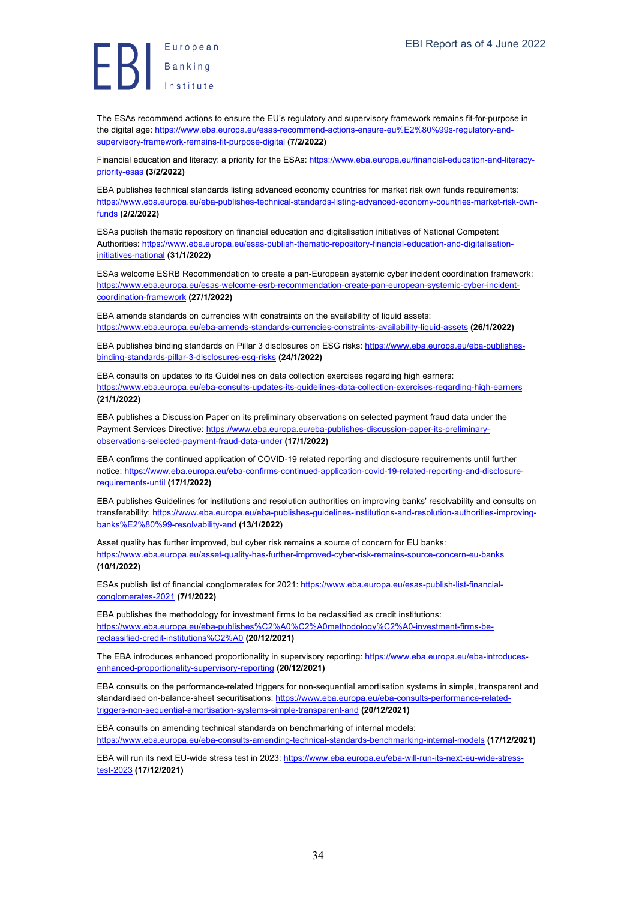The ESAs recommend actions to ensure the EU's regulatory and supervisory framework remains fit-for-purpose in the digital age: https://www.eba.europa.eu/esas-recommend-actions-ensure-eu%E2%80%99s-regulatory-andsupervisory-framework-remains-fit-purpose-digital **(7/2/2022)**

Financial education and literacy: a priority for the ESAs: https://www.eba.europa.eu/financial-education-and-literacypriority-esas **(3/2/2022)**

EBA publishes technical standards listing advanced economy countries for market risk own funds requirements: https://www.eba.europa.eu/eba-publishes-technical-standards-listing-advanced-economy-countries-market-risk-ownfunds **(2/2/2022)**

ESAs publish thematic repository on financial education and digitalisation initiatives of National Competent Authorities: https://www.eba.europa.eu/esas-publish-thematic-repository-financial-education-and-digitalisationinitiatives-national **(31/1/2022)**

ESAs welcome ESRB Recommendation to create a pan-European systemic cyber incident coordination framework: https://www.eba.europa.eu/esas-welcome-esrb-recommendation-create-pan-european-systemic-cyber-incidentcoordination-framework **(27/1/2022)**

EBA amends standards on currencies with constraints on the availability of liquid assets: https://www.eba.europa.eu/eba-amends-standards-currencies-constraints-availability-liquid-assets **(26/1/2022)**

EBA publishes binding standards on Pillar 3 disclosures on ESG risks: https://www.eba.europa.eu/eba-publishesbinding-standards-pillar-3-disclosures-esg-risks **(24/1/2022)**

EBA consults on updates to its Guidelines on data collection exercises regarding high earners: https://www.eba.europa.eu/eba-consults-updates-its-guidelines-data-collection-exercises-regarding-high-earners **(21/1/2022)**

EBA publishes a Discussion Paper on its preliminary observations on selected payment fraud data under the Payment Services Directive: https://www.eba.europa.eu/eba-publishes-discussion-paper-its-preliminaryobservations-selected-payment-fraud-data-under **(17/1/2022)**

EBA confirms the continued application of COVID-19 related reporting and disclosure requirements until further notice: https://www.eba.europa.eu/eba-confirms-continued-application-covid-19-related-reporting-and-disclosurerequirements-until **(17/1/2022)**

EBA publishes Guidelines for institutions and resolution authorities on improving banks' resolvability and consults on transferability: https://www.eba.europa.eu/eba-publishes-guidelines-institutions-and-resolution-authorities-improvingbanks%E2%80%99-resolvability-and **(13/1/2022)**

Asset quality has further improved, but cyber risk remains a source of concern for EU banks: https://www.eba.europa.eu/asset-quality-has-further-improved-cyber-risk-remains-source-concern-eu-banks **(10/1/2022)**

ESAs publish list of financial conglomerates for 2021: https://www.eba.europa.eu/esas-publish-list-financialconglomerates-2021 **(7/1/2022)**

EBA publishes the methodology for investment firms to be reclassified as credit institutions: https://www.eba.europa.eu/eba-publishes%C2%A0%C2%A0methodology%C2%A0-investment-firms-bereclassified-credit-institutions%C2%A0 **(20/12/2021)**

The EBA introduces enhanced proportionality in supervisory reporting: https://www.eba.europa.eu/eba-introducesenhanced-proportionality-supervisory-reporting **(20/12/2021)**

EBA consults on the performance-related triggers for non-sequential amortisation systems in simple, transparent and standardised on-balance-sheet securitisations: https://www.eba.europa.eu/eba-consults-performance-relatedtriggers-non-sequential-amortisation-systems-simple-transparent-and **(20/12/2021)**

EBA consults on amending technical standards on benchmarking of internal models: https://www.eba.europa.eu/eba-consults-amending-technical-standards-benchmarking-internal-models **(17/12/2021)**

EBA will run its next EU-wide stress test in 2023: https://www.eba.europa.eu/eba-will-run-its-next-eu-wide-stresstest-2023 **(17/12/2021)**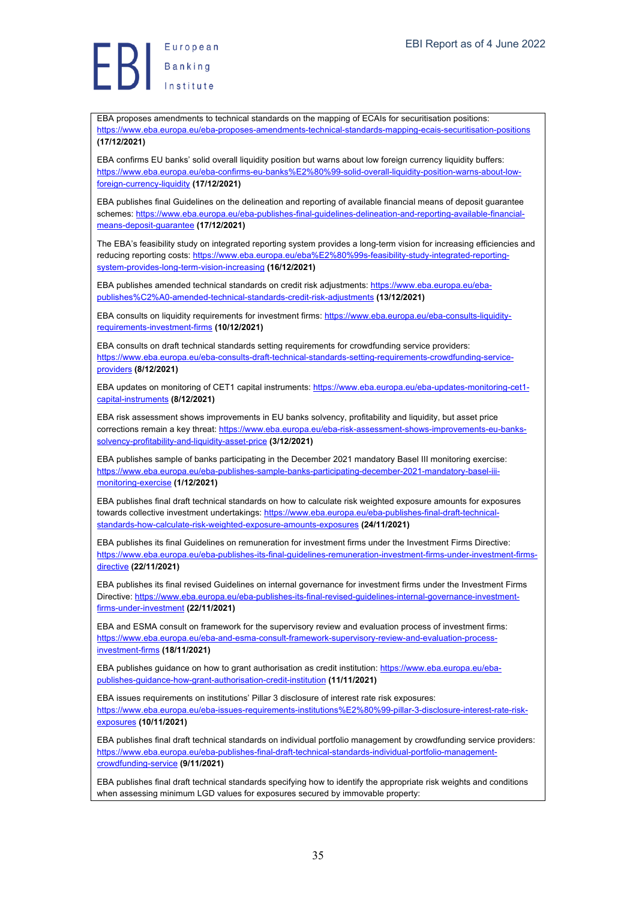Europea<br>Banking<br>Institute

EBA proposes amendments to technical standards on the mapping of ECAIs for securitisation positions: https://www.eba.europa.eu/eba-proposes-amendments-technical-standards-mapping-ecais-securitisation-positions **(17/12/2021)**

EBA confirms EU banks' solid overall liquidity position but warns about low foreign currency liquidity buffers: https://www.eba.europa.eu/eba-confirms-eu-banks%E2%80%99-solid-overall-liquidity-position-warns-about-lowforeign-currency-liquidity **(17/12/2021)**

EBA publishes final Guidelines on the delineation and reporting of available financial means of deposit guarantee schemes: https://www.eba.europa.eu/eba-publishes-final-guidelines-delineation-and-reporting-available-financialmeans-deposit-guarantee **(17/12/2021)**

The EBA's feasibility study on integrated reporting system provides a long-term vision for increasing efficiencies and reducing reporting costs: https://www.eba.europa.eu/eba%E2%80%99s-feasibility-study-integrated-reportingsystem-provides-long-term-vision-increasing **(16/12/2021)**

EBA publishes amended technical standards on credit risk adjustments: https://www.eba.europa.eu/ebapublishes%C2%A0-amended-technical-standards-credit-risk-adjustments **(13/12/2021)**

EBA consults on liquidity requirements for investment firms: https://www.eba.europa.eu/eba-consults-liquidityrequirements-investment-firms **(10/12/2021)**

EBA consults on draft technical standards setting requirements for crowdfunding service providers: https://www.eba.europa.eu/eba-consults-draft-technical-standards-setting-requirements-crowdfunding-serviceproviders **(8/12/2021)**

EBA updates on monitoring of CET1 capital instruments: https://www.eba.europa.eu/eba-updates-monitoring-cet1 capital-instruments **(8/12/2021)**

EBA risk assessment shows improvements in EU banks solvency, profitability and liquidity, but asset price corrections remain a key threat: https://www.eba.europa.eu/eba-risk-assessment-shows-improvements-eu-bankssolvency-profitability-and-liquidity-asset-price **(3/12/2021)**

EBA publishes sample of banks participating in the December 2021 mandatory Basel III monitoring exercise: https://www.eba.europa.eu/eba-publishes-sample-banks-participating-december-2021-mandatory-basel-iiimonitoring-exercise **(1/12/2021)**

EBA publishes final draft technical standards on how to calculate risk weighted exposure amounts for exposures towards collective investment undertakings: https://www.eba.europa.eu/eba-publishes-final-draft-technicalstandards-how-calculate-risk-weighted-exposure-amounts-exposures **(24/11/2021)**

EBA publishes its final Guidelines on remuneration for investment firms under the Investment Firms Directive: https://www.eba.europa.eu/eba-publishes-its-final-guidelines-remuneration-investment-firms-under-investment-firmsdirective **(22/11/2021)**

EBA publishes its final revised Guidelines on internal governance for investment firms under the Investment Firms Directive: https://www.eba.europa.eu/eba-publishes-its-final-revised-guidelines-internal-governance-investmentfirms-under-investment **(22/11/2021)**

EBA and ESMA consult on framework for the supervisory review and evaluation process of investment firms: https://www.eba.europa.eu/eba-and-esma-consult-framework-supervisory-review-and-evaluation-processinvestment-firms **(18/11/2021)**

EBA publishes guidance on how to grant authorisation as credit institution: https://www.eba.europa.eu/ebapublishes-guidance-how-grant-authorisation-credit-institution **(11/11/2021)**

EBA issues requirements on institutions' Pillar 3 disclosure of interest rate risk exposures: https://www.eba.europa.eu/eba-issues-requirements-institutions%E2%80%99-pillar-3-disclosure-interest-rate-riskexposures **(10/11/2021)**

EBA publishes final draft technical standards on individual portfolio management by crowdfunding service providers: https://www.eba.europa.eu/eba-publishes-final-draft-technical-standards-individual-portfolio-managementcrowdfunding-service **(9/11/2021)**

EBA publishes final draft technical standards specifying how to identify the appropriate risk weights and conditions when assessing minimum LGD values for exposures secured by immovable property: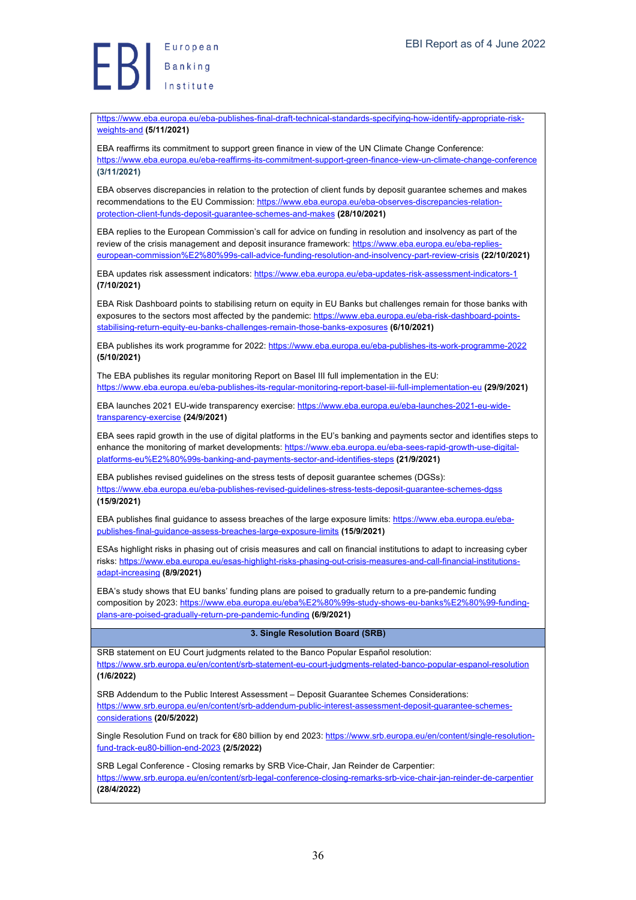Europea<br>Banking<br>Institute

https://www.eba.europa.eu/eba-publishes-final-draft-technical-standards-specifying-how-identify-appropriate-riskweights-and **(5/11/2021)**

EBA reaffirms its commitment to support green finance in view of the UN Climate Change Conference: https://www.eba.europa.eu/eba-reaffirms-its-commitment-support-green-finance-view-un-climate-change-conference **(3/11/2021)**

EBA observes discrepancies in relation to the protection of client funds by deposit guarantee schemes and makes recommendations to the EU Commission: https://www.eba.europa.eu/eba-observes-discrepancies-relationprotection-client-funds-deposit-guarantee-schemes-and-makes **(28/10/2021)**

EBA replies to the European Commission's call for advice on funding in resolution and insolvency as part of the review of the crisis management and deposit insurance framework: https://www.eba.europa.eu/eba-replieseuropean-commission%E2%80%99s-call-advice-funding-resolution-and-insolvency-part-review-crisis **(22/10/2021)**

EBA updates risk assessment indicators: https://www.eba.europa.eu/eba-updates-risk-assessment-indicators-1 **(7/10/2021)**

EBA Risk Dashboard points to stabilising return on equity in EU Banks but challenges remain for those banks with exposures to the sectors most affected by the pandemic: https://www.eba.europa.eu/eba-risk-dashboard-pointsstabilising-return-equity-eu-banks-challenges-remain-those-banks-exposures **(6/10/2021)**

EBA publishes its work programme for 2022: https://www.eba.europa.eu/eba-publishes-its-work-programme-2022 **(5/10/2021)**

The EBA publishes its regular monitoring Report on Basel III full implementation in the EU: https://www.eba.europa.eu/eba-publishes-its-regular-monitoring-report-basel-iii-full-implementation-eu **(29/9/2021)**

EBA launches 2021 EU-wide transparency exercise: https://www.eba.europa.eu/eba-launches-2021-eu-widetransparency-exercise **(24/9/2021)**

EBA sees rapid growth in the use of digital platforms in the EU's banking and payments sector and identifies steps to enhance the monitoring of market developments: https://www.eba.europa.eu/eba-sees-rapid-growth-use-digitalplatforms-eu%E2%80%99s-banking-and-payments-sector-and-identifies-steps **(21/9/2021)**

EBA publishes revised guidelines on the stress tests of deposit guarantee schemes (DGSs): https://www.eba.europa.eu/eba-publishes-revised-guidelines-stress-tests-deposit-guarantee-schemes-dgss **(15/9/2021)**

EBA publishes final guidance to assess breaches of the large exposure limits: https://www.eba.europa.eu/ebapublishes-final-guidance-assess-breaches-large-exposure-limits **(15/9/2021)**

ESAs highlight risks in phasing out of crisis measures and call on financial institutions to adapt to increasing cyber risks: https://www.eba.europa.eu/esas-highlight-risks-phasing-out-crisis-measures-and-call-financial-institutionsadapt-increasing **(8/9/2021)**

EBA's study shows that EU banks' funding plans are poised to gradually return to a pre-pandemic funding composition by 2023: https://www.eba.europa.eu/eba%E2%80%99s-study-shows-eu-banks%E2%80%99-fundingplans-are-poised-gradually-return-pre-pandemic-funding **(6/9/2021)**

#### **3. Single Resolution Board (SRB)**

SRB statement on EU Court judgments related to the Banco Popular Español resolution: https://www.srb.europa.eu/en/content/srb-statement-eu-court-judgments-related-banco-popular-espanol-resolution **(1/6/2022)**

SRB Addendum to the Public Interest Assessment – Deposit Guarantee Schemes Considerations: https://www.srb.europa.eu/en/content/srb-addendum-public-interest-assessment-deposit-guarantee-schemesconsiderations **(20/5/2022)**

Single Resolution Fund on track for €80 billion by end 2023: https://www.srb.europa.eu/en/content/single-resolutionfund-track-eu80-billion-end-2023 **(2/5/2022)**

SRB Legal Conference - Closing remarks by SRB Vice-Chair, Jan Reinder de Carpentier: https://www.srb.europa.eu/en/content/srb-legal-conference-closing-remarks-srb-vice-chair-jan-reinder-de-carpentier **(28/4/2022)**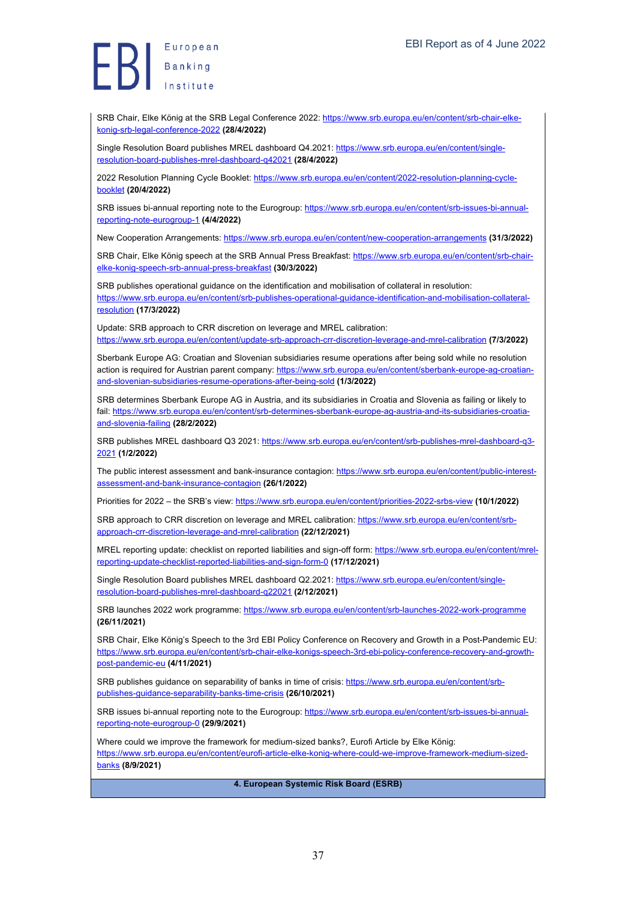Europea<br>Banking<br>Institute European

SRB Chair, Elke König at the SRB Legal Conference 2022: https://www.srb.europa.eu/en/content/srb-chair-elkekonig-srb-legal-conference-2022 **(28/4/2022)**

Single Resolution Board publishes MREL dashboard Q4.2021: https://www.srb.europa.eu/en/content/singleresolution-board-publishes-mrel-dashboard-q42021 **(28/4/2022)**

2022 Resolution Planning Cycle Booklet: https://www.srb.europa.eu/en/content/2022-resolution-planning-cyclebooklet **(20/4/2022)**

SRB issues bi-annual reporting note to the Eurogroup: https://www.srb.europa.eu/en/content/srb-issues-bi-annualreporting-note-eurogroup-1 **(4/4/2022)**

New Cooperation Arrangements: https://www.srb.europa.eu/en/content/new-cooperation-arrangements **(31/3/2022)**

SRB Chair, Elke König speech at the SRB Annual Press Breakfast: https://www.srb.europa.eu/en/content/srb-chairelke-konig-speech-srb-annual-press-breakfast **(30/3/2022)**

SRB publishes operational guidance on the identification and mobilisation of collateral in resolution: https://www.srb.europa.eu/en/content/srb-publishes-operational-guidance-identification-and-mobilisation-collateralresolution **(17/3/2022)**

Update: SRB approach to CRR discretion on leverage and MREL calibration: https://www.srb.europa.eu/en/content/update-srb-approach-crr-discretion-leverage-and-mrel-calibration **(7/3/2022)**

Sberbank Europe AG: Croatian and Slovenian subsidiaries resume operations after being sold while no resolution action is required for Austrian parent company: https://www.srb.europa.eu/en/content/sberbank-europe-ag-croatianand-slovenian-subsidiaries-resume-operations-after-being-sold **(1/3/2022)**

SRB determines Sberbank Europe AG in Austria, and its subsidiaries in Croatia and Slovenia as failing or likely to fail: https://www.srb.europa.eu/en/content/srb-determines-sberbank-europe-ag-austria-and-its-subsidiaries-croatiaand-slovenia-failing **(28/2/2022)**

SRB publishes MREL dashboard Q3 2021: https://www.srb.europa.eu/en/content/srb-publishes-mrel-dashboard-q3- 2021 **(1/2/2022)**

The public interest assessment and bank-insurance contagion: https://www.srb.europa.eu/en/content/public-interestassessment-and-bank-insurance-contagion **(26/1/2022)**

Priorities for 2022 – the SRB's view: https://www.srb.europa.eu/en/content/priorities-2022-srbs-view **(10/1/2022)**

SRB approach to CRR discretion on leverage and MREL calibration: https://www.srb.europa.eu/en/content/srbapproach-crr-discretion-leverage-and-mrel-calibration **(22/12/2021)**

MREL reporting update: checklist on reported liabilities and sign-off form: https://www.srb.europa.eu/en/content/mrelreporting-update-checklist-reported-liabilities-and-sign-form-0 **(17/12/2021)**

Single Resolution Board publishes MREL dashboard Q2.2021: https://www.srb.europa.eu/en/content/singleresolution-board-publishes-mrel-dashboard-q22021 **(2/12/2021)**

SRB launches 2022 work programme: https://www.srb.europa.eu/en/content/srb-launches-2022-work-programme **(26/11/2021)**

SRB Chair, Elke König's Speech to the 3rd EBI Policy Conference on Recovery and Growth in a Post-Pandemic EU: https://www.srb.europa.eu/en/content/srb-chair-elke-konigs-speech-3rd-ebi-policy-conference-recovery-and-growthpost-pandemic-eu **(4/11/2021)**

SRB publishes guidance on separability of banks in time of crisis: https://www.srb.europa.eu/en/content/srbpublishes-guidance-separability-banks-time-crisis **(26/10/2021)**

SRB issues bi-annual reporting note to the Eurogroup: https://www.srb.europa.eu/en/content/srb-issues-bi-annualreporting-note-eurogroup-0 **(29/9/2021)**

Where could we improve the framework for medium-sized banks?, Eurofi Article by Elke König: https://www.srb.europa.eu/en/content/eurofi-article-elke-konig-where-could-we-improve-framework-medium-sizedbanks **(8/9/2021)**

**4. European Systemic Risk Board (ESRB)**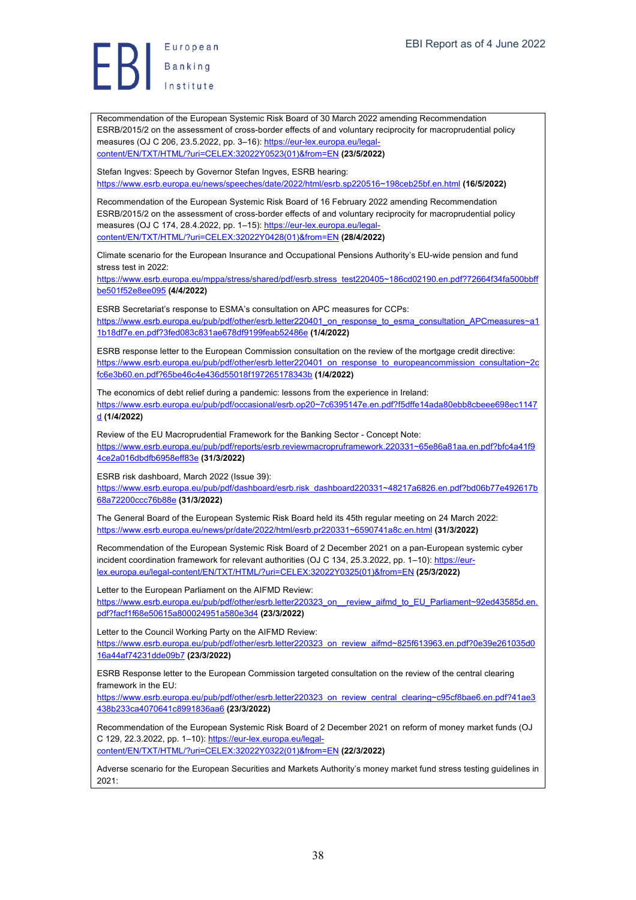European Banking

Recommendation of the European Systemic Risk Board of 30 March 2022 amending Recommendation ESRB/2015/2 on the assessment of cross-border effects of and voluntary reciprocity for macroprudential policy measures (OJ C 206, 23.5.2022, pp. 3–16): https://eur-lex.europa.eu/legalcontent/EN/TXT/HTML/?uri=CELEX:32022Y0523(01)&from=EN **(23/5/2022)**

Stefan Ingves: Speech by Governor Stefan Ingves, ESRB hearing:

https://www.esrb.europa.eu/news/speeches/date/2022/html/esrb.sp220516~198ceb25bf.en.html **(16/5/2022)**

Recommendation of the European Systemic Risk Board of 16 February 2022 amending Recommendation ESRB/2015/2 on the assessment of cross-border effects of and voluntary reciprocity for macroprudential policy measures (OJ C 174, 28.4.2022, pp. 1–15): https://eur-lex.europa.eu/legalcontent/EN/TXT/HTML/?uri=CELEX:32022Y0428(01)&from=EN **(28/4/2022)**

Climate scenario for the European Insurance and Occupational Pensions Authority's EU-wide pension and fund stress test in 2022:

https://www.esrb.europa.eu/mppa/stress/shared/pdf/esrb.stress\_test220405~186cd02190.en.pdf?72664f34fa500bbff be501f52e8ee095 **(4/4/2022)**

ESRB Secretariat's response to ESMA's consultation on APC measures for CCPs: https://www.esrb.europa.eu/pub/pdf/other/esrb.letter220401\_on\_response\_to\_esma\_consultation\_APCmeasures~a1 1b18df7e.en.pdf?3fed083c831ae678df9199feab52486e **(1/4/2022)**

ESRB response letter to the European Commission consultation on the review of the mortgage credit directive: https://www.esrb.europa.eu/pub/pdf/other/esrb.letter220401\_on\_response\_to\_europeancommission\_consultation~2c fc6e3b60.en.pdf?65be46c4e436d55018f197265178343b **(1/4/2022)**

The economics of debt relief during a pandemic: lessons from the experience in Ireland: https://www.esrb.europa.eu/pub/pdf/occasional/esrb.op20~7c6395147e.en.pdf?f5dffe14ada80ebb8cbeee698ec1147 d **(1/4/2022)**

Review of the EU Macroprudential Framework for the Banking Sector - Concept Note:

https://www.esrb.europa.eu/pub/pdf/reports/esrb.reviewmacropruframework.220331~65e86a81aa.en.pdf?bfc4a41f9 4ce2a016dbdfb6958eff83e **(31/3/2022)**

ESRB risk dashboard, March 2022 (Issue 39):

https://www.esrb.europa.eu/pub/pdf/dashboard/esrb.risk\_dashboard220331~48217a6826.en.pdf?bd06b77e492617b 68a72200ccc76b88e **(31/3/2022)**

The General Board of the European Systemic Risk Board held its 45th regular meeting on 24 March 2022: https://www.esrb.europa.eu/news/pr/date/2022/html/esrb.pr220331~6590741a8c.en.html **(31/3/2022)**

Recommendation of the European Systemic Risk Board of 2 December 2021 on a pan-European systemic cyber incident coordination framework for relevant authorities (OJ C 134, 25.3.2022, pp. 1–10): https://eurlex.europa.eu/legal-content/EN/TXT/HTML/?uri=CELEX:32022Y0325(01)&from=EN **(25/3/2022)**

Letter to the European Parliament on the AIFMD Review:

https://www.esrb.europa.eu/pub/pdf/other/esrb.letter220323\_on\_\_review\_aifmd\_to\_EU\_Parliament~92ed43585d.en. pdf?facf1f68e50615a800024951a580e3d4 **(23/3/2022)**

Letter to the Council Working Party on the AIFMD Review: https://www.esrb.europa.eu/pub/pdf/other/esrb.letter220323\_on\_review\_aifmd~825f613963.en.pdf?0e39e261035d0 16a44af74231dde09b7 **(23/3/2022)**

ESRB Response letter to the European Commission targeted consultation on the review of the central clearing framework in the EU:

https://www.esrb.europa.eu/pub/pdf/other/esrb.letter220323\_on\_review\_central\_clearing~c95cf8bae6.en.pdf?41ae3 438b233ca4070641c8991836aa6 **(23/3/2022)**

Recommendation of the European Systemic Risk Board of 2 December 2021 on reform of money market funds (OJ C 129, 22.3.2022, pp. 1-10): https://eur-lex.europa.eu/legal-

content/EN/TXT/HTML/?uri=CELEX:32022Y0322(01)&from=EN **(22/3/2022)**

Adverse scenario for the European Securities and Markets Authority's money market fund stress testing guidelines in 2021: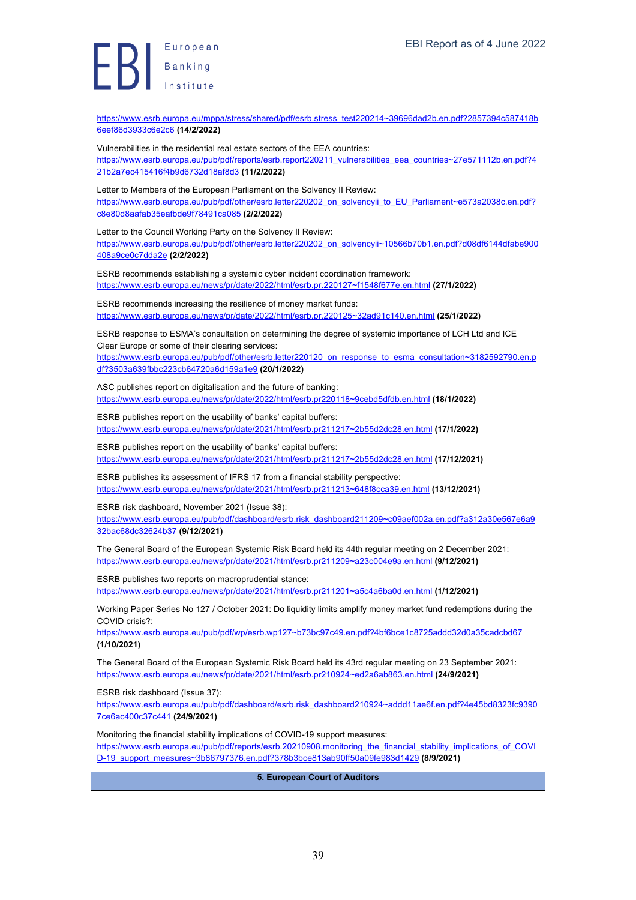**Exerche Standard Banking** 

| https://www.esrb.europa.eu/mppa/stress/shared/pdf/esrb.stress_test220214~39696dad2b.en.pdf?2857394c587418b<br>6eef86d3933c6e2c6 (14/2/2022)                                                                                                                                                                                    |
|--------------------------------------------------------------------------------------------------------------------------------------------------------------------------------------------------------------------------------------------------------------------------------------------------------------------------------|
| Vulnerabilities in the residential real estate sectors of the EEA countries:<br>https://www.esrb.europa.eu/pub/pdf/reports/esrb.report220211 vulnerabilities eea countries~27e571112b.en.pdf?4<br>21b2a7ec415416f4b9d6732d18af8d3 (11/2/2022)                                                                                  |
| Letter to Members of the European Parliament on the Solvency II Review:<br>https://www.esrb.europa.eu/pub/pdf/other/esrb.letter220202_on_solvencyii_to_EU_Parliament~e573a2038c.en.pdf?<br>c8e80d8aafab35eafbde9f78491ca085 (2/2/2022)                                                                                         |
| Letter to the Council Working Party on the Solvency II Review:<br>https://www.esrb.europa.eu/pub/pdf/other/esrb.letter220202_on_solvencyii~10566b70b1.en.pdf?d08df6144dfabe900<br>408a9ce0c7dda2e (2/2/2022)                                                                                                                   |
| ESRB recommends establishing a systemic cyber incident coordination framework:<br>https://www.esrb.europa.eu/news/pr/date/2022/html/esrb.pr.220127~f1548f677e.en.html (27/1/2022)                                                                                                                                              |
| ESRB recommends increasing the resilience of money market funds:<br>https://www.esrb.europa.eu/news/pr/date/2022/html/esrb.pr.220125~32ad91c140.en.html (25/1/2022)                                                                                                                                                            |
| ESRB response to ESMA's consultation on determining the degree of systemic importance of LCH Ltd and ICE<br>Clear Europe or some of their clearing services:<br>https://www.esrb.europa.eu/pub/pdf/other/esrb.letter220120 on response to esma consultation~3182592790.en.p<br>df?3503a639fbbc223cb64720a6d159a1e9 (20/1/2022) |
| ASC publishes report on digitalisation and the future of banking:<br>https://www.esrb.europa.eu/news/pr/date/2022/html/esrb.pr220118~9cebd5dfdb.en.html (18/1/2022)                                                                                                                                                            |
| ESRB publishes report on the usability of banks' capital buffers:<br>https://www.esrb.europa.eu/news/pr/date/2021/html/esrb.pr211217~2b55d2dc28.en.html (17/1/2022)                                                                                                                                                            |
| ESRB publishes report on the usability of banks' capital buffers:<br>https://www.esrb.europa.eu/news/pr/date/2021/html/esrb.pr211217~2b55d2dc28.en.html (17/12/2021)                                                                                                                                                           |
| ESRB publishes its assessment of IFRS 17 from a financial stability perspective:<br>https://www.esrb.europa.eu/news/pr/date/2021/html/esrb.pr211213~648f8cca39.en.html (13/12/2021)                                                                                                                                            |
| ESRB risk dashboard, November 2021 (Issue 38):<br>https://www.esrb.europa.eu/pub/pdf/dashboard/esrb.risk dashboard211209~c09aef002a.en.pdf?a312a30e567e6a9<br>32bac68dc32624b37 (9/12/2021)                                                                                                                                    |
| The General Board of the European Systemic Risk Board held its 44th regular meeting on 2 December 2021:<br>https://www.esrb.europa.eu/news/pr/date/2021/html/esrb.pr211209~a23c004e9a.en.html (9/12/2021)                                                                                                                      |
| ESRB publishes two reports on macroprudential stance:<br>https://www.esrb.europa.eu/news/pr/date/2021/html/esrb.pr211201~a5c4a6ba0d.en.html (1/12/2021)                                                                                                                                                                        |
| Working Paper Series No 127 / October 2021: Do liquidity limits amplify money market fund redemptions during the<br>COVID crisis?:                                                                                                                                                                                             |
| https://www.esrb.europa.eu/pub/pdf/wp/esrb.wp127~b73bc97c49.en.pdf?4bf6bce1c8725addd32d0a35cadcbd67<br>(1/10/2021)                                                                                                                                                                                                             |
| The General Board of the European Systemic Risk Board held its 43rd regular meeting on 23 September 2021:<br>https://www.esrb.europa.eu/news/pr/date/2021/html/esrb.pr210924~ed2a6ab863.en.html (24/9/2021)                                                                                                                    |
| ESRB risk dashboard (Issue 37):<br>https://www.esrb.europa.eu/pub/pdf/dashboard/esrb.risk_dashboard210924~addd11ae6f.en.pdf?4e45bd8323fc9390<br>7ce6ac400c37c441 (24/9/2021)                                                                                                                                                   |
| Monitoring the financial stability implications of COVID-19 support measures:<br>https://www.esrb.europa.eu/pub/pdf/reports/esrb.20210908.monitoring_the_financial_stability_implications_of_COVI<br>D-19 support measures~3b86797376.en.pdf?378b3bce813ab90ff50a09fe983d1429 (8/9/2021)                                       |
| 5. European Court of Auditors                                                                                                                                                                                                                                                                                                  |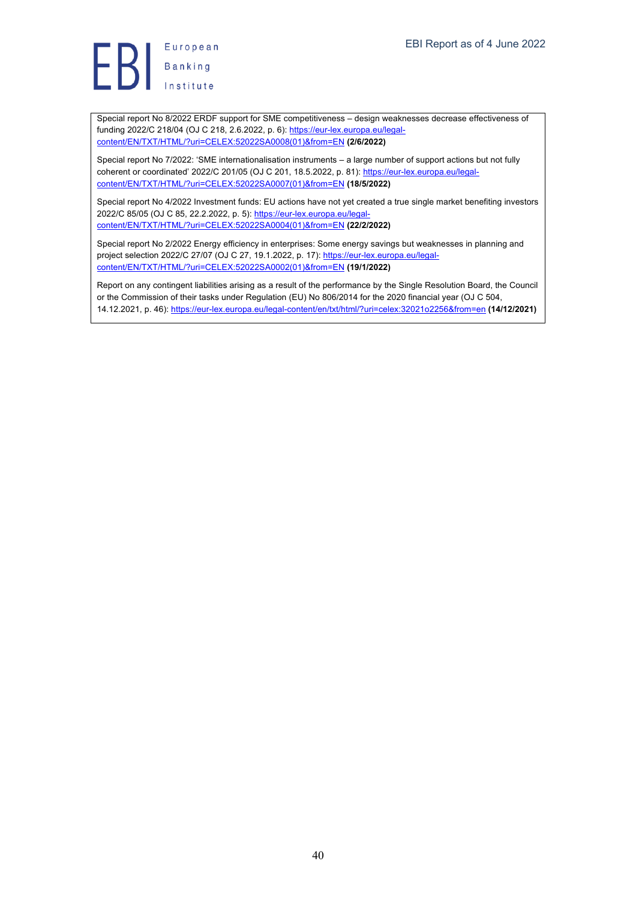

Special report No 8/2022 ERDF support for SME competitiveness – design weaknesses decrease effectiveness of funding 2022/C 218/04 (OJ C 218, 2.6.2022, p. 6): https://eur-lex.europa.eu/legalcontent/EN/TXT/HTML/?uri=CELEX:52022SA0008(01)&from=EN **(2/6/2022)**

Special report No 7/2022: 'SME internationalisation instruments – a large number of support actions but not fully coherent or coordinated' 2022/C 201/05 (OJ C 201, 18.5.2022, p. 81): https://eur-lex.europa.eu/legalcontent/EN/TXT/HTML/?uri=CELEX:52022SA0007(01)&from=EN **(18/5/2022)**

Special report No 4/2022 Investment funds: EU actions have not yet created a true single market benefiting investors 2022/C 85/05 (OJ C 85, 22.2.2022, p. 5): https://eur-lex.europa.eu/legalcontent/EN/TXT/HTML/?uri=CELEX:52022SA0004(01)&from=EN **(22/2/2022)**

Special report No 2/2022 Energy efficiency in enterprises: Some energy savings but weaknesses in planning and project selection 2022/C 27/07 (OJ C 27, 19.1.2022, p. 17): https://eur-lex.europa.eu/legalcontent/EN/TXT/HTML/?uri=CELEX:52022SA0002(01)&from=EN **(19/1/2022)**

Report on any contingent liabilities arising as a result of the performance by the Single Resolution Board, the Council or the Commission of their tasks under Regulation (EU) No 806/2014 for the 2020 financial year (OJ C 504, 14.12.2021, p. 46): https://eur-lex.europa.eu/legal-content/en/txt/html/?uri=celex:32021o2256&from=en **(14/12/2021)**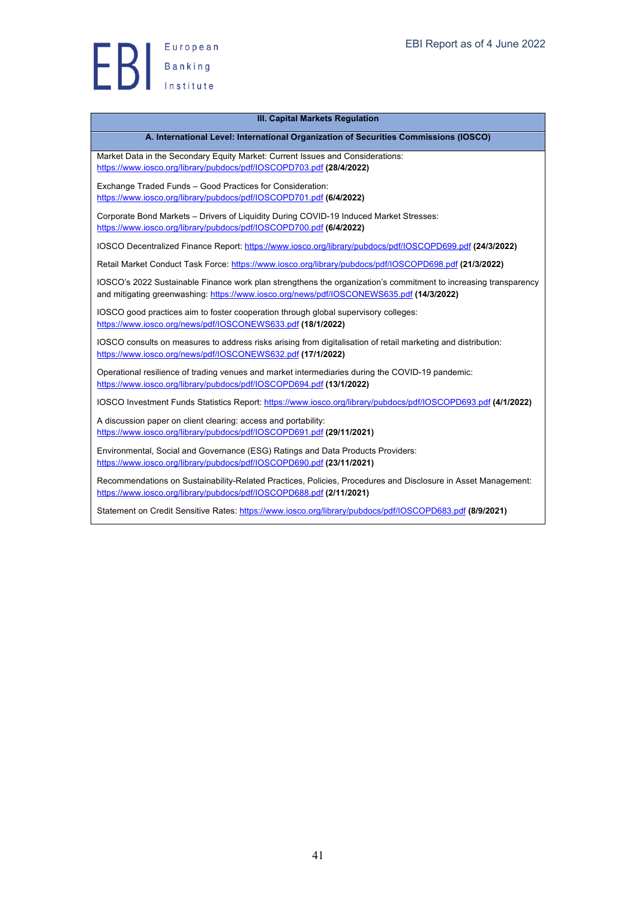

#### **III. Capital Markets Regulation**

#### **A. International Level: International Organization of Securities Commissions (IOSCO)**

Market Data in the Secondary Equity Market: Current Issues and Considerations: https://www.iosco.org/library/pubdocs/pdf/IOSCOPD703.pdf **(28/4/2022)**

Exchange Traded Funds – Good Practices for Consideration: https://www.iosco.org/library/pubdocs/pdf/IOSCOPD701.pdf **(6/4/2022)**

Corporate Bond Markets – Drivers of Liquidity During COVID-19 Induced Market Stresses: https://www.iosco.org/library/pubdocs/pdf/IOSCOPD700.pdf **(6/4/2022)**

IOSCO Decentralized Finance Report: https://www.iosco.org/library/pubdocs/pdf/IOSCOPD699.pdf **(24/3/2022)**

Retail Market Conduct Task Force: https://www.iosco.org/library/pubdocs/pdf/IOSCOPD698.pdf **(21/3/2022)**

IOSCO's 2022 Sustainable Finance work plan strengthens the organization's commitment to increasing transparency and mitigating greenwashing: https://www.iosco.org/news/pdf/IOSCONEWS635.pdf **(14/3/2022)**

IOSCO good practices aim to foster cooperation through global supervisory colleges: https://www.iosco.org/news/pdf/IOSCONEWS633.pdf **(18/1/2022)**

IOSCO consults on measures to address risks arising from digitalisation of retail marketing and distribution: https://www.iosco.org/news/pdf/IOSCONEWS632.pdf **(17/1/2022)**

Operational resilience of trading venues and market intermediaries during the COVID-19 pandemic: https://www.iosco.org/library/pubdocs/pdf/IOSCOPD694.pdf **(13/1/2022)**

IOSCO Investment Funds Statistics Report: https://www.iosco.org/library/pubdocs/pdf/IOSCOPD693.pdf **(4/1/2022)**

A discussion paper on client clearing: access and portability: https://www.iosco.org/library/pubdocs/pdf/IOSCOPD691.pdf **(29/11/2021)**

Environmental, Social and Governance (ESG) Ratings and Data Products Providers: https://www.iosco.org/library/pubdocs/pdf/IOSCOPD690.pdf **(23/11/2021)**

Recommendations on Sustainability-Related Practices, Policies, Procedures and Disclosure in Asset Management: https://www.iosco.org/library/pubdocs/pdf/IOSCOPD688.pdf **(2/11/2021)**

Statement on Credit Sensitive Rates: https://www.iosco.org/library/pubdocs/pdf/IOSCOPD683.pdf **(8/9/2021)**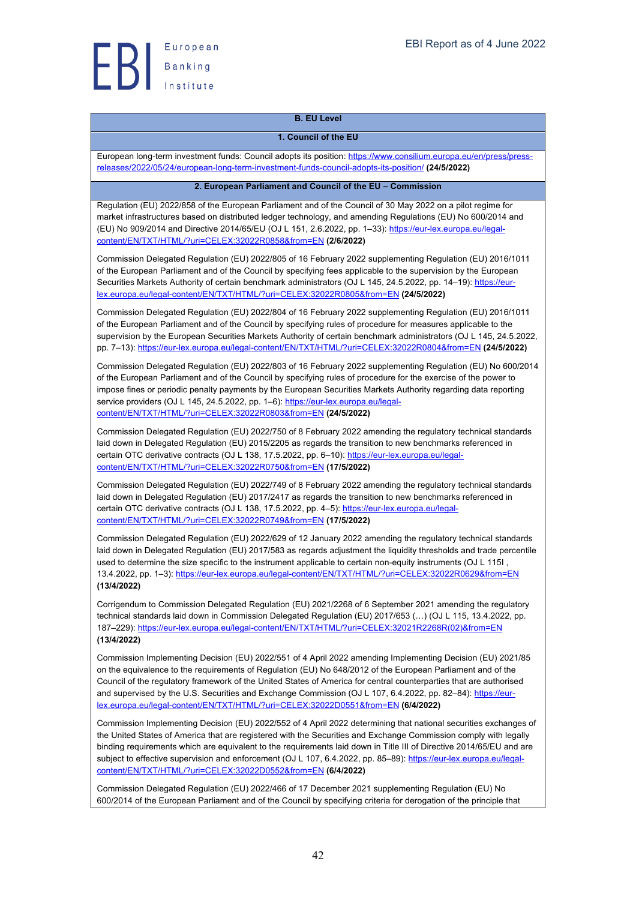

### **B. EU Level**

#### **1. Council of the EU**

European long-term investment funds: Council adopts its position: https://www.consilium.europa.eu/en/press/pressreleases/2022/05/24/european-long-term-investment-funds-council-adopts-its-position/ **(24/5/2022)**

#### **2. European Parliament and Council of the EU – Commission**

Regulation (EU) 2022/858 of the European Parliament and of the Council of 30 May 2022 on a pilot regime for market infrastructures based on distributed ledger technology, and amending Regulations (EU) No 600/2014 and (EU) No 909/2014 and Directive 2014/65/EU (OJ L 151, 2.6.2022, pp. 1–33): https://eur-lex.europa.eu/legalcontent/EN/TXT/HTML/?uri=CELEX:32022R0858&from=EN **(2/6/2022)**

Commission Delegated Regulation (EU) 2022/805 of 16 February 2022 supplementing Regulation (EU) 2016/1011 of the European Parliament and of the Council by specifying fees applicable to the supervision by the European Securities Markets Authority of certain benchmark administrators (OJ L 145, 24.5.2022, pp. 14–19): https://eurlex.europa.eu/legal-content/EN/TXT/HTML/?uri=CELEX:32022R0805&from=EN **(24/5/2022)**

Commission Delegated Regulation (EU) 2022/804 of 16 February 2022 supplementing Regulation (EU) 2016/1011 of the European Parliament and of the Council by specifying rules of procedure for measures applicable to the supervision by the European Securities Markets Authority of certain benchmark administrators (OJ L 145, 24.5.2022, pp. 7–13): https://eur-lex.europa.eu/legal-content/EN/TXT/HTML/?uri=CELEX:32022R0804&from=EN **(24/5/2022)**

Commission Delegated Regulation (EU) 2022/803 of 16 February 2022 supplementing Regulation (EU) No 600/2014 of the European Parliament and of the Council by specifying rules of procedure for the exercise of the power to impose fines or periodic penalty payments by the European Securities Markets Authority regarding data reporting service providers (OJ L 145, 24.5.2022, pp. 1–6): https://eur-lex.europa.eu/legalcontent/EN/TXT/HTML/?uri=CELEX:32022R0803&from=EN **(24/5/2022)**

Commission Delegated Regulation (EU) 2022/750 of 8 February 2022 amending the regulatory technical standards laid down in Delegated Regulation (EU) 2015/2205 as regards the transition to new benchmarks referenced in certain OTC derivative contracts (OJ L 138, 17.5.2022, pp. 6-10): https://eur-lex.europa.eu/legalcontent/EN/TXT/HTML/?uri=CELEX:32022R0750&from=EN **(17/5/2022)**

Commission Delegated Regulation (EU) 2022/749 of 8 February 2022 amending the regulatory technical standards laid down in Delegated Regulation (EU) 2017/2417 as regards the transition to new benchmarks referenced in certain OTC derivative contracts (OJ L 138, 17.5.2022, pp. 4-5): https://eur-lex.europa.eu/legalcontent/EN/TXT/HTML/?uri=CELEX:32022R0749&from=EN **(17/5/2022)**

Commission Delegated Regulation (EU) 2022/629 of 12 January 2022 amending the regulatory technical standards laid down in Delegated Regulation (EU) 2017/583 as regards adjustment the liquidity thresholds and trade percentile used to determine the size specific to the instrument applicable to certain non-equity instruments (OJ L 115I , 13.4.2022, pp. 1–3): https://eur-lex.europa.eu/legal-content/EN/TXT/HTML/?uri=CELEX:32022R0629&from=EN **(13/4/2022)**

Corrigendum to Commission Delegated Regulation (EU) 2021/2268 of 6 September 2021 amending the regulatory technical standards laid down in Commission Delegated Regulation (EU) 2017/653 (…) (OJ L 115, 13.4.2022, pp. 187–229): https://eur-lex.europa.eu/legal-content/EN/TXT/HTML/?uri=CELEX:32021R2268R(02)&from=EN **(13/4/2022)**

Commission Implementing Decision (EU) 2022/551 of 4 April 2022 amending Implementing Decision (EU) 2021/85 on the equivalence to the requirements of Regulation (EU) No 648/2012 of the European Parliament and of the Council of the regulatory framework of the United States of America for central counterparties that are authorised and supervised by the U.S. Securities and Exchange Commission (OJ L 107, 6.4.2022, pp. 82–84): https://eurlex.europa.eu/legal-content/EN/TXT/HTML/?uri=CELEX:32022D0551&from=EN **(6/4/2022)**

Commission Implementing Decision (EU) 2022/552 of 4 April 2022 determining that national securities exchanges of the United States of America that are registered with the Securities and Exchange Commission comply with legally binding requirements which are equivalent to the requirements laid down in Title III of Directive 2014/65/EU and are subject to effective supervision and enforcement (OJ L 107, 6.4.2022, pp. 85–89): https://eur-lex.europa.eu/legalcontent/EN/TXT/HTML/?uri=CELEX:32022D0552&from=EN **(6/4/2022)**

Commission Delegated Regulation (EU) 2022/466 of 17 December 2021 supplementing Regulation (EU) No 600/2014 of the European Parliament and of the Council by specifying criteria for derogation of the principle that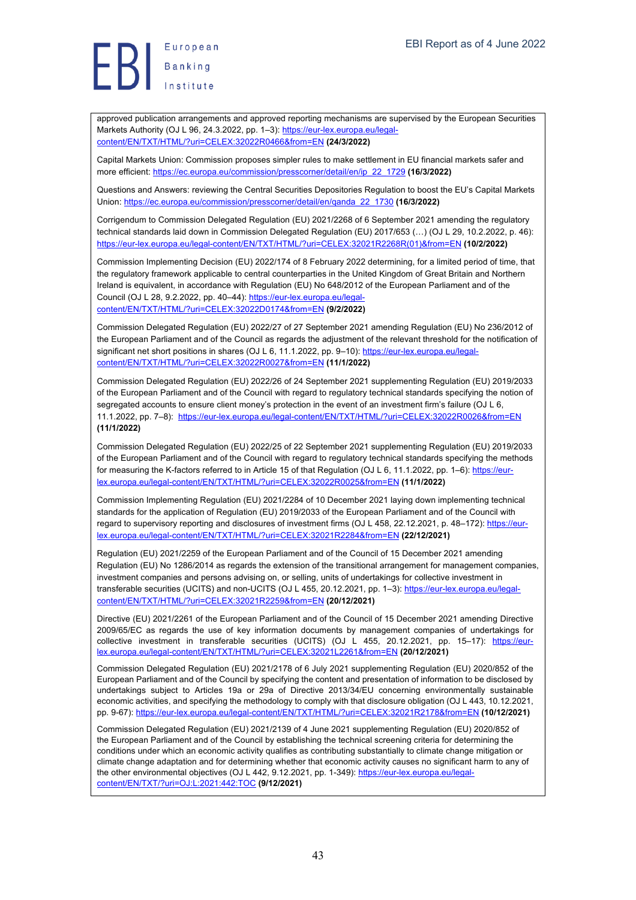# European Banking

approved publication arrangements and approved reporting mechanisms are supervised by the European Securities Markets Authority (OJ L 96, 24.3.2022, pp. 1–3): https://eur-lex.europa.eu/legalcontent/EN/TXT/HTML/?uri=CELEX:32022R0466&from=EN **(24/3/2022)**

Capital Markets Union: Commission proposes simpler rules to make settlement in EU financial markets safer and more efficient: https://ec.europa.eu/commission/presscorner/detail/en/ip\_22\_1729 **(16/3/2022)**

Questions and Answers: reviewing the Central Securities Depositories Regulation to boost the EU's Capital Markets Union: https://ec.europa.eu/commission/presscorner/detail/en/qanda\_22\_1730 **(16/3/2022)**

Corrigendum to Commission Delegated Regulation (EU) 2021/2268 of 6 September 2021 amending the regulatory technical standards laid down in Commission Delegated Regulation (EU) 2017/653 (…) (OJ L 29, 10.2.2022, p. 46): https://eur-lex.europa.eu/legal-content/EN/TXT/HTML/?uri=CELEX:32021R2268R(01)&from=EN **(10/2/2022)**

Commission Implementing Decision (EU) 2022/174 of 8 February 2022 determining, for a limited period of time, that the regulatory framework applicable to central counterparties in the United Kingdom of Great Britain and Northern Ireland is equivalent, in accordance with Regulation (EU) No 648/2012 of the European Parliament and of the Council (OJ L 28, 9.2.2022, pp. 40–44): https://eur-lex.europa.eu/legalcontent/EN/TXT/HTML/?uri=CELEX:32022D0174&from=EN **(9/2/2022)**

Commission Delegated Regulation (EU) 2022/27 of 27 September 2021 amending Regulation (EU) No 236/2012 of the European Parliament and of the Council as regards the adjustment of the relevant threshold for the notification of significant net short positions in shares (OJ L 6, 11.1.2022, pp. 9-10): https://eur-lex.europa.eu/legalcontent/EN/TXT/HTML/?uri=CELEX:32022R0027&from=EN **(11/1/2022)**

Commission Delegated Regulation (EU) 2022/26 of 24 September 2021 supplementing Regulation (EU) 2019/2033 of the European Parliament and of the Council with regard to regulatory technical standards specifying the notion of segregated accounts to ensure client money's protection in the event of an investment firm's failure (OJ L 6, 11.1.2022, pp. 7–8): https://eur-lex.europa.eu/legal-content/EN/TXT/HTML/?uri=CELEX:32022R0026&from=EN **(11/1/2022)**

Commission Delegated Regulation (EU) 2022/25 of 22 September 2021 supplementing Regulation (EU) 2019/2033 of the European Parliament and of the Council with regard to regulatory technical standards specifying the methods for measuring the K-factors referred to in Article 15 of that Regulation (OJ L 6, 11.1.2022, pp. 1–6): https://eurlex.europa.eu/legal-content/EN/TXT/HTML/?uri=CELEX:32022R0025&from=EN **(11/1/2022)**

Commission Implementing Regulation (EU) 2021/2284 of 10 December 2021 laying down implementing technical standards for the application of Regulation (EU) 2019/2033 of the European Parliament and of the Council with regard to supervisory reporting and disclosures of investment firms (OJ L 458, 22.12.2021, p. 48–172): https://eurlex.europa.eu/legal-content/EN/TXT/HTML/?uri=CELEX:32021R2284&from=EN **(22/12/2021)**

Regulation (EU) 2021/2259 of the European Parliament and of the Council of 15 December 2021 amending Regulation (EU) No 1286/2014 as regards the extension of the transitional arrangement for management companies, investment companies and persons advising on, or selling, units of undertakings for collective investment in transferable securities (UCITS) and non-UCITS (OJ L 455, 20.12.2021, pp. 1-3): https://eur-lex.europa.eu/legalcontent/EN/TXT/HTML/?uri=CELEX:32021R2259&from=EN **(20/12/2021)**

Directive (EU) 2021/2261 of the European Parliament and of the Council of 15 December 2021 amending Directive 2009/65/EC as regards the use of key information documents by management companies of undertakings for collective investment in transferable securities (UCITS) (OJ L 455, 20.12.2021, pp. 15-17): https://eurlex.europa.eu/legal-content/EN/TXT/HTML/?uri=CELEX:32021L2261&from=EN **(20/12/2021)**

Commission Delegated Regulation (EU) 2021/2178 of 6 July 2021 supplementing Regulation (EU) 2020/852 of the European Parliament and of the Council by specifying the content and presentation of information to be disclosed by undertakings subject to Articles 19a or 29a of Directive 2013/34/EU concerning environmentally sustainable economic activities, and specifying the methodology to comply with that disclosure obligation (OJ L 443, 10.12.2021, pp. 9-67): https://eur-lex.europa.eu/legal-content/EN/TXT/HTML/?uri=CELEX:32021R2178&from=EN **(10/12/2021)**

Commission Delegated Regulation (EU) 2021/2139 of 4 June 2021 supplementing Regulation (EU) 2020/852 of the European Parliament and of the Council by establishing the technical screening criteria for determining the conditions under which an economic activity qualifies as contributing substantially to climate change mitigation or climate change adaptation and for determining whether that economic activity causes no significant harm to any of the other environmental objectives (OJ L 442, 9.12.2021, pp. 1-349): https://eur-lex.europa.eu/legalcontent/EN/TXT/?uri=OJ:L:2021:442:TOC **(9/12/2021)**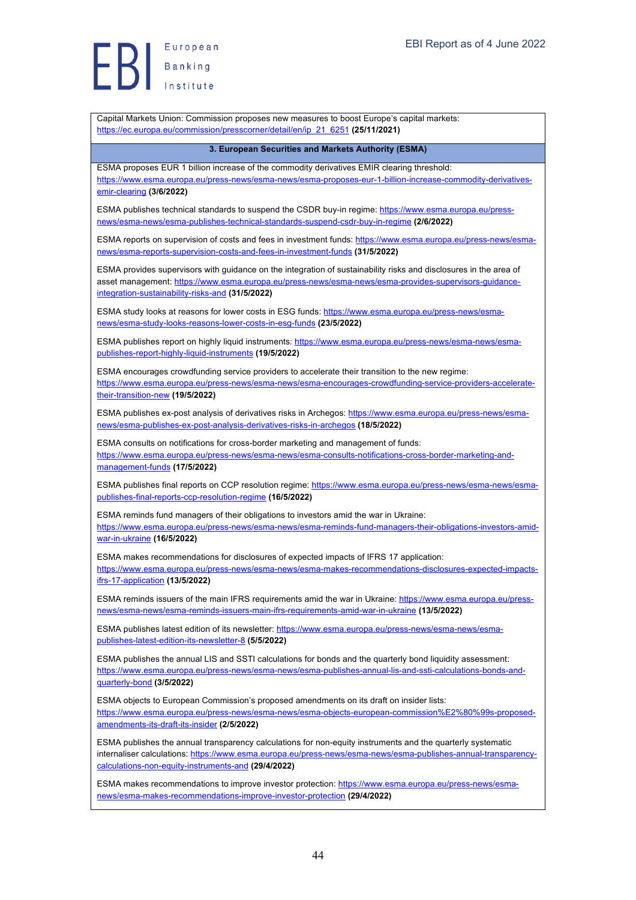European Europea<br>Banking<br>Institute

Capital Markets Union: Commission proposes new measures to boost Europe's capital markets: https://ec.europa.eu/commission/presscorner/detail/en/ip\_21\_6251 **(25/11/2021) 3. European Securities and Markets Authority (ESMA)** ESMA proposes EUR 1 billion increase of the commodity derivatives EMIR clearing threshold: https://www.esma.europa.eu/press-news/esma-news/esma-proposes-eur-1-billion-increase-commodity-derivativesemir-clearing **(3/6/2022)** ESMA publishes technical standards to suspend the CSDR buy-in regime: https://www.esma.europa.eu/pressnews/esma-news/esma-publishes-technical-standards-suspend-csdr-buy-in-regime **(2/6/2022)** ESMA reports on supervision of costs and fees in investment funds: https://www.esma.europa.eu/press-news/esmanews/esma-reports-supervision-costs-and-fees-in-investment-funds **(31/5/2022)** ESMA provides supervisors with guidance on the integration of sustainability risks and disclosures in the area of asset management: https://www.esma.europa.eu/press-news/esma-news/esma-provides-supervisors-guidanceintegration-sustainability-risks-and **(31/5/2022)** ESMA study looks at reasons for lower costs in ESG funds: https://www.esma.europa.eu/press-news/esmanews/esma-study-looks-reasons-lower-costs-in-esg-funds **(23/5/2022)** ESMA publishes report on highly liquid instruments: https://www.esma.europa.eu/press-news/esma-news/esmapublishes-report-highly-liquid-instruments **(19/5/2022)** ESMA encourages crowdfunding service providers to accelerate their transition to the new regime: https://www.esma.europa.eu/press-news/esma-news/esma-encourages-crowdfunding-service-providers-acceleratetheir-transition-new **(19/5/2022)** ESMA publishes ex-post analysis of derivatives risks in Archegos: https://www.esma.europa.eu/press-news/esmanews/esma-publishes-ex-post-analysis-derivatives-risks-in-archegos **(18/5/2022)** ESMA consults on notifications for cross-border marketing and management of funds: https://www.esma.europa.eu/press-news/esma-news/esma-consults-notifications-cross-border-marketing-andmanagement-funds **(17/5/2022)** ESMA publishes final reports on CCP resolution regime: https://www.esma.europa.eu/press-news/esma-news/esmapublishes-final-reports-ccp-resolution-regime **(16/5/2022)** ESMA reminds fund managers of their obligations to investors amid the war in Ukraine: https://www.esma.europa.eu/press-news/esma-news/esma-reminds-fund-managers-their-obligations-investors-amidwar-in-ukraine **(16/5/2022)** ESMA makes recommendations for disclosures of expected impacts of IFRS 17 application: https://www.esma.europa.eu/press-news/esma-news/esma-makes-recommendations-disclosures-expected-impactsifrs-17-application **(13/5/2022)** ESMA reminds issuers of the main IFRS requirements amid the war in Ukraine: https://www.esma.europa.eu/pressnews/esma-news/esma-reminds-issuers-main-ifrs-requirements-amid-war-in-ukraine **(13/5/2022)** ESMA publishes latest edition of its newsletter: https://www.esma.europa.eu/press-news/esma-news/esmapublishes-latest-edition-its-newsletter-8 **(5/5/2022)** ESMA publishes the annual LIS and SSTI calculations for bonds and the quarterly bond liquidity assessment: https://www.esma.europa.eu/press-news/esma-news/esma-publishes-annual-lis-and-ssti-calculations-bonds-andquarterly-bond **(3/5/2022)** ESMA objects to European Commission's proposed amendments on its draft on insider lists: https://www.esma.europa.eu/press-news/esma-news/esma-objects-european-commission%E2%80%99s-proposedamendments-its-draft-its-insider **(2/5/2022)** ESMA publishes the annual transparency calculations for non-equity instruments and the quarterly systematic internaliser calculations: https://www.esma.europa.eu/press-news/esma-news/esma-publishes-annual-transparencycalculations-non-equity-instruments-and **(29/4/2022)** ESMA makes recommendations to improve investor protection: https://www.esma.europa.eu/press-news/esmanews/esma-makes-recommendations-improve-investor-protection **(29/4/2022)**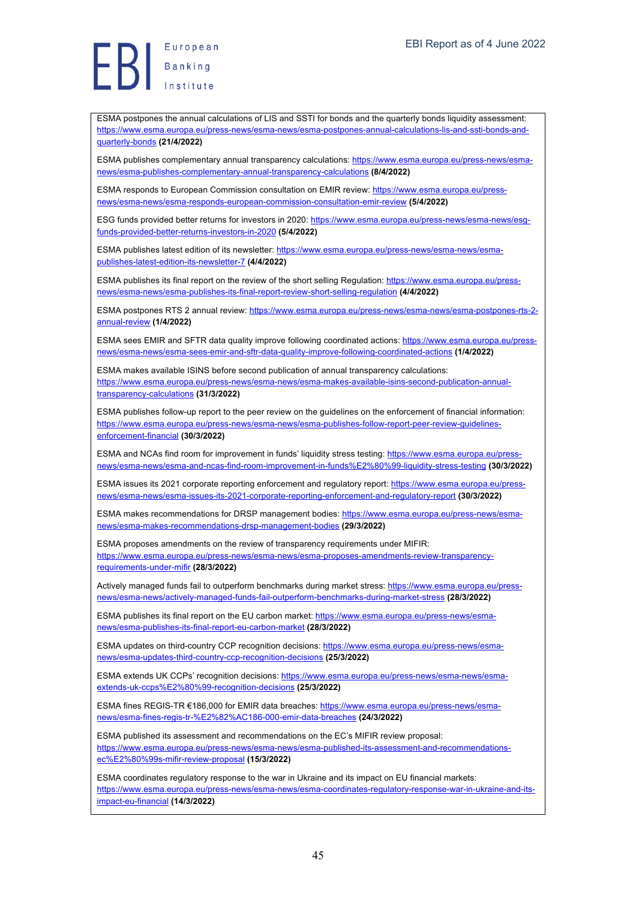ESMA postpones the annual calculations of LIS and SSTI for bonds and the quarterly bonds liquidity assessment: https://www.esma.europa.eu/press-news/esma-news/esma-postpones-annual-calculations-lis-and-ssti-bonds-andquarterly-bonds **(21/4/2022)**

ESMA publishes complementary annual transparency calculations: https://www.esma.europa.eu/press-news/esmanews/esma-publishes-complementary-annual-transparency-calculations **(8/4/2022)**

ESMA responds to European Commission consultation on EMIR review: https://www.esma.europa.eu/pressnews/esma-news/esma-responds-european-commission-consultation-emir-review **(5/4/2022)**

ESG funds provided better returns for investors in 2020: https://www.esma.europa.eu/press-news/esma-news/esgfunds-provided-better-returns-investors-in-2020 **(5/4/2022)**

ESMA publishes latest edition of its newsletter: https://www.esma.europa.eu/press-news/esma-news/esmapublishes-latest-edition-its-newsletter-7 **(4/4/2022)**

ESMA publishes its final report on the review of the short selling Regulation: https://www.esma.europa.eu/pressnews/esma-news/esma-publishes-its-final-report-review-short-selling-regulation **(4/4/2022)**

ESMA postpones RTS 2 annual review: https://www.esma.europa.eu/press-news/esma-news/esma-postpones-rts-2 annual-review **(1/4/2022)**

ESMA sees EMIR and SFTR data quality improve following coordinated actions: https://www.esma.europa.eu/pressnews/esma-news/esma-sees-emir-and-sftr-data-quality-improve-following-coordinated-actions **(1/4/2022)**

ESMA makes available ISINS before second publication of annual transparency calculations: https://www.esma.europa.eu/press-news/esma-news/esma-makes-available-isins-second-publication-annualtransparency-calculations **(31/3/2022)**

ESMA publishes follow-up report to the peer review on the guidelines on the enforcement of financial information: https://www.esma.europa.eu/press-news/esma-news/esma-publishes-follow-report-peer-review-guidelinesenforcement-financial **(30/3/2022)**

ESMA and NCAs find room for improvement in funds' liquidity stress testing: https://www.esma.europa.eu/pressnews/esma-news/esma-and-ncas-find-room-improvement-in-funds%E2%80%99-liquidity-stress-testing **(30/3/2022)**

ESMA issues its 2021 corporate reporting enforcement and regulatory report: https://www.esma.europa.eu/pressnews/esma-news/esma-issues-its-2021-corporate-reporting-enforcement-and-regulatory-report **(30/3/2022)**

ESMA makes recommendations for DRSP management bodies: https://www.esma.europa.eu/press-news/esmanews/esma-makes-recommendations-drsp-management-bodies **(29/3/2022)**

ESMA proposes amendments on the review of transparency requirements under MIFIR: https://www.esma.europa.eu/press-news/esma-news/esma-proposes-amendments-review-transparencyrequirements-under-mifir **(28/3/2022)**

Actively managed funds fail to outperform benchmarks during market stress: https://www.esma.europa.eu/pressnews/esma-news/actively-managed-funds-fail-outperform-benchmarks-during-market-stress **(28/3/2022)**

ESMA publishes its final report on the EU carbon market: https://www.esma.europa.eu/press-news/esmanews/esma-publishes-its-final-report-eu-carbon-market **(28/3/2022)**

ESMA updates on third-country CCP recognition decisions: https://www.esma.europa.eu/press-news/esmanews/esma-updates-third-country-ccp-recognition-decisions **(25/3/2022)**

ESMA extends UK CCPs' recognition decisions: https://www.esma.europa.eu/press-news/esma-news/esmaextends-uk-ccps%E2%80%99-recognition-decisions **(25/3/2022)**

ESMA fines REGIS-TR €186,000 for EMIR data breaches: https://www.esma.europa.eu/press-news/esmanews/esma-fines-regis-tr-%E2%82%AC186-000-emir-data-breaches **(24/3/2022)**

ESMA published its assessment and recommendations on the EC's MIFIR review proposal: https://www.esma.europa.eu/press-news/esma-news/esma-published-its-assessment-and-recommendationsec%E2%80%99s-mifir-review-proposal **(15/3/2022)**

ESMA coordinates regulatory response to the war in Ukraine and its impact on EU financial markets: https://www.esma.europa.eu/press-news/esma-news/esma-coordinates-regulatory-response-war-in-ukraine-and-itsimpact-eu-financial **(14/3/2022)**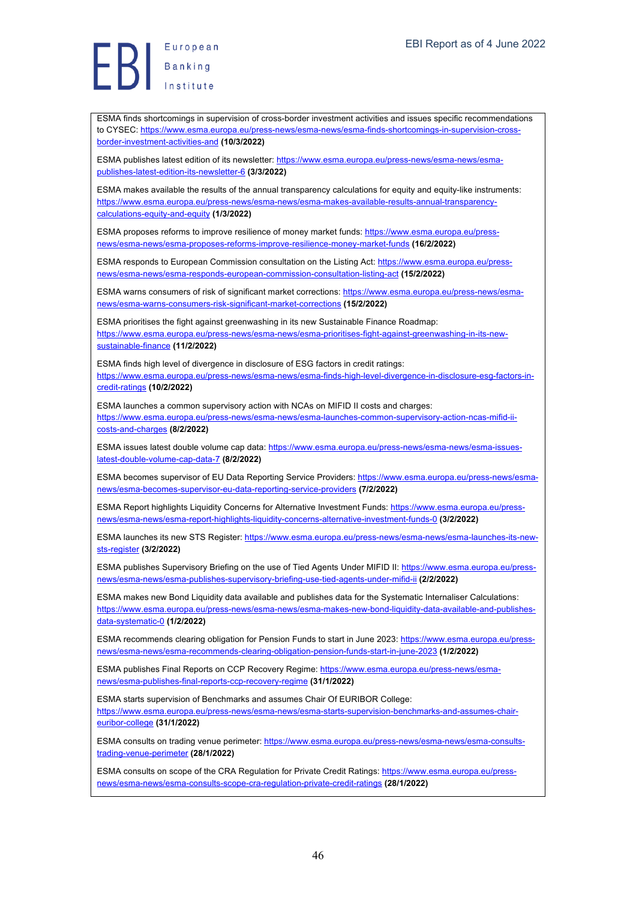ESMA finds shortcomings in supervision of cross-border investment activities and issues specific recommendations to CYSEC: https://www.esma.europa.eu/press-news/esma-news/esma-finds-shortcomings-in-supervision-crossborder-investment-activities-and **(10/3/2022)**

ESMA publishes latest edition of its newsletter: https://www.esma.europa.eu/press-news/esma-news/esmapublishes-latest-edition-its-newsletter-6 **(3/3/2022)**

ESMA makes available the results of the annual transparency calculations for equity and equity-like instruments: https://www.esma.europa.eu/press-news/esma-news/esma-makes-available-results-annual-transparencycalculations-equity-and-equity **(1/3/2022)**

ESMA proposes reforms to improve resilience of money market funds: https://www.esma.europa.eu/pressnews/esma-news/esma-proposes-reforms-improve-resilience-money-market-funds **(16/2/2022)**

ESMA responds to European Commission consultation on the Listing Act: https://www.esma.europa.eu/pressnews/esma-news/esma-responds-european-commission-consultation-listing-act **(15/2/2022)**

ESMA warns consumers of risk of significant market corrections: https://www.esma.europa.eu/press-news/esmanews/esma-warns-consumers-risk-significant-market-corrections **(15/2/2022)**

ESMA prioritises the fight against greenwashing in its new Sustainable Finance Roadmap: https://www.esma.europa.eu/press-news/esma-news/esma-prioritises-fight-against-greenwashing-in-its-newsustainable-finance **(11/2/2022)**

ESMA finds high level of divergence in disclosure of ESG factors in credit ratings: https://www.esma.europa.eu/press-news/esma-news/esma-finds-high-level-divergence-in-disclosure-esg-factors-incredit-ratings **(10/2/2022)**

ESMA launches a common supervisory action with NCAs on MIFID II costs and charges: https://www.esma.europa.eu/press-news/esma-news/esma-launches-common-supervisory-action-ncas-mifid-iicosts-and-charges **(8/2/2022)**

ESMA issues latest double volume cap data: https://www.esma.europa.eu/press-news/esma-news/esma-issueslatest-double-volume-cap-data-7 **(8/2/2022)**

ESMA becomes supervisor of EU Data Reporting Service Providers: https://www.esma.europa.eu/press-news/esmanews/esma-becomes-supervisor-eu-data-reporting-service-providers **(7/2/2022)**

ESMA Report highlights Liquidity Concerns for Alternative Investment Funds: https://www.esma.europa.eu/pressnews/esma-news/esma-report-highlights-liquidity-concerns-alternative-investment-funds-0 **(3/2/2022)**

ESMA launches its new STS Register: https://www.esma.europa.eu/press-news/esma-news/esma-launches-its-newsts-register **(3/2/2022)**

ESMA publishes Supervisory Briefing on the use of Tied Agents Under MIFID II: https://www.esma.europa.eu/pressnews/esma-news/esma-publishes-supervisory-briefing-use-tied-agents-under-mifid-ii **(2/2/2022)**

ESMA makes new Bond Liquidity data available and publishes data for the Systematic Internaliser Calculations: https://www.esma.europa.eu/press-news/esma-news/esma-makes-new-bond-liquidity-data-available-and-publishesdata-systematic-0 **(1/2/2022)**

ESMA recommends clearing obligation for Pension Funds to start in June 2023: https://www.esma.europa.eu/pressnews/esma-news/esma-recommends-clearing-obligation-pension-funds-start-in-june-2023 **(1/2/2022)**

ESMA publishes Final Reports on CCP Recovery Regime: https://www.esma.europa.eu/press-news/esmanews/esma-publishes-final-reports-ccp-recovery-regime **(31/1/2022)**

ESMA starts supervision of Benchmarks and assumes Chair Of EURIBOR College: https://www.esma.europa.eu/press-news/esma-news/esma-starts-supervision-benchmarks-and-assumes-chaireuribor-college **(31/1/2022)**

ESMA consults on trading venue perimeter: https://www.esma.europa.eu/press-news/esma-news/esma-consultstrading-venue-perimeter **(28/1/2022)**

ESMA consults on scope of the CRA Regulation for Private Credit Ratings: https://www.esma.europa.eu/pressnews/esma-news/esma-consults-scope-cra-regulation-private-credit-ratings **(28/1/2022)**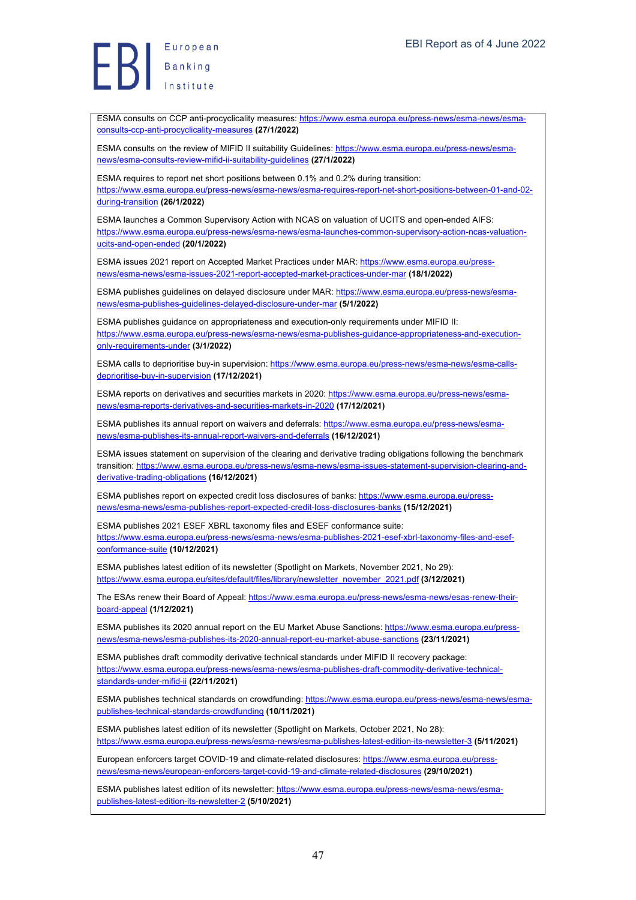ESMA consults on CCP anti-procyclicality measures: https://www.esma.europa.eu/press-news/esma-news/esmaconsults-ccp-anti-procyclicality-measures **(27/1/2022)**

ESMA consults on the review of MIFID II suitability Guidelines: https://www.esma.europa.eu/press-news/esmanews/esma-consults-review-mifid-ii-suitability-guidelines **(27/1/2022)**

ESMA requires to report net short positions between 0.1% and 0.2% during transition: https://www.esma.europa.eu/press-news/esma-news/esma-requires-report-net-short-positions-between-01-and-02 during-transition **(26/1/2022)**

ESMA launches a Common Supervisory Action with NCAS on valuation of UCITS and open-ended AIFS: https://www.esma.europa.eu/press-news/esma-news/esma-launches-common-supervisory-action-ncas-valuationucits-and-open-ended **(20/1/2022)**

ESMA issues 2021 report on Accepted Market Practices under MAR: https://www.esma.europa.eu/pressnews/esma-news/esma-issues-2021-report-accepted-market-practices-under-mar **(18/1/2022)**

ESMA publishes guidelines on delayed disclosure under MAR: https://www.esma.europa.eu/press-news/esmanews/esma-publishes-guidelines-delayed-disclosure-under-mar **(5/1/2022)**

ESMA publishes guidance on appropriateness and execution-only requirements under MIFID II: https://www.esma.europa.eu/press-news/esma-news/esma-publishes-guidance-appropriateness-and-executiononly-requirements-under **(3/1/2022)**

ESMA calls to deprioritise buy-in supervision: https://www.esma.europa.eu/press-news/esma-news/esma-callsdeprioritise-buy-in-supervision **(17/12/2021)**

ESMA reports on derivatives and securities markets in 2020: https://www.esma.europa.eu/press-news/esmanews/esma-reports-derivatives-and-securities-markets-in-2020 **(17/12/2021)**

ESMA publishes its annual report on waivers and deferrals: https://www.esma.europa.eu/press-news/esmanews/esma-publishes-its-annual-report-waivers-and-deferrals **(16/12/2021)**

ESMA issues statement on supervision of the clearing and derivative trading obligations following the benchmark transition: https://www.esma.europa.eu/press-news/esma-news/esma-issues-statement-supervision-clearing-andderivative-trading-obligations **(16/12/2021)**

ESMA publishes report on expected credit loss disclosures of banks: https://www.esma.europa.eu/pressnews/esma-news/esma-publishes-report-expected-credit-loss-disclosures-banks **(15/12/2021)**

ESMA publishes 2021 ESEF XBRL taxonomy files and ESEF conformance suite: https://www.esma.europa.eu/press-news/esma-news/esma-publishes-2021-esef-xbrl-taxonomy-files-and-esefconformance-suite **(10/12/2021)**

ESMA publishes latest edition of its newsletter (Spotlight on Markets, November 2021, No 29): https://www.esma.europa.eu/sites/default/files/library/newsletter\_november\_2021.pdf **(3/12/2021)**

The ESAs renew their Board of Appeal: https://www.esma.europa.eu/press-news/esma-news/esas-renew-theirboard-appeal **(1/12/2021)**

ESMA publishes its 2020 annual report on the EU Market Abuse Sanctions: https://www.esma.europa.eu/pressnews/esma-news/esma-publishes-its-2020-annual-report-eu-market-abuse-sanctions **(23/11/2021)**

ESMA publishes draft commodity derivative technical standards under MIFID II recovery package: https://www.esma.europa.eu/press-news/esma-news/esma-publishes-draft-commodity-derivative-technicalstandards-under-mifid-ii **(22/11/2021)**

ESMA publishes technical standards on crowdfunding: https://www.esma.europa.eu/press-news/esma-news/esmapublishes-technical-standards-crowdfunding **(10/11/2021)**

ESMA publishes latest edition of its newsletter (Spotlight on Markets, October 2021, No 28): https://www.esma.europa.eu/press-news/esma-news/esma-publishes-latest-edition-its-newsletter-3 **(5/11/2021)**

European enforcers target COVID-19 and climate-related disclosures: https://www.esma.europa.eu/pressnews/esma-news/european-enforcers-target-covid-19-and-climate-related-disclosures **(29/10/2021)**

ESMA publishes latest edition of its newsletter: https://www.esma.europa.eu/press-news/esma-news/esmapublishes-latest-edition-its-newsletter-2 **(5/10/2021)**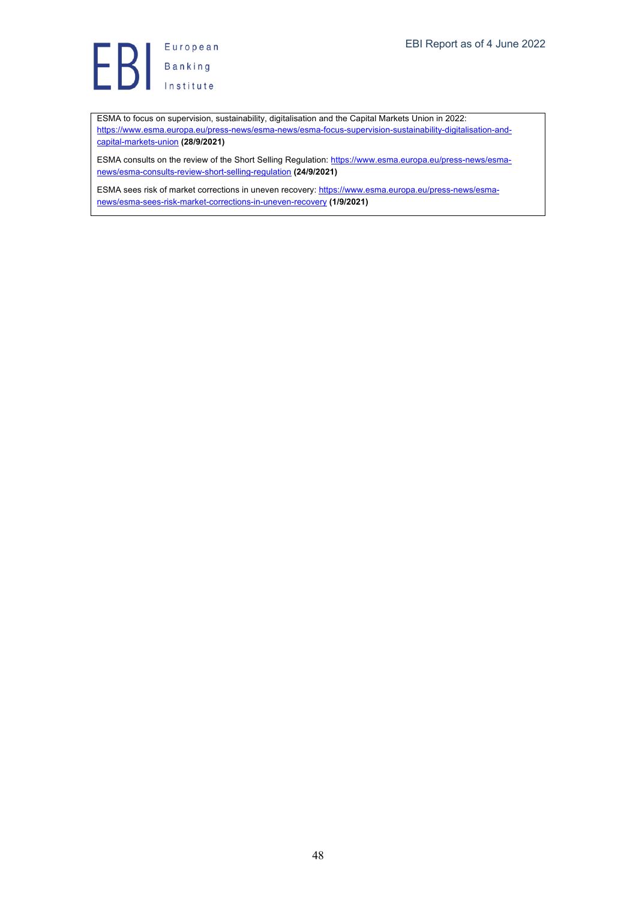

ESMA to focus on supervision, sustainability, digitalisation and the Capital Markets Union in 2022: https://www.esma.europa.eu/press-news/esma-news/esma-focus-supervision-sustainability-digitalisation-andcapital-markets-union **(28/9/2021)**

ESMA consults on the review of the Short Selling Regulation: https://www.esma.europa.eu/press-news/esmanews/esma-consults-review-short-selling-regulation **(24/9/2021)**

ESMA sees risk of market corrections in uneven recovery: https://www.esma.europa.eu/press-news/esmanews/esma-sees-risk-market-corrections-in-uneven-recovery **(1/9/2021)**